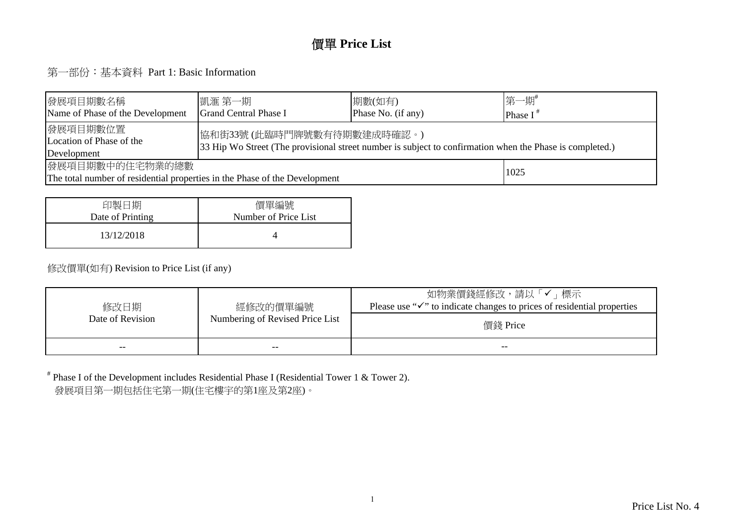#### 價單 **Price List**

第一部份:基本資料 Part 1: Basic Information

| 發展項目期數名稱<br>Name of Phase of the Development                                                                                                                                                  | 凱滙 第一期 <br>Grand Central Phase I | 期數(如有)<br>Phase No. (if any) | 第一期#<br>Phase $I^*$ |  |  |  |  |  |  |
|-----------------------------------------------------------------------------------------------------------------------------------------------------------------------------------------------|----------------------------------|------------------------------|---------------------|--|--|--|--|--|--|
| 發展項目期數位置<br> 協和街33號(此臨時門牌號數有待期數建成時確認。)<br>Location of Phase of the<br>33 Hip Wo Street (The provisional street number is subject to confirmation when the Phase is completed.)<br>Development |                                  |                              |                     |  |  |  |  |  |  |
| 發展項目期數中的住宅物業的總數<br>1025<br>The total number of residential properties in the Phase of the Development                                                                                         |                                  |                              |                     |  |  |  |  |  |  |

| 印製日期             | 價單編號                 |
|------------------|----------------------|
| Date of Printing | Number of Price List |
| 13/12/2018       |                      |

#### 修改價單(如有) Revision to Price List (if any)

| 修改日期             | 經修改的價單編號                        | 如物業價錢經修改,請以「✔」標示<br>Please use " $\checkmark$ " to indicate changes to prices of residential properties |
|------------------|---------------------------------|---------------------------------------------------------------------------------------------------------|
| Date of Revision | Numbering of Revised Price List | 價錢 Price                                                                                                |
| $- -$            | --                              | --                                                                                                      |

# Phase I of the Development includes Residential Phase I (Residential Tower 1 & Tower 2). 發展項目第一期包括住宅第一期(住宅樓宇的第1座及第2座)。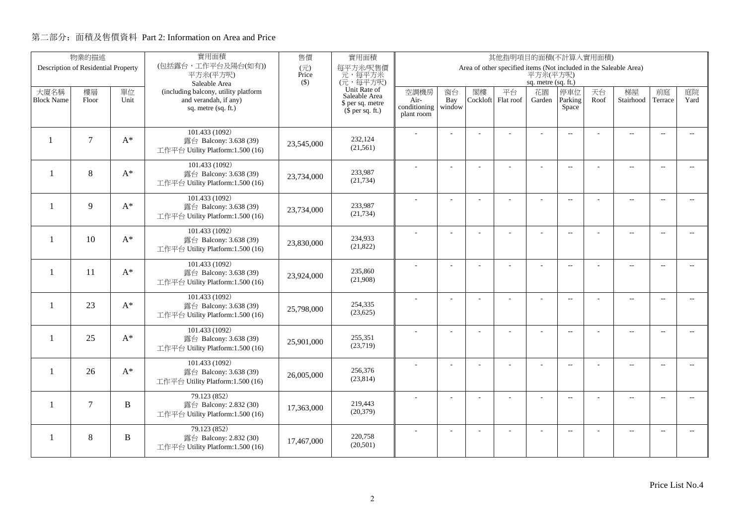|                          | 物業的描述                               |              | 實用面積                                                       | 售價           | 實用面積<br>其他指明項目的面積(不計算入實用面積)          |                      |                |          |                                                                   |                     |                          |      |                          |                          |                          |
|--------------------------|-------------------------------------|--------------|------------------------------------------------------------|--------------|--------------------------------------|----------------------|----------------|----------|-------------------------------------------------------------------|---------------------|--------------------------|------|--------------------------|--------------------------|--------------------------|
|                          | Description of Residential Property |              | (包括露台,工作平台及陽台(如有))<br>平方米(平方呎)                             | (元)<br>Price | 每平方米/呎售價<br>元,每平方米                   |                      |                |          | Area of other specified items (Not included in the Saleable Area) | 平方米(平方呎)            |                          |      |                          |                          |                          |
|                          |                                     |              | Saleable Area                                              | $($ \$)      | (元,每平方呎)                             |                      |                |          |                                                                   | sq. metre (sq. ft.) |                          |      |                          |                          |                          |
| 大廈名稱                     | 樓層                                  | 單位           | (including balcony, utility platform                       |              | Unit Rate of<br>Saleable Area        | 空調機房                 | 窗台             | 閣樓       | 平台                                                                | 花園                  | 停車位                      | 天台   | 梯屋                       | 前庭                       | 庭院                       |
| <b>Block Name</b>        | Floor                               | Unit         | and verandah, if any)<br>sq. metre (sq. ft.)               |              | \$ per sq. metre<br>$$$ per sq. ft.) | Air-<br>conditioning | Bay<br>window  | Cockloft | Flat roof                                                         | Garden              | Parking<br>Space         | Roof | Stairhood                | Terrace                  | Yard                     |
|                          |                                     |              |                                                            |              |                                      | plant room           |                |          |                                                                   |                     |                          |      |                          |                          |                          |
|                          |                                     |              | 101.433 (1092)                                             |              |                                      |                      |                |          |                                                                   |                     | $\overline{a}$           |      | $\overline{\phantom{a}}$ | $\overline{\phantom{a}}$ |                          |
| $\mathbf{1}$             | $\tau$                              | $A^*$        | 露台 Balcony: 3.638 (39)                                     | 23,545,000   | 232,124<br>(21,561)                  |                      |                |          |                                                                   |                     |                          |      |                          |                          |                          |
|                          |                                     |              | 工作平台 Utility Platform:1.500 (16)                           |              |                                      |                      |                |          |                                                                   |                     |                          |      |                          |                          |                          |
| $\mathbf{1}$             | 8                                   | $A^*$        | 101.433 (1092)                                             |              | 233,987                              |                      |                |          | ÷.                                                                | ÷                   | $\overline{a}$           |      | $\overline{\phantom{a}}$ | $\sim$                   |                          |
|                          |                                     |              | 露台 Balcony: 3.638 (39)<br>工作平台 Utility Platform:1.500 (16) | 23,734,000   | (21, 734)                            |                      |                |          |                                                                   |                     |                          |      |                          |                          |                          |
|                          |                                     |              | 101.433 (1092)                                             |              |                                      |                      |                |          |                                                                   |                     |                          |      |                          |                          |                          |
| $\overline{\phantom{0}}$ | $\mathbf{Q}$                        | $A^*$        | 露台 Balcony: 3.638 (39)                                     | 23,734,000   | 233,987                              |                      | L.             |          |                                                                   | L,                  | $\overline{a}$           |      | $\overline{\phantom{a}}$ | $\sim$                   | $\overline{a}$           |
|                          |                                     |              | 工作平台 Utility Platform:1.500 (16)                           |              | (21, 734)                            |                      |                |          |                                                                   |                     |                          |      |                          |                          |                          |
|                          |                                     |              | 101.433 (1092)                                             |              |                                      |                      |                |          |                                                                   | $\overline{a}$      | $\overline{a}$           |      | $\overline{\phantom{a}}$ | $\overline{\phantom{a}}$ | $- -$                    |
| $\mathbf{1}$             | 10                                  | $A^*$        | 露台 Balcony: 3.638 (39)<br>工作平台 Utility Platform:1.500 (16) | 23,830,000   | 234,933<br>(21,822)                  |                      |                |          |                                                                   |                     |                          |      |                          |                          |                          |
|                          |                                     |              |                                                            |              |                                      |                      |                |          |                                                                   |                     |                          |      |                          |                          |                          |
| $\mathbf{1}$             | 11                                  | $A^*$        | 101.433 (1092)<br>露台 Balcony: 3.638 (39)                   |              | 235,860                              |                      |                |          |                                                                   |                     | $\sim$                   |      | $\overline{\phantom{a}}$ | $\sim$                   | $\sim$                   |
|                          |                                     |              | 工作平台 Utility Platform:1.500 (16)                           | 23,924,000   | (21,908)                             |                      |                |          |                                                                   |                     |                          |      |                          |                          |                          |
|                          |                                     |              | 101.433 (1092)                                             |              |                                      |                      | $\overline{a}$ |          |                                                                   | ÷,                  | $\overline{\phantom{m}}$ |      | $\overline{\phantom{m}}$ | $\overline{\phantom{a}}$ | $- -$                    |
| $\mathbf{1}$             | 23                                  | $A^*$        | 露台 Balcony: 3.638 (39)                                     | 25,798,000   | 254,335                              |                      |                |          |                                                                   |                     |                          |      |                          |                          |                          |
|                          |                                     |              | 工作平台 Utility Platform:1.500 (16)                           |              | (23, 625)                            |                      |                |          |                                                                   |                     |                          |      |                          |                          |                          |
|                          |                                     |              | 101.433 (1092)                                             |              |                                      |                      | ÷              |          |                                                                   | $\overline{a}$      | $\overline{a}$           |      | $\overline{a}$           | $\overline{\phantom{a}}$ | $- -$                    |
| $\mathbf{1}$             | 25                                  | $A^*$        | 露台 Balcony: 3.638 (39)<br>工作平台 Utility Platform:1.500 (16) | 25,901,000   | 255,351<br>(23,719)                  |                      |                |          |                                                                   |                     |                          |      |                          |                          |                          |
|                          |                                     |              |                                                            |              |                                      |                      |                |          |                                                                   |                     |                          |      |                          |                          |                          |
| -1                       | 26                                  | $A^*$        | 101.433 (1092)<br>露台 Balcony: 3.638 (39)                   |              | 256,376                              |                      | L.             |          | L,                                                                | L,                  | $\overline{\phantom{a}}$ |      | $\overline{\phantom{a}}$ | $\sim$                   | $\overline{a}$           |
|                          |                                     |              | 工作平台 Utility Platform:1.500 (16)                           | 26,005,000   | (23, 814)                            |                      |                |          |                                                                   |                     |                          |      |                          |                          |                          |
|                          |                                     |              | 79.123 (852)                                               |              |                                      |                      | $\overline{a}$ |          |                                                                   | ÷,                  | $\overline{\phantom{m}}$ |      | $\overline{\phantom{a}}$ | $\sim$                   | $- -$                    |
| $\mathbf{1}$             | $\overline{7}$                      | $\, {\bf B}$ | 露台 Balcony: 2.832 (30)                                     | 17,363,000   | 219,443                              |                      |                |          |                                                                   |                     |                          |      |                          |                          |                          |
|                          |                                     |              | 工作平台 Utility Platform:1.500 (16)                           |              | (20, 379)                            |                      |                |          |                                                                   |                     |                          |      |                          |                          |                          |
|                          |                                     |              | 79.123(852)                                                |              | 220,758                              |                      |                |          |                                                                   |                     | $\overline{\phantom{a}}$ |      | $\overline{\phantom{m}}$ | $\overline{a}$           | $\overline{\phantom{a}}$ |
| -1                       | 8                                   | B            | 露台 Balcony: 2.832 (30)<br>工作平台 Utility Platform:1.500 (16) | 17,467,000   | (20, 501)                            |                      |                |          |                                                                   |                     |                          |      |                          |                          |                          |
|                          |                                     |              |                                                            |              |                                      |                      |                |          |                                                                   |                     |                          |      |                          |                          |                          |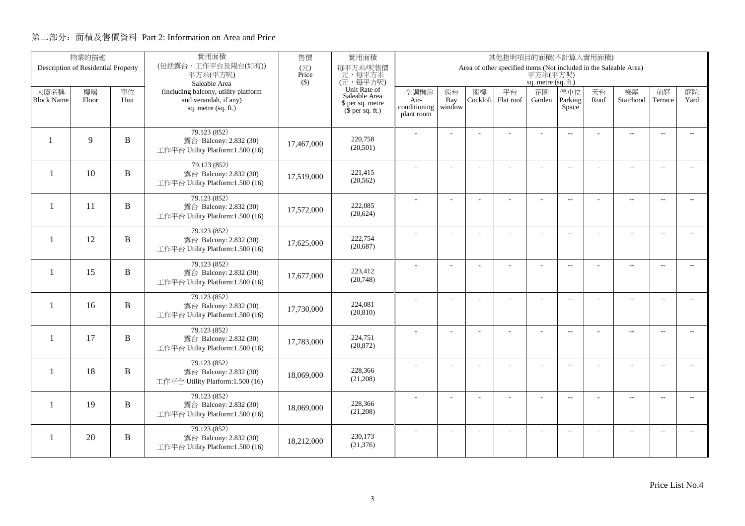|                   | 物業的描述                               |              | 實用面積                                                       | 售價           | 實用面積<br>其他指明項目的面積(不計算入實用面積)   |                      |                |          |                                                                   |                     |                          |      |                          |                          |                          |
|-------------------|-------------------------------------|--------------|------------------------------------------------------------|--------------|-------------------------------|----------------------|----------------|----------|-------------------------------------------------------------------|---------------------|--------------------------|------|--------------------------|--------------------------|--------------------------|
|                   | Description of Residential Property |              | (包括露台,工作平台及陽台(如有))<br>平方米(平方呎)                             | (元)<br>Price | 每平方米/呎售價<br>元,每平方米            |                      |                |          | Area of other specified items (Not included in the Saleable Area) | 平方米(平方呎)            |                          |      |                          |                          |                          |
|                   |                                     |              | Saleable Area                                              | $($ \$)      | (元,每平方呎)                      |                      |                |          |                                                                   | sq. metre (sq. ft.) |                          |      |                          |                          |                          |
| 大廈名稱              | 樓層                                  | 單位           | (including balcony, utility platform                       |              | Unit Rate of<br>Saleable Area | 空調機房                 | 窗台             | 閣樓       | 平台                                                                | 花園                  | 停車位                      | 天台   | 梯屋                       | 前庭                       | 庭院                       |
| <b>Block Name</b> | Floor                               | Unit         | and verandah, if any)<br>sq. metre (sq. ft.)               |              | \$ per sq. metre              | Air-<br>conditioning | Bay<br>window  | Cockloft | Flat roof                                                         | Garden              | Parking<br>Space         | Roof | Stairhood                | Terrace                  | Yard                     |
|                   |                                     |              |                                                            |              | $$$ per sq. ft.)              | plant room           |                |          |                                                                   |                     |                          |      |                          |                          |                          |
|                   |                                     |              | 79.123 (852)                                               |              |                               |                      |                |          |                                                                   |                     | $\overline{a}$           |      | $\overline{\phantom{a}}$ | $\overline{\phantom{a}}$ |                          |
| $\mathbf{1}$      | $\mathbf{Q}$                        | B            | 露台 Balcony: 2.832 (30)                                     | 17,467,000   | 220,758                       |                      |                |          |                                                                   |                     |                          |      |                          |                          |                          |
|                   |                                     |              | 工作平台 Utility Platform:1.500 (16)                           |              | (20,501)                      |                      |                |          |                                                                   |                     |                          |      |                          |                          |                          |
|                   |                                     |              | 79.123 (852)                                               |              |                               |                      |                |          | ÷.                                                                | ÷                   | $\overline{a}$           |      | $\overline{\phantom{a}}$ | $\sim$                   |                          |
| $\mathbf{1}$      | 10                                  | $\, {\bf B}$ | 露台 Balcony: 2.832 (30)<br>工作平台 Utility Platform:1.500 (16) | 17,519,000   | 221,415<br>(20, 562)          |                      |                |          |                                                                   |                     |                          |      |                          |                          |                          |
|                   |                                     |              |                                                            |              |                               |                      |                |          |                                                                   |                     |                          |      |                          |                          |                          |
| -1                | 11                                  | B            | 79.123 (852)<br>露台 Balcony: 2.832 (30)                     |              | 222,085                       |                      | L.             |          |                                                                   | L,                  | $\overline{a}$           |      | $\overline{\phantom{a}}$ | $\sim$                   | $\overline{a}$           |
|                   |                                     |              | 工作平台 Utility Platform:1.500 (16)                           | 17,572,000   | (20,624)                      |                      |                |          |                                                                   |                     |                          |      |                          |                          |                          |
|                   |                                     |              | 79.123 (852)                                               |              |                               |                      |                |          |                                                                   | $\overline{a}$      | $\overline{\phantom{a}}$ |      | $\overline{\phantom{a}}$ | $\overline{\phantom{a}}$ | $- -$                    |
| $\mathbf{1}$      | 12                                  | $\mathbf B$  | 露台 Balcony: 2.832 (30)                                     | 17,625,000   | 222,754                       |                      |                |          |                                                                   |                     |                          |      |                          |                          |                          |
|                   |                                     |              | 工作平台 Utility Platform:1.500 (16)                           |              | (20,687)                      |                      |                |          |                                                                   |                     |                          |      |                          |                          |                          |
|                   |                                     |              | 79.123 (852)                                               |              | 223.412                       |                      |                |          |                                                                   | $\overline{a}$      | $\sim$                   |      | $\overline{\phantom{a}}$ | $\sim$                   | $\sim$                   |
| $\mathbf{1}$      | 15                                  | B            | 露台 Balcony: 2.832 (30)<br>工作平台 Utility Platform:1.500 (16) | 17,677,000   | (20,748)                      |                      |                |          |                                                                   |                     |                          |      |                          |                          |                          |
|                   |                                     |              |                                                            |              |                               |                      |                |          |                                                                   |                     |                          |      |                          |                          |                          |
| $\mathbf{1}$      | 16                                  | B            | 79.123 (852)<br>露台 Balcony: 2.832 (30)                     |              | 224,081                       |                      | $\overline{a}$ |          |                                                                   | ÷,                  | $\overline{\phantom{m}}$ |      | $\overline{\phantom{m}}$ | $\overline{\phantom{a}}$ | $- -$                    |
|                   |                                     |              | 工作平台 Utility Platform:1.500 (16)                           | 17,730,000   | (20, 810)                     |                      |                |          |                                                                   |                     |                          |      |                          |                          |                          |
|                   |                                     |              | 79.123 (852)                                               |              |                               |                      | ÷              |          |                                                                   | $\overline{a}$      | $\overline{a}$           |      | $\overline{a}$           | $\overline{\phantom{a}}$ | $\overline{\phantom{0}}$ |
| $\mathbf{1}$      | 17                                  | B            | 露台 Balcony: 2.832 (30)                                     | 17,783,000   | 224,751                       |                      |                |          |                                                                   |                     |                          |      |                          |                          |                          |
|                   |                                     |              | 工作平台 Utility Platform:1.500 (16)                           |              | (20, 872)                     |                      |                |          |                                                                   |                     |                          |      |                          |                          |                          |
|                   |                                     |              | 79.123 (852)                                               |              | 228,366                       |                      | L.             |          | L,                                                                | L,                  | $\overline{\phantom{a}}$ |      | $\overline{\phantom{a}}$ | $\sim$                   | $\overline{a}$           |
| $\mathbf{1}$      | 18                                  | B            | 露台 Balcony: 2.832 (30)<br>工作平台 Utility Platform:1.500 (16) | 18,069,000   | (21,208)                      |                      |                |          |                                                                   |                     |                          |      |                          |                          |                          |
|                   |                                     |              |                                                            |              |                               |                      |                |          |                                                                   |                     |                          |      |                          |                          |                          |
| 1                 | 19                                  | $\, {\bf B}$ | 79.123 (852)<br>露台 Balcony: 2.832 (30)                     |              | 228,366                       |                      | $\overline{a}$ |          | L,                                                                | ÷,                  | $\overline{\phantom{m}}$ |      | $\overline{\phantom{a}}$ | $\sim$                   | $- -$                    |
|                   |                                     |              | 工作平台 Utility Platform:1.500 (16)                           | 18,069,000   | (21,208)                      |                      |                |          |                                                                   |                     |                          |      |                          |                          |                          |
|                   |                                     |              | 79.123(852)                                                |              |                               |                      |                |          |                                                                   |                     | $\overline{\phantom{a}}$ |      | $\overline{\phantom{m}}$ | $\overline{a}$           | $\overline{\phantom{a}}$ |
| -1                | 20                                  | B            | 露台 Balcony: 2.832 (30)                                     | 18.212.000   | 230,173                       |                      |                |          |                                                                   |                     |                          |      |                          |                          |                          |
|                   |                                     |              | 工作平台 Utility Platform:1.500 (16)                           |              | (21, 376)                     |                      |                |          |                                                                   |                     |                          |      |                          |                          |                          |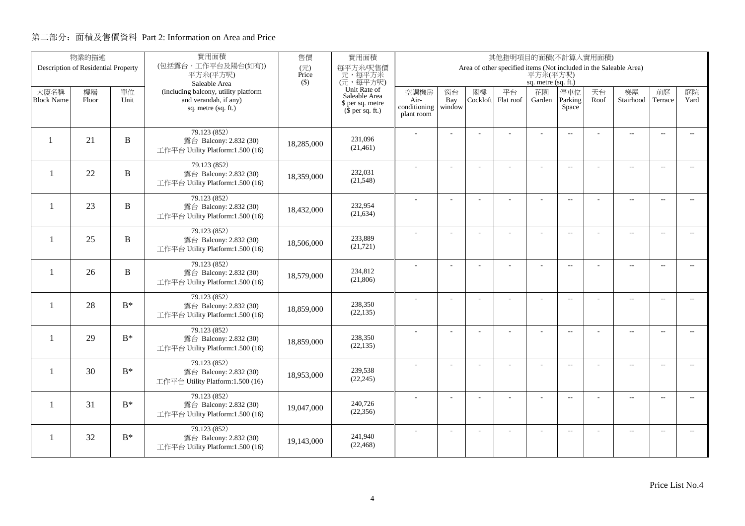|                          | 物業的描述                               |                | 實用面積                                                       | 售價                                | 實用面積<br>其他指明項目的面積(不計算入實用面積)   |                      |                |          |                                                                   |                     |                          |      |                          |                          |                          |
|--------------------------|-------------------------------------|----------------|------------------------------------------------------------|-----------------------------------|-------------------------------|----------------------|----------------|----------|-------------------------------------------------------------------|---------------------|--------------------------|------|--------------------------|--------------------------|--------------------------|
|                          | Description of Residential Property |                | (包括露台,工作平台及陽台(如有))<br>平方米(平方呎)                             | $(\overrightarrow{\pi})$<br>Price | 每平方米/呎售價<br>元,每平方米            |                      |                |          | Area of other specified items (Not included in the Saleable Area) | 平方米(平方呎)            |                          |      |                          |                          |                          |
|                          |                                     |                | Saleable Area                                              | $($ \$)                           | (元,每平方呎)                      |                      |                |          |                                                                   | sq. metre (sq. ft.) |                          |      |                          |                          |                          |
| 大廈名稱                     | 樓層                                  | 單位             | (including balcony, utility platform                       |                                   | Unit Rate of<br>Saleable Area | 空調機房                 | 窗台             | 閣樓       | 平台                                                                | 花園                  | 停車位                      | 天台   | 梯屋                       | 前庭                       | 庭院                       |
| <b>Block Name</b>        | Floor                               | Unit           | and verandah, if any)<br>sq. metre (sq. ft.)               |                                   | \$ per sq. metre              | Air-<br>conditioning | Bay<br>window  | Cockloft | Flat roof                                                         | Garden              | Parking<br>Space         | Roof | Stairhood                | Terrace                  | Yard                     |
|                          |                                     |                |                                                            |                                   | $(\bar{\S}$ per sq. ft.)      | plant room           |                |          |                                                                   |                     |                          |      |                          |                          |                          |
|                          |                                     |                | 79.123 (852)                                               |                                   |                               |                      |                |          |                                                                   |                     |                          |      |                          |                          |                          |
|                          | 21                                  | B              | 露台 Balcony: 2.832 (30)                                     | 18,285,000                        | 231,096                       |                      |                |          |                                                                   |                     | $\overline{a}$           |      | $\overline{\phantom{a}}$ | $\sim$                   |                          |
|                          |                                     |                | 工作平台 Utility Platform:1.500 (16)                           |                                   | (21, 461)                     |                      |                |          |                                                                   |                     |                          |      |                          |                          |                          |
|                          |                                     |                | 79.123 (852)                                               |                                   |                               |                      |                |          |                                                                   |                     | $\overline{\phantom{a}}$ |      | $\overline{\phantom{a}}$ | $\sim$                   |                          |
| $\overline{\phantom{0}}$ | 22                                  | B              | 露台 Balcony: 2.832 (30)                                     | 18,359,000                        | 232,031                       |                      |                |          |                                                                   |                     |                          |      |                          |                          |                          |
|                          |                                     |                | 工作平台 Utility Platform:1.500 (16)                           |                                   | (21, 548)                     |                      |                |          |                                                                   |                     |                          |      |                          |                          |                          |
|                          |                                     |                | 79.123 (852)                                               |                                   |                               |                      | $\overline{a}$ |          | L.                                                                | ÷                   | $\overline{\phantom{a}}$ |      | $\overline{a}$           | $\overline{\phantom{a}}$ | $-$                      |
| $\overline{\phantom{0}}$ | 23                                  | $\, {\bf B}$   | 露台 Balcony: 2.832 (30)<br>工作平台 Utility Platform:1.500 (16) | 18,432,000                        | 232,954<br>(21, 634)          |                      |                |          |                                                                   |                     |                          |      |                          |                          |                          |
|                          |                                     |                |                                                            |                                   |                               |                      |                |          |                                                                   |                     |                          |      |                          |                          |                          |
| -1                       | 25                                  | B              | 79.123 (852)<br>露台 Balcony: 2.832 (30)                     |                                   | 233,889                       |                      |                |          |                                                                   | L,                  | $\overline{a}$           |      | $\overline{\phantom{a}}$ | $\overline{\phantom{a}}$ | $\overline{\phantom{0}}$ |
|                          |                                     |                | 工作平台 Utility Platform:1.500 (16)                           | 18,506,000                        | (21, 721)                     |                      |                |          |                                                                   |                     |                          |      |                          |                          |                          |
|                          |                                     |                | 79.123 (852)                                               |                                   |                               |                      |                |          |                                                                   |                     |                          |      |                          |                          |                          |
| -1                       | 26                                  | B              | 露台 Balcony: 2.832 (30)                                     | 18,579,000                        | 234,812                       |                      |                |          |                                                                   | ÷.                  | $\overline{\phantom{a}}$ |      | $\overline{a}$           | $\overline{\phantom{a}}$ | $- -$                    |
|                          |                                     |                | 工作平台 Utility Platform:1.500 (16)                           |                                   | (21, 806)                     |                      |                |          |                                                                   |                     |                          |      |                          |                          |                          |
|                          |                                     |                | 79.123 (852)                                               |                                   |                               |                      | $\overline{a}$ |          |                                                                   | ÷,                  | $\overline{\phantom{a}}$ |      | $\overline{a}$           | $\overline{\phantom{a}}$ | $- -$                    |
| $\mathbf{1}$             | 28                                  | $B^*$          | 露台 Balcony: 2.832 (30)                                     | 18,859,000                        | 238,350                       |                      |                |          |                                                                   |                     |                          |      |                          |                          |                          |
|                          |                                     |                | 工作平台 Utility Platform:1.500 (16)                           |                                   | (22, 135)                     |                      |                |          |                                                                   |                     |                          |      |                          |                          |                          |
|                          |                                     |                | 79.123 (852)                                               |                                   |                               |                      | L.             |          |                                                                   | L,                  | $\overline{\phantom{a}}$ |      | $\overline{a}$           | $\overline{a}$           | $\overline{\phantom{a}}$ |
| $\mathbf{1}$             | 29                                  | $B^*$          | 露台 Balcony: 2.832 (30)                                     | 18,859,000                        | 238,350<br>(22, 135)          |                      |                |          |                                                                   |                     |                          |      |                          |                          |                          |
|                          |                                     |                | 工作平台 Utility Platform:1.500 (16)                           |                                   |                               |                      |                |          |                                                                   |                     |                          |      |                          |                          |                          |
| -1                       | 30                                  | $\mathbf{B}^*$ | 79.123 (852)                                               |                                   | 239,538                       |                      | $\overline{a}$ |          | ÷,                                                                | ÷,                  | $\overline{\phantom{a}}$ |      | $\overline{a}$           | $\sim$                   | $- -$                    |
|                          |                                     |                | 露台 Balcony: 2.832 (30)<br>工作平台 Utility Platform:1.500 (16) | 18,953,000                        | (22, 245)                     |                      |                |          |                                                                   |                     |                          |      |                          |                          |                          |
|                          |                                     |                |                                                            |                                   |                               |                      |                |          |                                                                   |                     |                          |      |                          |                          |                          |
| 1                        | 31                                  | $B^*$          | 79.123 (852)<br>露台 Balcony: 2.832 (30)                     | 19,047,000                        | 240,726                       |                      | ÷              |          | ÷                                                                 | ÷                   | $\overline{\phantom{a}}$ |      | $\overline{a}$           | $\overline{\phantom{a}}$ | $\overline{\phantom{a}}$ |
|                          |                                     |                | 工作平台 Utility Platform:1.500 (16)                           |                                   | (22, 356)                     |                      |                |          |                                                                   |                     |                          |      |                          |                          |                          |
|                          |                                     |                | 79.123 (852)                                               |                                   |                               |                      |                |          |                                                                   |                     | $\overline{\phantom{a}}$ |      | $\overline{\phantom{m}}$ | $\overline{a}$           | $\overline{a}$           |
| 1                        | 32                                  | $B^*$          | 露台 Balcony: 2.832 (30)                                     | 19,143,000                        | 241,940                       |                      |                |          |                                                                   |                     |                          |      |                          |                          |                          |
|                          |                                     |                | 工作平台 Utility Platform:1.500 (16)                           |                                   | (22, 468)                     |                      |                |          |                                                                   |                     |                          |      |                          |                          |                          |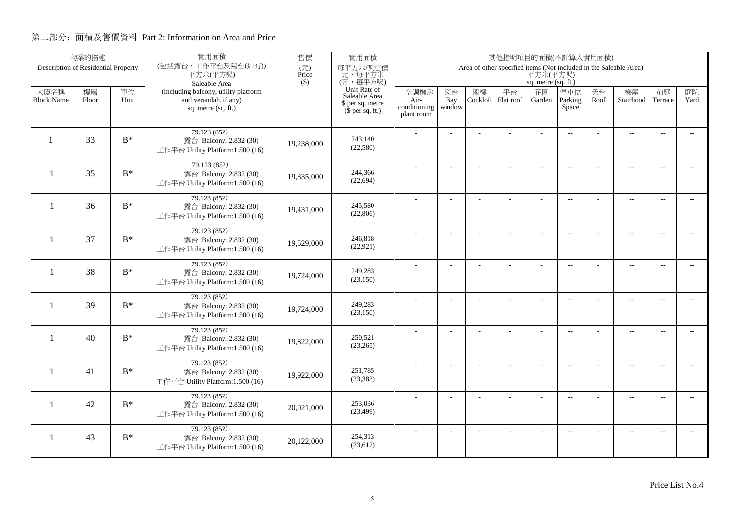|                           | 物業的描述                               |                | 實用面積                                                          | 售價           | 實用面積<br>其他指明項目的面積(不計算入實用面積)          |              |                |                |                                                                   |                     |                          |            |                          |                          |                          |
|---------------------------|-------------------------------------|----------------|---------------------------------------------------------------|--------------|--------------------------------------|--------------|----------------|----------------|-------------------------------------------------------------------|---------------------|--------------------------|------------|--------------------------|--------------------------|--------------------------|
|                           | Description of Residential Property |                | (包括露台,工作平台及陽台(如有))<br>平方米(平方呎)                                | (元)<br>Price | 每平方米/呎售價<br>元,每平方米                   |              |                |                | Area of other specified items (Not included in the Saleable Area) | 平方米(平方呎)            |                          |            |                          |                          |                          |
|                           |                                     |                | Saleable Area                                                 | $($ \$)      | (元,每平方呎)                             |              |                |                |                                                                   | sq. metre (sq. ft.) |                          |            |                          |                          |                          |
| 大廈名稱<br><b>Block Name</b> | 樓層<br>Floor                         | 單位<br>Unit     | (including balcony, utility platform<br>and verandah, if any) |              | Unit Rate of<br>Saleable Area        | 空調機房<br>Air- | 窗台<br>Bay      | 閣樓<br>Cockloft | 平台<br>Flat roof                                                   | 花園<br>Garden        | 停車位<br>Parking           | 天台<br>Roof | 梯屋<br>Stairhood          | 前庭<br>Terrace            | 庭院<br>Yard               |
|                           |                                     |                | sq. metre (sq. ft.)                                           |              | \$ per sq. metre<br>$$$ per sq. ft.) | conditioning | window         |                |                                                                   |                     | Space                    |            |                          |                          |                          |
|                           |                                     |                |                                                               |              |                                      | plant room   |                |                |                                                                   |                     |                          |            |                          |                          |                          |
|                           |                                     |                | 79.123 (852)                                                  |              |                                      |              |                |                |                                                                   |                     | $\overline{a}$           |            | $\overline{\phantom{a}}$ | $\overline{\phantom{a}}$ |                          |
| $\mathbf{1}$              | 33                                  | $B^*$          | 露台 Balcony: 2.832 (30)                                        | 19,238,000   | 243,140<br>(22, 580)                 |              |                |                |                                                                   |                     |                          |            |                          |                          |                          |
|                           |                                     |                | 工作平台 Utility Platform:1.500 (16)                              |              |                                      |              |                |                |                                                                   |                     |                          |            |                          |                          |                          |
| $\overline{\phantom{0}}$  | 35                                  | $B^*$          | 79.123 (852)                                                  |              | 244,366                              |              |                |                | ÷.                                                                | ÷                   | $\overline{a}$           |            | $\overline{\phantom{a}}$ | $\sim$                   | $\sim$                   |
|                           |                                     |                | 露台 Balcony: 2.832 (30)<br>工作平台 Utility Platform:1.500 (16)    | 19,335,000   | (22, 694)                            |              |                |                |                                                                   |                     |                          |            |                          |                          |                          |
|                           |                                     |                | 79.123 (852)                                                  |              |                                      |              |                |                |                                                                   |                     |                          |            |                          |                          |                          |
| $\overline{\phantom{0}}$  | 36                                  | $B^*$          | 露台 Balcony: 2.832 (30)                                        | 19,431,000   | 245,580                              |              | L.             |                |                                                                   | L,                  | $\overline{a}$           |            | $\overline{\phantom{a}}$ | $\sim$                   | $\overline{\phantom{a}}$ |
|                           |                                     |                | 工作平台 Utility Platform:1.500 (16)                              |              | (22, 806)                            |              |                |                |                                                                   |                     |                          |            |                          |                          |                          |
|                           |                                     |                | 79.123 (852)                                                  |              |                                      |              |                |                |                                                                   | ÷.                  | $\overline{a}$           |            | $\overline{\phantom{a}}$ | $\overline{\phantom{a}}$ | $- -$                    |
| -1                        | 37                                  | $\mathbf{B}^*$ | 露台 Balcony: 2.832 (30)                                        | 19,529,000   | 246,818<br>(22, 921)                 |              |                |                |                                                                   |                     |                          |            |                          |                          |                          |
|                           |                                     |                | 工作平台 Utility Platform:1.500 (16)                              |              |                                      |              |                |                |                                                                   |                     |                          |            |                          |                          |                          |
| -1                        | 38                                  | $B^*$          | 79.123 (852)                                                  |              | 249,283                              |              |                |                |                                                                   |                     | $\sim$                   |            | $\overline{\phantom{a}}$ | $\sim$                   | $\sim$                   |
|                           |                                     |                | 露台 Balcony: 2.832 (30)<br>工作平台 Utility Platform:1.500 (16)    | 19,724,000   | (23, 150)                            |              |                |                |                                                                   |                     |                          |            |                          |                          |                          |
|                           |                                     |                | 79.123 (852)                                                  |              |                                      |              |                |                |                                                                   |                     |                          |            |                          |                          |                          |
| -1                        | 39                                  | $B^*$          | 露台 Balcony: 2.832 (30)                                        | 19,724,000   | 249,283                              |              | $\overline{a}$ |                |                                                                   | ÷,                  | $\overline{\phantom{m}}$ |            | $\overline{\phantom{m}}$ | $\overline{\phantom{a}}$ | $- -$                    |
|                           |                                     |                | 工作平台 Utility Platform:1.500 (16)                              |              | (23,150)                             |              |                |                |                                                                   |                     |                          |            |                          |                          |                          |
|                           |                                     |                | 79.123 (852)                                                  |              |                                      |              | ÷              |                |                                                                   | $\overline{a}$      | $\overline{a}$           |            | $\overline{a}$           | $\overline{\phantom{a}}$ | $\overline{\phantom{0}}$ |
| $\mathbf{1}$              | 40                                  | $B^*$          | 露台 Balcony: 2.832 (30)                                        | 19,822,000   | 250,521<br>(23,265)                  |              |                |                |                                                                   |                     |                          |            |                          |                          |                          |
|                           |                                     |                | 工作平台 Utility Platform:1.500 (16)                              |              |                                      |              |                |                |                                                                   |                     |                          |            |                          |                          |                          |
| -1                        | 41                                  | $B^*$          | 79.123 (852)                                                  |              | 251,785                              |              | L.             |                | L,                                                                | L,                  | $\overline{\phantom{a}}$ |            | $\overline{\phantom{a}}$ | $\sim$                   | $\overline{a}$           |
|                           |                                     |                | 露台 Balcony: 2.832 (30)<br>工作平台 Utility Platform:1.500 (16)    | 19,922,000   | (23, 383)                            |              |                |                |                                                                   |                     |                          |            |                          |                          |                          |
|                           |                                     |                | 79.123 (852)                                                  |              |                                      |              |                |                |                                                                   |                     |                          |            |                          |                          |                          |
| $\mathbf{1}$              | 42                                  | $B^*$          | 露台 Balcony: 2.832 (30)                                        | 20,021,000   | 253,036                              |              | $\overline{a}$ |                | L,                                                                | ÷,                  | $\overline{\phantom{m}}$ |            | $\overline{\phantom{a}}$ | $\sim$                   | $- -$                    |
|                           |                                     |                | 工作平台 Utility Platform:1.500 (16)                              |              | (23, 499)                            |              |                |                |                                                                   |                     |                          |            |                          |                          |                          |
|                           |                                     |                | 79.123 (852)                                                  |              |                                      |              |                |                |                                                                   |                     | $\overline{\phantom{a}}$ |            | $\overline{\phantom{m}}$ | $\overline{a}$           | $\overline{\phantom{a}}$ |
| 1                         | 43                                  | $B^*$          | 露台 Balcony: 2.832 (30)                                        | 20,122,000   | 254,313<br>(23,617)                  |              |                |                |                                                                   |                     |                          |            |                          |                          |                          |
|                           |                                     |                | 工作平台 Utility Platform:1.500 (16)                              |              |                                      |              |                |                |                                                                   |                     |                          |            |                          |                          |                          |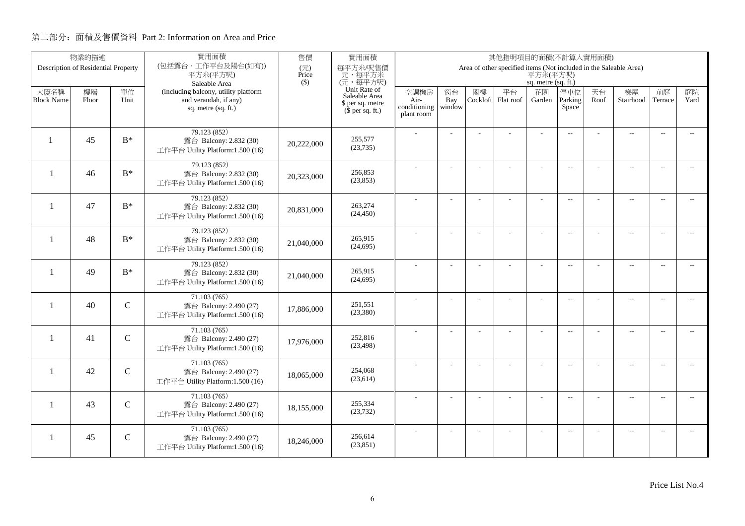|                          | 物業的描述                               |             | 實用面積                                                       | 售價           | 實用面積                                 | 其他指明項目的面積(不計算入實用面積)  |                |          |                                                                   |                     |                          |      |                          |                          |                          |
|--------------------------|-------------------------------------|-------------|------------------------------------------------------------|--------------|--------------------------------------|----------------------|----------------|----------|-------------------------------------------------------------------|---------------------|--------------------------|------|--------------------------|--------------------------|--------------------------|
|                          | Description of Residential Property |             | (包括露台,工作平台及陽台(如有))<br>平方米(平方呎)                             | (元)<br>Price | 每平方米/呎售價<br>元,每平方米                   |                      |                |          | Area of other specified items (Not included in the Saleable Area) | 平方米(平方呎)            |                          |      |                          |                          |                          |
|                          |                                     |             | Saleable Area                                              | $($ \$)      | (元,每平方呎)                             |                      |                |          |                                                                   | sq. metre (sq. ft.) |                          |      |                          |                          |                          |
| 大廈名稱                     | 樓層                                  | 單位          | (including balcony, utility platform                       |              | Unit Rate of<br>Saleable Area        | 空調機房                 | 窗台             | 閣樓       | 平台                                                                | 花園                  | 停車位                      | 天台   | 梯屋                       | 前庭                       | 庭院                       |
| <b>Block Name</b>        | Floor                               | Unit        | and verandah, if any)<br>sq. metre (sq. ft.)               |              | \$ per sq. metre<br>$$$ per sq. ft.) | Air-<br>conditioning | Bay<br>window  | Cockloft | Flat roof                                                         | Garden              | Parking<br>Space         | Roof | Stairhood                | Terrace                  | Yard                     |
|                          |                                     |             |                                                            |              |                                      | plant room           |                |          |                                                                   |                     |                          |      |                          |                          |                          |
|                          |                                     |             | 79.123 (852)                                               |              |                                      |                      |                |          |                                                                   |                     | $\overline{a}$           |      | $\overline{a}$           | $\overline{\phantom{a}}$ |                          |
| $\mathbf{1}$             | 45                                  | $B^*$       | 露台 Balcony: 2.832 (30)                                     | 20,222,000   | 255,577                              |                      |                |          |                                                                   |                     |                          |      |                          |                          |                          |
|                          |                                     |             | 工作平台 Utility Platform:1.500 (16)                           |              | (23, 735)                            |                      |                |          |                                                                   |                     |                          |      |                          |                          |                          |
|                          |                                     |             | 79.123 (852)                                               |              |                                      |                      |                |          | ÷.                                                                | ÷                   | $\overline{a}$           |      | $\overline{\phantom{a}}$ | $\sim$                   |                          |
| $\mathbf{1}$             | 46                                  | $B^*$       | 露台 Balcony: 2.832 (30)<br>工作平台 Utility Platform:1.500 (16) | 20,323,000   | 256,853<br>(23, 853)                 |                      |                |          |                                                                   |                     |                          |      |                          |                          |                          |
|                          |                                     |             |                                                            |              |                                      |                      |                |          |                                                                   |                     |                          |      |                          |                          |                          |
| $\overline{\phantom{0}}$ | 47                                  | $B^*$       | 79.123 (852)<br>露台 Balcony: 2.832 (30)                     |              | 263,274                              |                      | L.             |          |                                                                   | L,                  | $\overline{a}$           |      | $\overline{\phantom{a}}$ | $\sim$                   | $\overline{a}$           |
|                          |                                     |             | 工作平台 Utility Platform:1.500 (16)                           | 20,831,000   | (24, 450)                            |                      |                |          |                                                                   |                     |                          |      |                          |                          |                          |
|                          |                                     |             | 79.123 (852)                                               |              |                                      |                      |                |          |                                                                   | L,                  | $\overline{a}$           |      | $\overline{\phantom{a}}$ | $\overline{\phantom{a}}$ | $- -$                    |
| -1                       | 48                                  | $B^*$       | 露台 Balcony: 2.832 (30)                                     | 21,040,000   | 265,915                              |                      |                |          |                                                                   |                     |                          |      |                          |                          |                          |
|                          |                                     |             | 工作平台 Utility Platform:1.500 (16)                           |              | (24, 695)                            |                      |                |          |                                                                   |                     |                          |      |                          |                          |                          |
|                          |                                     |             | 79.123 (852)                                               |              | 265,915                              |                      |                |          |                                                                   |                     | $\sim$                   |      | $\overline{\phantom{a}}$ | $\sim$                   | $\sim$                   |
| $\mathbf{1}$             | 49                                  | $B^*$       | 露台 Balcony: 2.832 (30)<br>工作平台 Utility Platform:1.500 (16) | 21,040,000   | (24, 695)                            |                      |                |          |                                                                   |                     |                          |      |                          |                          |                          |
|                          |                                     |             |                                                            |              |                                      |                      |                |          |                                                                   |                     |                          |      |                          |                          |                          |
| $\mathbf{1}$             | 40                                  | $\mathbf C$ | 71.103(765)<br>露台 Balcony: 2.490 (27)                      |              | 251.551                              |                      | $\overline{a}$ |          |                                                                   | ÷,                  | $\overline{\phantom{m}}$ |      | $\overline{\phantom{m}}$ | $\overline{\phantom{a}}$ | $- -$                    |
|                          |                                     |             | 工作平台 Utility Platform:1.500 (16)                           | 17,886,000   | (23,380)                             |                      |                |          |                                                                   |                     |                          |      |                          |                          |                          |
|                          |                                     |             | 71.103 (765)                                               |              |                                      |                      | ÷              |          |                                                                   | $\overline{a}$      | $\overline{a}$           |      | $\overline{\phantom{a}}$ | $\overline{\phantom{a}}$ | $- -$                    |
| $\mathbf{1}$             | 41                                  | $\mathbf C$ | 露台 Balcony: 2.490 (27)                                     | 17.976.000   | 252,816                              |                      |                |          |                                                                   |                     |                          |      |                          |                          |                          |
|                          |                                     |             | 工作平台 Utility Platform:1.500 (16)                           |              | (23, 498)                            |                      |                |          |                                                                   |                     |                          |      |                          |                          |                          |
|                          |                                     |             | 71.103(765)                                                |              | 254,068                              |                      | L.             |          | L,                                                                | L,                  | $\overline{\phantom{a}}$ |      | $\overline{\phantom{a}}$ | $\sim$                   | $\overline{a}$           |
| -1                       | 42                                  | $\mathbf C$ | 露台 Balcony: 2.490 (27)<br>工作平台 Utility Platform:1.500 (16) | 18,065,000   | (23, 614)                            |                      |                |          |                                                                   |                     |                          |      |                          |                          |                          |
|                          |                                     |             |                                                            |              |                                      |                      |                |          |                                                                   |                     |                          |      |                          |                          |                          |
| 1                        | 43                                  | $\mathbf C$ | 71.103 (765)<br>露台 Balcony: 2.490 (27)                     |              | 255,334                              |                      | $\overline{a}$ |          |                                                                   |                     | $\overline{\phantom{m}}$ |      | $\overline{\phantom{a}}$ | $\sim$                   | $- -$                    |
|                          |                                     |             | 工作平台 Utility Platform:1.500 (16)                           | 18,155,000   | (23, 732)                            |                      |                |          |                                                                   |                     |                          |      |                          |                          |                          |
|                          |                                     |             | 71.103(765)                                                |              |                                      |                      |                |          |                                                                   |                     | $\overline{\phantom{a}}$ |      | $\overline{\phantom{m}}$ | $\overline{a}$           | $\overline{\phantom{a}}$ |
| 1                        | 45                                  | $\mathbf C$ | 露台 Balcony: 2.490 (27)                                     | 18,246,000   | 256,614<br>(23, 851)                 |                      |                |          |                                                                   |                     |                          |      |                          |                          |                          |
|                          |                                     |             | 工作平台 Utility Platform:1.500 (16)                           |              |                                      |                      |                |          |                                                                   |                     |                          |      |                          |                          |                          |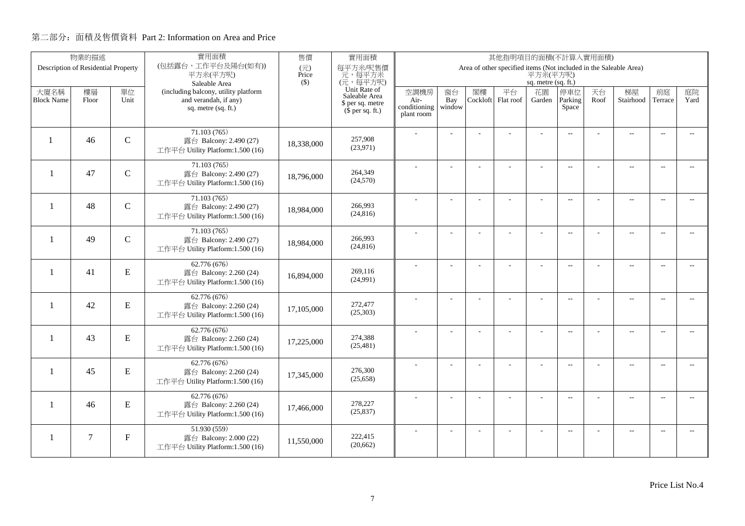|                          | 物業的描述                               |               | 實用面積                                                       | 售價           | 實用面積<br>其他指明項目的面積(不計算入實用面積)   |                      |                |          |                                                                   |                     |                          |      |                          |                          |                          |
|--------------------------|-------------------------------------|---------------|------------------------------------------------------------|--------------|-------------------------------|----------------------|----------------|----------|-------------------------------------------------------------------|---------------------|--------------------------|------|--------------------------|--------------------------|--------------------------|
|                          | Description of Residential Property |               | (包括露台,工作平台及陽台(如有))<br>平方米(平方呎)                             | (元)<br>Price | 每平方米/呎售價<br>元,每平方米            |                      |                |          | Area of other specified items (Not included in the Saleable Area) | 平方米(平方呎)            |                          |      |                          |                          |                          |
|                          |                                     |               | Saleable Area                                              | $($ \$)      | (元,每平方呎)                      |                      |                |          |                                                                   | sq. metre (sq. ft.) |                          |      |                          |                          |                          |
| 大廈名稱                     | 樓層                                  | 單位            | (including balcony, utility platform                       |              | Unit Rate of<br>Saleable Area | 空調機房                 | 窗台             | 閣樓       | 平台                                                                | 花園                  | 停車位                      | 天台   | 梯屋                       | 前庭                       | 庭院                       |
| <b>Block Name</b>        | Floor                               | Unit          | and verandah, if any)<br>sq. metre (sq. ft.)               |              | \$ per sq. metre              | Air-<br>conditioning | Bay<br>window  | Cockloft | Flat roof                                                         | Garden              | Parking<br>Space         | Roof | Stairhood                | Terrace                  | Yard                     |
|                          |                                     |               |                                                            |              | $$$ per sq. ft.)              | plant room           |                |          |                                                                   |                     |                          |      |                          |                          |                          |
|                          |                                     |               | 71.103(765)                                                |              |                               |                      |                |          |                                                                   |                     | $\overline{a}$           |      | $\overline{a}$           | $\overline{\phantom{a}}$ |                          |
| $\mathbf{1}$             | 46                                  | $\mathbf C$   | 露台 Balcony: 2.490 (27)                                     | 18,338,000   | 257,908<br>(23,971)           |                      |                |          |                                                                   |                     |                          |      |                          |                          |                          |
|                          |                                     |               | 工作平台 Utility Platform:1.500 (16)                           |              |                               |                      |                |          |                                                                   |                     |                          |      |                          |                          |                          |
| $\mathbf{1}$             | 47                                  | $\mathbf C$   | 71.103 (765)<br>露台 Balcony: 2.490 (27)                     |              | 264,349                       |                      |                |          | ÷.                                                                | ÷                   | $\overline{a}$           |      | $\overline{\phantom{a}}$ | $\sim$                   |                          |
|                          |                                     |               | 工作平台 Utility Platform:1.500 (16)                           | 18,796,000   | (24, 570)                     |                      |                |          |                                                                   |                     |                          |      |                          |                          |                          |
|                          |                                     |               | 71.103(765)                                                |              |                               |                      |                |          |                                                                   |                     |                          |      |                          |                          |                          |
| $\overline{\phantom{0}}$ | 48                                  | $\mathcal{C}$ | 露台 Balcony: 2.490 (27)                                     | 18,984,000   | 266,993                       |                      | L.             |          |                                                                   | L,                  | $\overline{a}$           |      | $\overline{\phantom{a}}$ | $\sim$                   | $\overline{a}$           |
|                          |                                     |               | 工作平台 Utility Platform:1.500 (16)                           |              | (24, 816)                     |                      |                |          |                                                                   |                     |                          |      |                          |                          |                          |
|                          |                                     |               | 71.103 (765)                                               |              |                               |                      |                |          |                                                                   | L,                  | $\mathbf{L}$             |      | $\overline{\phantom{a}}$ | $\overline{\phantom{a}}$ | $- -$                    |
| -1                       | 49                                  | $\mathsf{C}$  | 露台 Balcony: 2.490 (27)<br>工作平台 Utility Platform:1.500 (16) | 18,984,000   | 266,993<br>(24, 816)          |                      |                |          |                                                                   |                     |                          |      |                          |                          |                          |
|                          |                                     |               |                                                            |              |                               |                      |                |          |                                                                   |                     |                          |      |                          |                          |                          |
| $\mathbf{1}$             | 41                                  | ${\bf E}$     | 62.776 (676)<br>露台 Balcony: 2.260 (24)                     |              | 269,116                       |                      |                |          |                                                                   |                     | $\sim$                   |      | $\overline{\phantom{a}}$ | $\sim$                   | $\sim$                   |
|                          |                                     |               | 工作平台 Utility Platform:1.500 (16)                           | 16,894,000   | (24,991)                      |                      |                |          |                                                                   |                     |                          |      |                          |                          |                          |
|                          |                                     |               | 62.776 (676)                                               |              |                               |                      | $\overline{a}$ |          |                                                                   | ÷,                  | $\overline{\phantom{m}}$ |      | $\overline{\phantom{m}}$ | $\overline{\phantom{a}}$ | $- -$                    |
| -1                       | 42                                  | ${\bf E}$     | 露台 Balcony: 2.260 (24)                                     | 17,105,000   | 272,477                       |                      |                |          |                                                                   |                     |                          |      |                          |                          |                          |
|                          |                                     |               | 工作平台 Utility Platform:1.500 (16)                           |              | (25,303)                      |                      |                |          |                                                                   |                     |                          |      |                          |                          |                          |
|                          |                                     |               | 62.776 (676)                                               |              |                               |                      | ÷              |          |                                                                   | $\overline{a}$      | $\overline{a}$           |      | $\overline{\phantom{a}}$ | $\overline{\phantom{a}}$ | $\overline{\phantom{0}}$ |
| $\mathbf{1}$             | 43                                  | ${\bf E}$     | 露台 Balcony: 2.260 (24)<br>工作平台 Utility Platform:1.500 (16) | 17,225,000   | 274,388<br>(25, 481)          |                      |                |          |                                                                   |                     |                          |      |                          |                          |                          |
|                          |                                     |               |                                                            |              |                               |                      |                |          |                                                                   |                     |                          |      |                          |                          |                          |
| -1                       | 45                                  | E             | 62.776 (676)<br>露台 Balcony: 2.260 (24)                     |              | 276,300                       |                      | L.             |          | L,                                                                | L,                  | $\overline{\phantom{a}}$ |      | $\overline{a}$           | $\sim$                   | $\overline{a}$           |
|                          |                                     |               | 工作平台 Utility Platform:1.500 (16)                           | 17,345,000   | (25, 658)                     |                      |                |          |                                                                   |                     |                          |      |                          |                          |                          |
|                          |                                     |               | 62.776 (676)                                               |              |                               |                      |                |          |                                                                   |                     | $\overline{\phantom{m}}$ |      | $\overline{\phantom{a}}$ | $\sim$                   | $- -$                    |
| 1                        | 46                                  | ${\bf E}$     | 露台 Balcony: 2.260 (24)                                     | 17,466,000   | 278,227<br>(25, 837)          |                      |                |          |                                                                   |                     |                          |      |                          |                          |                          |
|                          |                                     |               | 工作平台 Utility Platform:1.500 (16)                           |              |                               |                      |                |          |                                                                   |                     |                          |      |                          |                          |                          |
|                          | $\tau$                              | $\mathbf F$   | 51.930 (559)                                               |              | 222,415                       |                      |                |          |                                                                   |                     | $\overline{\phantom{a}}$ |      | $\overline{\phantom{m}}$ | $\overline{a}$           | $\overline{\phantom{a}}$ |
| -1                       |                                     |               | 露台 Balcony: 2.000 (22)<br>工作平台 Utility Platform:1.500 (16) | 11,550,000   | (20, 662)                     |                      |                |          |                                                                   |                     |                          |      |                          |                          |                          |
|                          |                                     |               |                                                            |              |                               |                      |                |          |                                                                   |                     |                          |      |                          |                          |                          |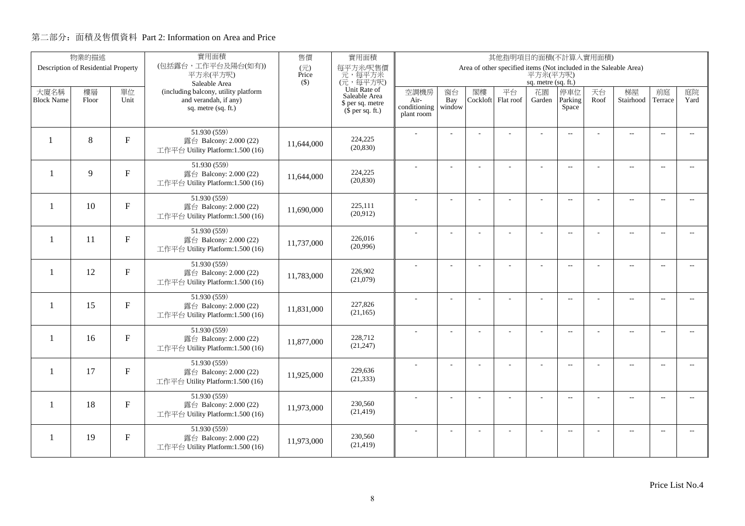|                           | 物業的描述                               |              | 實用面積                                                          | 售價           | 實用面積<br>其他指明項目的面積(不計算入實用面積)          |                            |                |                |                                                                   |                     |                          |            |                          |                          |                          |
|---------------------------|-------------------------------------|--------------|---------------------------------------------------------------|--------------|--------------------------------------|----------------------------|----------------|----------------|-------------------------------------------------------------------|---------------------|--------------------------|------------|--------------------------|--------------------------|--------------------------|
|                           | Description of Residential Property |              | (包括露台,工作平台及陽台(如有))<br>平方米(平方呎)                                | (元)<br>Price | 每平方米/呎售價<br>元,每平方米                   |                            |                |                | Area of other specified items (Not included in the Saleable Area) | 平方米(平方呎)            |                          |            |                          |                          |                          |
|                           |                                     |              | Saleable Area                                                 | $($ \$)      | (元,每平方呎)                             |                            |                |                |                                                                   | sq. metre (sq. ft.) |                          |            |                          |                          |                          |
| 大廈名稱<br><b>Block Name</b> | 樓層<br>Floor                         | 單位<br>Unit   | (including balcony, utility platform<br>and verandah, if any) |              | Unit Rate of<br>Saleable Area        | 空調機房<br>Air-               | 窗台<br>Bay      | 閣樓<br>Cockloft | 平台<br>Flat roof                                                   | 花園<br>Garden        | 停車位<br>Parking           | 天台<br>Roof | 梯屋<br>Stairhood          | 前庭<br>Terrace            | 庭院<br>Yard               |
|                           |                                     |              | sq. metre (sq. ft.)                                           |              | \$ per sq. metre<br>$$$ per sq. ft.) | conditioning<br>plant room | window         |                |                                                                   |                     | Space                    |            |                          |                          |                          |
|                           |                                     |              |                                                               |              |                                      |                            |                |                |                                                                   |                     |                          |            |                          |                          |                          |
| $\mathbf{1}$              | 8                                   | F            | 51.930 (559)<br>露台 Balcony: 2.000 (22)                        | 11,644,000   | 224,225                              |                            |                |                |                                                                   |                     | $\overline{a}$           |            | $\overline{a}$           | $\overline{\phantom{a}}$ |                          |
|                           |                                     |              | 工作平台 Utility Platform:1.500 (16)                              |              | (20, 830)                            |                            |                |                |                                                                   |                     |                          |            |                          |                          |                          |
| $\mathbf{1}$              | 9                                   | $\mathbf{F}$ | 51.930 (559)                                                  |              | 224,225                              |                            |                |                | ÷.                                                                | ÷                   | $\overline{a}$           |            | $\overline{a}$           | $\sim$                   |                          |
|                           |                                     |              | 露台 Balcony: 2.000 (22)<br>工作平台 Utility Platform:1.500 (16)    | 11,644,000   | (20, 830)                            |                            |                |                |                                                                   |                     |                          |            |                          |                          |                          |
|                           |                                     |              | 51.930 (559)                                                  |              |                                      |                            | L.             |                |                                                                   | L,                  | $\overline{a}$           |            | $\overline{\phantom{a}}$ | $\sim$                   | $\overline{a}$           |
| -1                        | 10                                  | $F_{\rm}$    | 露台 Balcony: 2.000 (22)                                        | 11,690,000   | 225,111<br>(20,912)                  |                            |                |                |                                                                   |                     |                          |            |                          |                          |                          |
|                           |                                     |              | 工作平台 Utility Platform:1.500 (16)                              |              |                                      |                            |                |                |                                                                   |                     |                          |            |                          |                          |                          |
| $\mathbf{1}$              | 11                                  | $\mathbf{F}$ | 51.930 (559)<br>露台 Balcony: 2.000 (22)                        |              | 226,016                              |                            |                |                |                                                                   | $\overline{a}$      | $\overline{\phantom{a}}$ |            | $\overline{\phantom{a}}$ | $\overline{\phantom{a}}$ | $- -$                    |
|                           |                                     |              | 工作平台 Utility Platform:1.500 (16)                              | 11,737,000   | (20,996)                             |                            |                |                |                                                                   |                     |                          |            |                          |                          |                          |
|                           |                                     |              | 51.930 (559)                                                  |              | 226,902                              |                            |                |                |                                                                   |                     | $\sim$                   |            | $\overline{\phantom{a}}$ | $\sim$                   | $\sim$                   |
| $\mathbf{1}$              | 12                                  | $\mathbf F$  | 露台 Balcony: 2.000 (22)<br>工作平台 Utility Platform:1.500 (16)    | 11,783,000   | (21,079)                             |                            |                |                |                                                                   |                     |                          |            |                          |                          |                          |
|                           |                                     |              | 51.930 (559)                                                  |              |                                      |                            | $\overline{a}$ |                |                                                                   | ÷,                  | $\overline{\phantom{m}}$ |            | $\overline{\phantom{m}}$ | $\overline{\phantom{a}}$ | $- -$                    |
| $\mathbf{1}$              | 15                                  | $F_{\rm}$    | 露台 Balcony: 2.000 (22)                                        | 11,831,000   | 227,826<br>(21, 165)                 |                            |                |                |                                                                   |                     |                          |            |                          |                          |                          |
|                           |                                     |              | 工作平台 Utility Platform:1.500 (16)                              |              |                                      |                            |                |                |                                                                   |                     |                          |            |                          |                          |                          |
| $\mathbf{1}$              | 16                                  | $\mathbf{F}$ | 51.930 (559)<br>露台 Balcony: 2.000 (22)                        | 11,877,000   | 228,712                              |                            | ÷              |                |                                                                   | $\overline{a}$      | $\overline{a}$           |            | $\overline{a}$           | $\overline{\phantom{a}}$ | $\overline{\phantom{0}}$ |
|                           |                                     |              | 工作平台 Utility Platform:1.500 (16)                              |              | (21, 247)                            |                            |                |                |                                                                   |                     |                          |            |                          |                          |                          |
|                           |                                     |              | 51.930 (559)                                                  |              | 229,636                              |                            | L.             |                | L,                                                                | L,                  | $\overline{\phantom{a}}$ |            | $\overline{\phantom{a}}$ | $\sim$                   | $\overline{a}$           |
| $\mathbf{1}$              | 17                                  | $F_{\rm}$    | 露台 Balcony: 2.000 (22)<br>工作平台 Utility Platform:1.500 (16)    | 11,925,000   | (21, 333)                            |                            |                |                |                                                                   |                     |                          |            |                          |                          |                          |
|                           |                                     |              | 51.930 (559)                                                  |              |                                      |                            | ÷              |                | L,                                                                | ÷,                  |                          |            |                          | $\sim$                   | $\overline{\phantom{a}}$ |
| 1                         | 18                                  | $\mathbf{F}$ | 露台 Balcony: 2.000 (22)                                        | 11,973,000   | 230,560<br>(21, 419)                 |                            |                |                |                                                                   |                     | $\overline{\phantom{m}}$ |            | $\overline{\phantom{a}}$ |                          |                          |
|                           |                                     |              | 工作平台 Utility Platform:1.500 (16)                              |              |                                      |                            |                |                |                                                                   |                     |                          |            |                          |                          |                          |
| -1                        | 19                                  | $\mathbf F$  | 51.930 (559)<br>露台 Balcony: 2.000 (22)                        |              | 230,560                              |                            |                |                |                                                                   |                     | $\overline{\phantom{a}}$ |            | $\overline{\phantom{m}}$ | $\overline{a}$           | $\overline{\phantom{a}}$ |
|                           |                                     |              | 工作平台 Utility Platform:1.500 (16)                              | 11,973,000   | (21, 419)                            |                            |                |                |                                                                   |                     |                          |            |                          |                          |                          |
|                           |                                     |              |                                                               |              |                                      |                            |                |                |                                                                   |                     |                          |            |                          |                          |                          |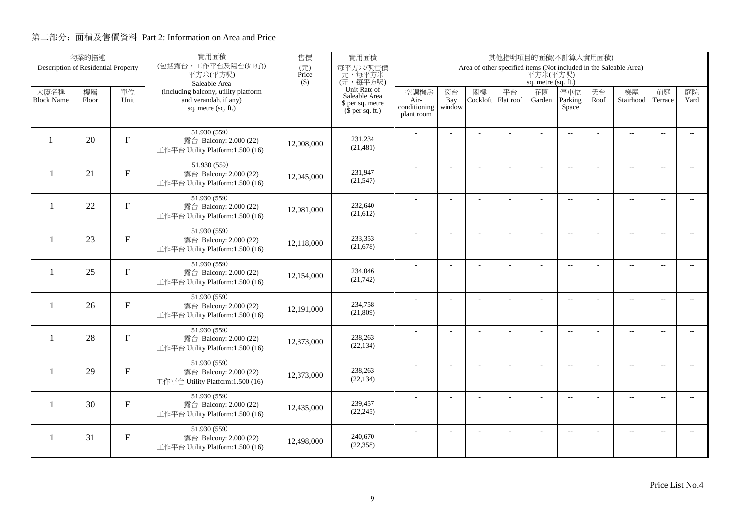|                          | 物業的描述                               |              | 實用面積                                                       | 售價                                | 實用面積<br>其他指明項目的面積(不計算入實用面積)   |                      |                |          |                                                                   |                     |                          |      |                          |                          |                          |
|--------------------------|-------------------------------------|--------------|------------------------------------------------------------|-----------------------------------|-------------------------------|----------------------|----------------|----------|-------------------------------------------------------------------|---------------------|--------------------------|------|--------------------------|--------------------------|--------------------------|
|                          | Description of Residential Property |              | (包括露台,工作平台及陽台(如有))<br>平方米(平方呎)                             | $(\overrightarrow{\pi})$<br>Price | 每平方米/呎售價<br>元,每平方米            |                      |                |          | Area of other specified items (Not included in the Saleable Area) | 平方米(平方呎)            |                          |      |                          |                          |                          |
|                          |                                     |              | Saleable Area                                              | $($ \$)                           | (元,每平方呎)                      |                      |                |          |                                                                   | sq. metre (sq. ft.) |                          |      |                          |                          |                          |
| 大廈名稱                     | 樓層                                  | 單位           | (including balcony, utility platform                       |                                   | Unit Rate of<br>Saleable Area | 空調機房                 | 窗台             | 閣樓       | 平台                                                                | 花園                  | 停車位                      | 天台   | 梯屋                       | 前庭                       | 庭院                       |
| <b>Block Name</b>        | Floor                               | Unit         | and verandah, if any)<br>sq. metre (sq. ft.)               |                                   | \$ per sq. metre              | Air-<br>conditioning | Bay<br>window  | Cockloft | Flat roof                                                         | Garden              | Parking<br>Space         | Roof | Stairhood                | Terrace                  | Yard                     |
|                          |                                     |              |                                                            |                                   | $(\bar{\S}$ per sq. ft.)      | plant room           |                |          |                                                                   |                     |                          |      |                          |                          |                          |
|                          |                                     |              | 51.930 (559)                                               |                                   |                               |                      |                |          |                                                                   |                     |                          |      |                          |                          |                          |
|                          | 20                                  | F            | 露台 Balcony: 2.000 (22)                                     | 12,008,000                        | 231,234                       |                      |                |          |                                                                   |                     | $\overline{a}$           |      | $\overline{\phantom{a}}$ | $\sim$                   |                          |
|                          |                                     |              | 工作平台 Utility Platform:1.500 (16)                           |                                   | (21, 481)                     |                      |                |          |                                                                   |                     |                          |      |                          |                          |                          |
|                          |                                     |              | 51.930 (559)                                               |                                   |                               |                      |                |          |                                                                   |                     | $\overline{\phantom{a}}$ |      | $\overline{\phantom{a}}$ | $\sim$                   |                          |
| $\overline{\phantom{0}}$ | 21                                  | F            | 露台 Balcony: 2.000 (22)                                     | 12,045,000                        | 231,947                       |                      |                |          |                                                                   |                     |                          |      |                          |                          |                          |
|                          |                                     |              | 工作平台 Utility Platform:1.500 (16)                           |                                   | (21, 547)                     |                      |                |          |                                                                   |                     |                          |      |                          |                          |                          |
|                          |                                     |              | 51.930 (559)                                               |                                   |                               |                      | $\overline{a}$ |          | L.                                                                | ÷                   | $\overline{\phantom{a}}$ |      | $\overline{a}$           | $\overline{\phantom{a}}$ | $-$                      |
| $\mathbf{1}$             | 22                                  | F            | 露台 Balcony: 2.000 (22)<br>工作平台 Utility Platform:1.500 (16) | 12,081,000                        | 232,640<br>(21,612)           |                      |                |          |                                                                   |                     |                          |      |                          |                          |                          |
|                          |                                     |              |                                                            |                                   |                               |                      |                |          |                                                                   |                     |                          |      |                          |                          |                          |
| -1                       | 23                                  | $\mathbf{F}$ | 51.930 (559)                                               |                                   | 233,353                       |                      |                |          |                                                                   |                     | $\overline{a}$           |      | $\overline{\phantom{a}}$ | $\overline{\phantom{a}}$ | $\overline{\phantom{0}}$ |
|                          |                                     |              | 露台 Balcony: 2.000 (22)<br>工作平台 Utility Platform:1.500 (16) | 12,118,000                        | (21, 678)                     |                      |                |          |                                                                   |                     |                          |      |                          |                          |                          |
|                          |                                     |              | 51.930(559)                                                |                                   |                               |                      |                |          |                                                                   |                     |                          |      |                          |                          |                          |
| $\mathbf{1}$             | 25                                  | $\mathbf{F}$ | 露台 Balcony: 2.000 (22)                                     |                                   | 234,046                       |                      |                |          |                                                                   | ÷.                  | $\overline{a}$           |      | $\overline{a}$           | $\overline{\phantom{a}}$ | $- -$                    |
|                          |                                     |              | 工作平台 Utility Platform:1.500 (16)                           | 12,154,000                        | (21,742)                      |                      |                |          |                                                                   |                     |                          |      |                          |                          |                          |
|                          |                                     |              | 51.930 (559)                                               |                                   |                               |                      | $\overline{a}$ |          |                                                                   | ÷,                  | $\overline{\phantom{a}}$ |      | $\overline{a}$           | $\overline{\phantom{a}}$ | $\overline{\phantom{a}}$ |
| $\mathbf{1}$             | 26                                  | $\mathbf{F}$ | 露台 Balcony: 2.000 (22)                                     | 12,191,000                        | 234,758                       |                      |                |          |                                                                   |                     |                          |      |                          |                          |                          |
|                          |                                     |              | 工作平台 Utility Platform:1.500 (16)                           |                                   | (21,809)                      |                      |                |          |                                                                   |                     |                          |      |                          |                          |                          |
|                          |                                     |              | 51.930 (559)                                               |                                   |                               |                      | L.             |          |                                                                   | L,                  | $\overline{\phantom{a}}$ |      | $\overline{a}$           | $\overline{a}$           | $\overline{\phantom{a}}$ |
| $\mathbf{1}$             | 28                                  | F            | 露台 Balcony: 2.000 (22)                                     | 12,373,000                        | 238,263<br>(22, 134)          |                      |                |          |                                                                   |                     |                          |      |                          |                          |                          |
|                          |                                     |              | 工作平台 Utility Platform:1.500 (16)                           |                                   |                               |                      |                |          |                                                                   |                     |                          |      |                          |                          |                          |
| $\mathbf{1}$             | 29                                  | $\mathbf F$  | 51.930 (559)                                               |                                   | 238,263                       |                      | $\overline{a}$ |          | ÷,                                                                | ÷,                  | $\overline{\phantom{a}}$ |      | $\overline{\phantom{a}}$ | $\sim$                   | $- -$                    |
|                          |                                     |              | 露台 Balcony: 2.000 (22)<br>工作平台 Utility Platform:1.500 (16) | 12,373,000                        | (22, 134)                     |                      |                |          |                                                                   |                     |                          |      |                          |                          |                          |
|                          |                                     |              |                                                            |                                   |                               |                      |                |          |                                                                   |                     |                          |      |                          |                          |                          |
| 1                        | 30                                  | $\mathbf{F}$ | 51.930 (559)<br>露台 Balcony: 2.000 (22)                     |                                   | 239,457                       |                      | ÷              |          | ÷                                                                 | ÷                   | $\overline{\phantom{a}}$ |      | $\overline{a}$           | $\sim$                   | $\overline{\phantom{a}}$ |
|                          |                                     |              | 工作平台 Utility Platform:1.500 (16)                           | 12,435,000                        | (22, 245)                     |                      |                |          |                                                                   |                     |                          |      |                          |                          |                          |
|                          |                                     |              | 51.930 (559)                                               |                                   |                               |                      |                |          |                                                                   |                     | $\overline{\phantom{a}}$ |      | $\overline{\phantom{m}}$ | $\overline{a}$           | $\overline{a}$           |
| 1                        | 31                                  | $\mathbf{F}$ | 露台 Balcony: 2.000 (22)                                     | 12,498,000                        | 240,670                       |                      |                |          |                                                                   |                     |                          |      |                          |                          |                          |
|                          |                                     |              | 工作平台 Utility Platform:1.500 (16)                           |                                   | (22, 358)                     |                      |                |          |                                                                   |                     |                          |      |                          |                          |                          |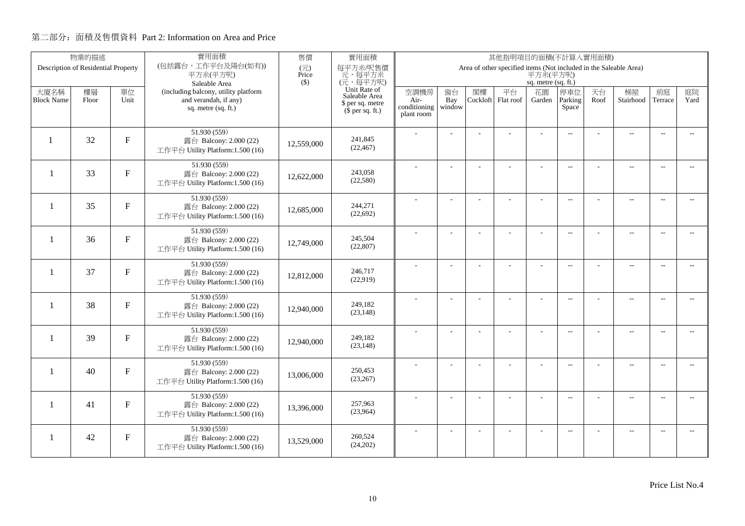|                           | 物業的描述                               |              | 實用面積                                                          | 售價           | 實用面積<br>其他指明項目的面積(不計算入實用面積)                       |                            |                |                |                                                                   |                     |                          |            |                          |                          |                          |
|---------------------------|-------------------------------------|--------------|---------------------------------------------------------------|--------------|---------------------------------------------------|----------------------------|----------------|----------------|-------------------------------------------------------------------|---------------------|--------------------------|------------|--------------------------|--------------------------|--------------------------|
|                           | Description of Residential Property |              | (包括露台,工作平台及陽台(如有))<br>平方米(平方呎)                                | (元)<br>Price | 每平方米/呎售價<br>元,每平方米                                |                            |                |                | Area of other specified items (Not included in the Saleable Area) | 平方米(平方呎)            |                          |            |                          |                          |                          |
|                           |                                     |              | Saleable Area                                                 | $($ \$)      | (元,每平方呎)                                          |                            |                |                |                                                                   | sq. metre (sq. ft.) |                          |            |                          |                          |                          |
| 大廈名稱<br><b>Block Name</b> | 樓層<br>Floor                         | 單位<br>Unit   | (including balcony, utility platform<br>and verandah, if any) |              | Unit Rate of<br>Saleable Area<br>\$ per sq. metre | 空調機房<br>Air-               | 窗台<br>Bay      | 閣樓<br>Cockloft | 平台<br>Flat roof                                                   | 花園<br>Garden        | 停車位<br>Parking           | 天台<br>Roof | 梯屋<br>Stairhood          | 前庭<br>Terrace            | 庭院<br>Yard               |
|                           |                                     |              | sq. metre (sq. ft.)                                           |              | $$$ per sq. ft.)                                  | conditioning<br>plant room | window         |                |                                                                   |                     | Space                    |            |                          |                          |                          |
| $\mathbf{1}$              | 32                                  | F            | 51.930 (559)<br>露台 Balcony: 2.000 (22)                        |              | 241,845                                           |                            |                |                |                                                                   |                     | $\overline{a}$           |            | $\overline{\phantom{a}}$ | $\overline{\phantom{a}}$ |                          |
|                           |                                     |              | 工作平台 Utility Platform:1.500 (16)                              | 12,559,000   | (22, 467)                                         |                            |                |                |                                                                   |                     |                          |            |                          |                          |                          |
| $\mathbf{1}$              | 33                                  | F            | 51.930 (559)<br>露台 Balcony: 2.000 (22)                        |              | 243,058                                           |                            |                |                | ÷.                                                                | ÷                   | $\overline{a}$           |            | $\overline{a}$           | $\sim$                   |                          |
|                           |                                     |              | 工作平台 Utility Platform:1.500 (16)                              | 12,622,000   | (22,580)                                          |                            |                |                |                                                                   |                     |                          |            |                          |                          |                          |
| $\overline{\phantom{0}}$  | 35                                  | $F_{\rm}$    | 51.930 (559)<br>露台 Balcony: 2.000 (22)                        |              | 244,271                                           |                            | L.             |                |                                                                   | L,                  | $\overline{a}$           |            | $\overline{\phantom{a}}$ | $\overline{a}$           | $\overline{a}$           |
|                           |                                     |              | 工作平台 Utility Platform:1.500 (16)                              | 12,685,000   | (22, 692)                                         |                            |                |                |                                                                   |                     |                          |            |                          |                          |                          |
| -1                        | 36                                  | $\mathbf{F}$ | 51.930 (559)<br>露台 Balcony: 2.000 (22)                        |              | 245,504                                           |                            |                |                |                                                                   | ÷.                  | $\mathbf{L}$             |            | $\overline{\phantom{a}}$ | $\overline{\phantom{a}}$ | $- -$                    |
|                           |                                     |              | 工作平台 Utility Platform:1.500 (16)                              | 12,749,000   | (22, 807)                                         |                            |                |                |                                                                   |                     |                          |            |                          |                          |                          |
| $\mathbf{1}$              | 37                                  | $\mathbf F$  | 51.930 (559)<br>露台 Balcony: 2.000 (22)                        |              | 246,717                                           |                            |                |                |                                                                   |                     | $\sim$                   |            | $\overline{\phantom{a}}$ | $\sim$                   | $\sim$                   |
|                           |                                     |              | 工作平台 Utility Platform:1.500 (16)                              | 12,812,000   | (22,919)                                          |                            |                |                |                                                                   |                     |                          |            |                          |                          |                          |
| $\mathbf{1}$              | 38                                  | $F_{\rm}$    | 51.930 (559)<br>露台 Balcony: 2.000 (22)                        | 12,940,000   | 249,182                                           |                            | $\overline{a}$ |                |                                                                   | ÷,                  | $\overline{\phantom{m}}$ |            | $\overline{\phantom{m}}$ | $\overline{\phantom{a}}$ | $- -$                    |
|                           |                                     |              | 工作平台 Utility Platform:1.500 (16)                              |              | (23, 148)                                         |                            |                |                |                                                                   |                     |                          |            |                          |                          |                          |
| $\mathbf{1}$              | 39                                  | $\mathbf{F}$ | 51.930 (559)<br>露台 Balcony: 2.000 (22)                        | 12,940,000   | 249,182                                           |                            | ÷              |                |                                                                   | $\overline{a}$      | $\overline{a}$           |            | $\overline{a}$           | $\overline{\phantom{a}}$ | $- -$                    |
|                           |                                     |              | 工作平台 Utility Platform:1.500 (16)                              |              | (23, 148)                                         |                            |                |                |                                                                   |                     |                          |            |                          |                          |                          |
| -1                        | 40                                  | $F_{\rm}$    | 51.930 (559)<br>露台 Balcony: 2.000 (22)                        | 13,006,000   | 250,453                                           |                            | L.             |                | L,                                                                | L,                  | $\overline{\phantom{a}}$ |            | $\overline{\phantom{a}}$ | $\sim$                   | $\overline{a}$           |
|                           |                                     |              | 工作平台 Utility Platform:1.500 (16)                              |              | (23, 267)                                         |                            |                |                |                                                                   |                     |                          |            |                          |                          |                          |
| $\mathbf{1}$              | 41                                  | $\mathbf{F}$ | 51.930 (559)<br>露台 Balcony: 2.000 (22)                        | 13,396,000   | 257,963                                           |                            |                |                | L,                                                                |                     | $\overline{\phantom{m}}$ |            | $\overline{\phantom{a}}$ | $\sim$                   | $\overline{\phantom{a}}$ |
|                           |                                     |              | 工作平台 Utility Platform:1.500 (16)                              |              | (23,964)                                          |                            |                |                |                                                                   |                     |                          |            |                          |                          |                          |
| 1                         | 42                                  | $\mathbf{F}$ | 51.930 (559)<br>露台 Balcony: 2.000 (22)                        | 13,529,000   | 260,524                                           |                            |                |                |                                                                   |                     | $\overline{\phantom{a}}$ |            | $\overline{\phantom{m}}$ | $\overline{a}$           | $\overline{a}$           |
|                           |                                     |              | 工作平台 Utility Platform:1.500 (16)                              |              | (24,202)                                          |                            |                |                |                                                                   |                     |                          |            |                          |                          |                          |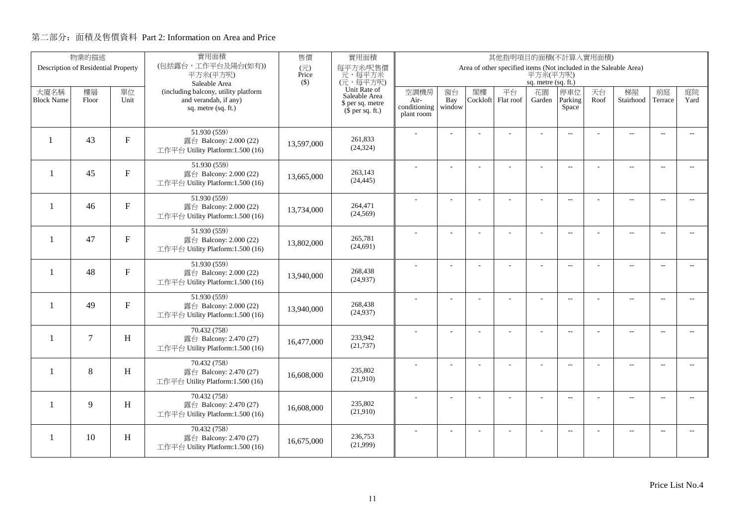|                          | 物業的描述                               |                           | 實用面積                                                       | 售價           | 實用面積                          | 其他指明項目的面積(不計算入實用面積)  |                |          |                                                                   |                     |                          |      |                          |                          |                          |
|--------------------------|-------------------------------------|---------------------------|------------------------------------------------------------|--------------|-------------------------------|----------------------|----------------|----------|-------------------------------------------------------------------|---------------------|--------------------------|------|--------------------------|--------------------------|--------------------------|
|                          | Description of Residential Property |                           | (包括露台,工作平台及陽台(如有))<br>平方米(平方呎)                             | (元)<br>Price | 每平方米/呎售價<br>元,每平方米            |                      |                |          | Area of other specified items (Not included in the Saleable Area) | 平方米(平方呎)            |                          |      |                          |                          |                          |
|                          |                                     |                           | Saleable Area                                              | $($ \$)      | (元,每平方呎)                      |                      |                |          |                                                                   | sq. metre (sq. ft.) |                          |      |                          |                          |                          |
| 大廈名稱                     | 樓層                                  | 單位                        | (including balcony, utility platform                       |              | Unit Rate of<br>Saleable Area | 空調機房                 | 窗台             | 閣樓       | 平台                                                                | 花園                  | 停車位                      | 天台   | 梯屋                       | 前庭                       | 庭院                       |
| <b>Block Name</b>        | Floor                               | Unit                      | and verandah, if any)<br>sq. metre (sq. ft.)               |              | \$ per sq. metre              | Air-<br>conditioning | Bay<br>window  | Cockloft | Flat roof                                                         | Garden              | Parking<br>Space         | Roof | Stairhood                | Terrace                  | Yard                     |
|                          |                                     |                           |                                                            |              | $$$ per sq. ft.)              | plant room           |                |          |                                                                   |                     |                          |      |                          |                          |                          |
|                          |                                     |                           | 51.930 (559)                                               |              |                               |                      |                |          |                                                                   |                     | $\overline{a}$           |      | $\overline{\phantom{a}}$ | $\overline{\phantom{a}}$ |                          |
| $\mathbf{1}$             | 43                                  | F                         | 露台 Balcony: 2.000 (22)                                     | 13,597,000   | 261,833<br>(24, 324)          |                      |                |          |                                                                   |                     |                          |      |                          |                          |                          |
|                          |                                     |                           | 工作平台 Utility Platform:1.500 (16)                           |              |                               |                      |                |          |                                                                   |                     |                          |      |                          |                          |                          |
| $\mathbf{1}$             | 45                                  | F                         | 51.930 (559)<br>露台 Balcony: 2.000 (22)                     |              | 263,143                       |                      |                |          | ÷.                                                                | ÷                   | $\overline{a}$           |      | $\overline{a}$           | $\sim$                   |                          |
|                          |                                     |                           | 工作平台 Utility Platform:1.500 (16)                           | 13,665,000   | (24, 445)                     |                      |                |          |                                                                   |                     |                          |      |                          |                          |                          |
|                          |                                     |                           | 51.930 (559)                                               |              |                               |                      |                |          |                                                                   |                     |                          |      |                          |                          |                          |
| $\overline{\phantom{0}}$ | 46                                  | $F_{\rm}$                 | 露台 Balcony: 2.000 (22)                                     | 13,734,000   | 264,471                       |                      | L.             |          |                                                                   | L,                  | $\overline{a}$           |      | $\overline{\phantom{a}}$ | $\overline{a}$           | $\overline{a}$           |
|                          |                                     |                           | 工作平台 Utility Platform:1.500 (16)                           |              | (24, 569)                     |                      |                |          |                                                                   |                     |                          |      |                          |                          |                          |
|                          |                                     |                           | 51.930 (559)                                               |              |                               |                      |                |          |                                                                   | $\overline{a}$      | $\mathbf{L}$             |      | $\overline{\phantom{a}}$ | $\overline{\phantom{a}}$ | $- -$                    |
| -1                       | 47                                  | $\mathbf{F}$              | 露台 Balcony: 2.000 (22)<br>工作平台 Utility Platform:1.500 (16) | 13,802,000   | 265,781<br>(24, 691)          |                      |                |          |                                                                   |                     |                          |      |                          |                          |                          |
|                          |                                     |                           |                                                            |              |                               |                      |                |          |                                                                   |                     |                          |      |                          |                          |                          |
| $\mathbf{1}$             | 48                                  | $\mathbf F$               | 51.930 (559)<br>露台 Balcony: 2.000 (22)                     |              | 268,438                       |                      |                |          |                                                                   |                     | $\sim$                   |      | $\overline{\phantom{a}}$ | $\sim$                   | $\sim$                   |
|                          |                                     |                           | 工作平台 Utility Platform:1.500 (16)                           | 13,940,000   | (24, 937)                     |                      |                |          |                                                                   |                     |                          |      |                          |                          |                          |
|                          |                                     |                           | 51.930 (559)                                               |              |                               |                      | $\overline{a}$ |          |                                                                   | ÷,                  | $\overline{\phantom{m}}$ |      | $\overline{\phantom{m}}$ | $\overline{\phantom{a}}$ | $- -$                    |
| $\mathbf{1}$             | 49                                  | F                         | 露台 Balcony: 2.000 (22)                                     | 13,940,000   | 268,438                       |                      |                |          |                                                                   |                     |                          |      |                          |                          |                          |
|                          |                                     |                           | 工作平台 Utility Platform:1.500 (16)                           |              | (24, 937)                     |                      |                |          |                                                                   |                     |                          |      |                          |                          |                          |
|                          |                                     |                           | 70.432 (758)                                               |              |                               |                      | ÷              |          |                                                                   | $\overline{a}$      | $\overline{a}$           |      | $\overline{a}$           | $\overline{\phantom{a}}$ | $- -$                    |
| $\mathbf{1}$             | $\overline{7}$                      | H                         | 露台 Balcony: 2.470 (27)<br>工作平台 Utility Platform:1.500 (16) | 16,477,000   | 233,942<br>(21, 737)          |                      |                |          |                                                                   |                     |                          |      |                          |                          |                          |
|                          |                                     |                           |                                                            |              |                               |                      |                |          |                                                                   |                     |                          |      |                          |                          |                          |
| $\mathbf{1}$             | 8                                   | H                         | 70.432 (758)<br>露台 Balcony: 2.470 (27)                     |              | 235,802                       |                      | L.             |          | L,                                                                | L,                  | $\overline{\phantom{a}}$ |      | $\overline{\phantom{a}}$ | $\sim$                   | $\overline{a}$           |
|                          |                                     |                           | 工作平台 Utility Platform:1.500 (16)                           | 16,608,000   | (21,910)                      |                      |                |          |                                                                   |                     |                          |      |                          |                          |                          |
|                          |                                     |                           | 70.432 (758)                                               |              |                               |                      |                |          |                                                                   |                     | $\overline{\phantom{m}}$ |      | $\overline{\phantom{a}}$ | $\sim$                   | $- -$                    |
| $\mathbf{1}$             | 9                                   | $\boldsymbol{\mathrm{H}}$ | 露台 Balcony: 2.470 (27)                                     | 16,608,000   | 235,802<br>(21,910)           |                      |                |          |                                                                   |                     |                          |      |                          |                          |                          |
|                          |                                     |                           | 工作平台 Utility Platform:1.500 (16)                           |              |                               |                      |                |          |                                                                   |                     |                          |      |                          |                          |                          |
| -1                       | 10                                  | H                         | 70.432 (758)                                               |              | 236,753                       |                      |                |          |                                                                   |                     | $\overline{\phantom{a}}$ |      | $\overline{\phantom{m}}$ | $\overline{a}$           | $\overline{\phantom{a}}$ |
|                          |                                     |                           | 露台 Balcony: 2.470 (27)<br>工作平台 Utility Platform:1.500 (16) | 16.675,000   | (21,999)                      |                      |                |          |                                                                   |                     |                          |      |                          |                          |                          |
|                          |                                     |                           |                                                            |              |                               |                      |                |          |                                                                   |                     |                          |      |                          |                          |                          |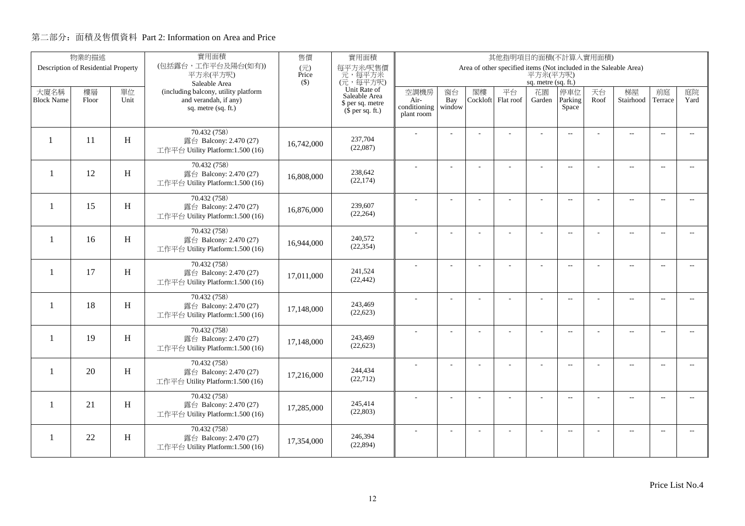|                   | 物業的描述                               |                           | 實用面積                                                       | 售價           | 實用面積                          | 其他指明項目的面積(不計算入實用面積)  |                |          |                                                                   |                     |                          |      |                          |                          |                          |
|-------------------|-------------------------------------|---------------------------|------------------------------------------------------------|--------------|-------------------------------|----------------------|----------------|----------|-------------------------------------------------------------------|---------------------|--------------------------|------|--------------------------|--------------------------|--------------------------|
|                   | Description of Residential Property |                           | (包括露台,工作平台及陽台(如有))<br>平方米(平方呎)                             | (元)<br>Price | 每平方米/呎售價<br>元,每平方米            |                      |                |          | Area of other specified items (Not included in the Saleable Area) | 平方米(平方呎)            |                          |      |                          |                          |                          |
|                   |                                     |                           | Saleable Area                                              | $($ \$)      | (元,每平方呎)                      |                      |                |          |                                                                   | sq. metre (sq. ft.) |                          |      |                          |                          |                          |
| 大廈名稱              | 樓層                                  | 單位                        | (including balcony, utility platform                       |              | Unit Rate of<br>Saleable Area | 空調機房                 | 窗台             | 閣樓       | 平台                                                                | 花園                  | 停車位                      | 天台   | 梯屋                       | 前庭                       | 庭院                       |
| <b>Block Name</b> | Floor                               | Unit                      | and verandah, if any)<br>sq. metre (sq. ft.)               |              | \$ per sq. metre              | Air-<br>conditioning | Bay<br>window  | Cockloft | Flat roof                                                         | Garden              | Parking<br>Space         | Roof | Stairhood                | Terrace                  | Yard                     |
|                   |                                     |                           |                                                            |              | $$$ per sq. ft.)              | plant room           |                |          |                                                                   |                     |                          |      |                          |                          |                          |
|                   |                                     |                           | 70.432 (758)                                               |              |                               |                      |                |          |                                                                   |                     | $\overline{a}$           |      | $\overline{\phantom{a}}$ | $\overline{\phantom{a}}$ |                          |
| $\mathbf{1}$      | 11                                  | H                         | 露台 Balcony: 2.470 (27)                                     | 16,742,000   | 237,704<br>(22,087)           |                      |                |          |                                                                   |                     |                          |      |                          |                          |                          |
|                   |                                     |                           | 工作平台 Utility Platform:1.500 (16)                           |              |                               |                      |                |          |                                                                   |                     |                          |      |                          |                          |                          |
| $\mathbf{1}$      | 12                                  | H                         | 70.432 (758)<br>露台 Balcony: 2.470 (27)                     |              | 238,642                       |                      |                |          | ÷.                                                                | ÷.                  | $\overline{a}$           |      | $\overline{\phantom{a}}$ | $\sim$                   |                          |
|                   |                                     |                           | 工作平台 Utility Platform:1.500 (16)                           | 16,808,000   | (22, 174)                     |                      |                |          |                                                                   |                     |                          |      |                          |                          |                          |
|                   |                                     |                           | 70.432 (758)                                               |              |                               |                      |                |          |                                                                   |                     |                          |      |                          |                          |                          |
| -1                | 15                                  | H                         | 露台 Balcony: 2.470 (27)                                     | 16.876.000   | 239,607                       |                      | L.             |          |                                                                   | L,                  | $\overline{a}$           |      | $\overline{\phantom{a}}$ | $\overline{a}$           | $\overline{a}$           |
|                   |                                     |                           | 工作平台 Utility Platform:1.500 (16)                           |              | (22, 264)                     |                      |                |          |                                                                   |                     |                          |      |                          |                          |                          |
|                   |                                     |                           | 70.432 (758)                                               |              |                               |                      |                |          |                                                                   | $\overline{a}$      | $\overline{a}$           |      | $\overline{\phantom{a}}$ | $\overline{\phantom{a}}$ | $- -$                    |
| $\mathbf{1}$      | 16                                  | H                         | 露台 Balcony: 2.470 (27)<br>工作平台 Utility Platform:1.500 (16) | 16,944,000   | 240,572<br>(22, 354)          |                      |                |          |                                                                   |                     |                          |      |                          |                          |                          |
|                   |                                     |                           |                                                            |              |                               |                      |                |          |                                                                   |                     |                          |      |                          |                          |                          |
| $\mathbf{1}$      | 17                                  | H                         | 70.432 (758)<br>露台 Balcony: 2.470 (27)                     |              | 241.524                       |                      |                |          |                                                                   | $\overline{a}$      | $\sim$                   |      | $\overline{\phantom{a}}$ | $\sim$                   | $\sim$                   |
|                   |                                     |                           | 工作平台 Utility Platform:1.500 (16)                           | 17,011,000   | (22, 442)                     |                      |                |          |                                                                   |                     |                          |      |                          |                          |                          |
|                   |                                     |                           | 70.432 (758)                                               |              |                               |                      | $\overline{a}$ |          |                                                                   | ÷,                  | $\overline{\phantom{m}}$ |      | $\overline{\phantom{m}}$ | $\overline{\phantom{a}}$ | $- -$                    |
| $\mathbf{1}$      | 18                                  | H                         | 露台 Balcony: 2.470 (27)                                     | 17,148,000   | 243,469                       |                      |                |          |                                                                   |                     |                          |      |                          |                          |                          |
|                   |                                     |                           | 工作平台 Utility Platform:1.500 (16)                           |              | (22, 623)                     |                      |                |          |                                                                   |                     |                          |      |                          |                          |                          |
|                   |                                     |                           | 70.432 (758)                                               |              |                               |                      | ÷              |          |                                                                   | $\overline{a}$      | $\overline{a}$           |      | $\overline{a}$           | $\overline{\phantom{a}}$ | $- -$                    |
| $\mathbf{1}$      | 19                                  | H                         | 露台 Balcony: 2.470 (27)<br>工作平台 Utility Platform:1.500 (16) | 17,148,000   | 243,469<br>(22, 623)          |                      |                |          |                                                                   |                     |                          |      |                          |                          |                          |
|                   |                                     |                           |                                                            |              |                               |                      |                |          |                                                                   |                     |                          |      |                          |                          |                          |
| -1                | 20                                  | H                         | 70.432 (758)<br>露台 Balcony: 2.470 (27)                     |              | 244,434                       |                      | L.             |          | L,                                                                | L,                  | $\overline{\phantom{a}}$ |      | $\overline{\phantom{a}}$ | $\sim$                   | $\overline{a}$           |
|                   |                                     |                           | 工作平台 Utility Platform:1.500 (16)                           | 17,216,000   | (22, 712)                     |                      |                |          |                                                                   |                     |                          |      |                          |                          |                          |
|                   |                                     |                           | 70.432 (758)                                               |              |                               |                      | ÷              |          | L,                                                                | ÷,                  | $\overline{\phantom{m}}$ |      | $\overline{\phantom{a}}$ | $\sim$                   | $\overline{a}$           |
| 1                 | 21                                  | $\boldsymbol{\mathrm{H}}$ | 露台 Balcony: 2.470 (27)                                     | 17,285,000   | 245,414                       |                      |                |          |                                                                   |                     |                          |      |                          |                          |                          |
|                   |                                     |                           | 工作平台 Utility Platform:1.500 (16)                           |              | (22, 803)                     |                      |                |          |                                                                   |                     |                          |      |                          |                          |                          |
|                   |                                     |                           | 70.432 (758)                                               |              | 246,394                       |                      |                |          |                                                                   |                     | $\overline{\phantom{a}}$ |      | $\overline{\phantom{m}}$ | $\overline{a}$           | $\overline{\phantom{a}}$ |
| -1                | 22                                  | $\, {\rm H}$              | 露台 Balcony: 2.470 (27)<br>工作平台 Utility Platform:1.500 (16) | 17,354,000   | (22, 894)                     |                      |                |          |                                                                   |                     |                          |      |                          |                          |                          |
|                   |                                     |                           |                                                            |              |                               |                      |                |          |                                                                   |                     |                          |      |                          |                          |                          |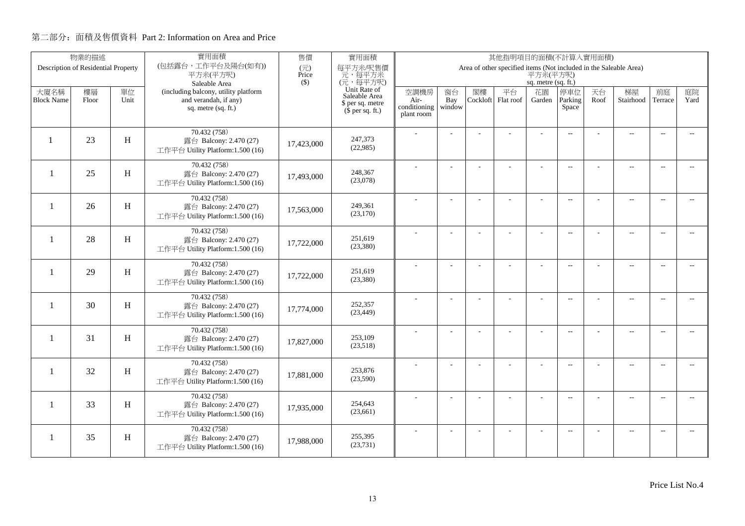|                          | 物業的描述                               |      | 實用面積                                                       | 售價           | 實用面積                                         | 其他指明項目的面積(不計算入實用面積)  |                |          |                                                                   |                     |                          |      |                          |                          |                          |
|--------------------------|-------------------------------------|------|------------------------------------------------------------|--------------|----------------------------------------------|----------------------|----------------|----------|-------------------------------------------------------------------|---------------------|--------------------------|------|--------------------------|--------------------------|--------------------------|
|                          | Description of Residential Property |      | (包括露台,工作平台及陽台(如有))<br>平方米(平方呎)                             | (元)<br>Price | 每平方米/呎售價<br>元,每平方米                           |                      |                |          | Area of other specified items (Not included in the Saleable Area) | 平方米(平方呎)            |                          |      |                          |                          |                          |
|                          |                                     |      | Saleable Area                                              | $($ \$)      | (元,每平方呎)                                     |                      |                |          |                                                                   | sq. metre (sq. ft.) |                          |      |                          |                          |                          |
| 大廈名稱                     | 樓層                                  | 單位   | (including balcony, utility platform                       |              | Unit Rate of<br>Saleable Area                | 空調機房                 | 窗台             | 閣樓       | 平台                                                                | 花園                  | 停車位                      | 天台   | 梯屋                       | 前庭                       | 庭院                       |
| <b>Block Name</b>        | Floor                               | Unit | and verandah, if any)<br>sq. metre (sq. ft.)               |              | \$ per sq. metre<br>$(\bar{\S}$ per sq. ft.) | Air-<br>conditioning | Bay<br>window  | Cockloft | Flat roof                                                         | Garden              | Parking<br>Space         | Roof | Stairhood                | Terrace                  | Yard                     |
|                          |                                     |      |                                                            |              |                                              | plant room           |                |          |                                                                   |                     |                          |      |                          |                          |                          |
|                          |                                     |      | 70.432 (758)                                               |              |                                              |                      |                |          |                                                                   |                     | $\overline{a}$           |      | $\sim$                   | $\sim$                   |                          |
| $\mathbf{1}$             | 23                                  | H    | 露台 Balcony: 2.470 (27)                                     | 17,423,000   | 247,373<br>(22,985)                          |                      |                |          |                                                                   |                     |                          |      |                          |                          |                          |
|                          |                                     |      | 工作平台 Utility Platform:1.500 (16)                           |              |                                              |                      |                |          |                                                                   |                     |                          |      |                          |                          |                          |
| $\overline{\phantom{0}}$ | 25                                  |      | 70.432 (758)                                               |              | 248,367                                      |                      |                |          | ä,                                                                |                     | $\overline{a}$           |      | $\overline{a}$           | $\overline{\phantom{a}}$ |                          |
|                          |                                     | H    | 露台 Balcony: 2.470 (27)<br>工作平台 Utility Platform:1.500 (16) | 17,493,000   | (23,078)                                     |                      |                |          |                                                                   |                     |                          |      |                          |                          |                          |
|                          |                                     |      | 70.432 (758)                                               |              |                                              |                      |                |          |                                                                   |                     |                          |      |                          |                          |                          |
| $\mathbf{1}$             | 26                                  | H    | 露台 Balcony: 2.470 (27)                                     | 17,563,000   | 249,361                                      |                      | ÷              |          |                                                                   | ٠                   | $\mathbf{L}$             |      | $\overline{\phantom{a}}$ | $\overline{\phantom{a}}$ | $\sim$                   |
|                          |                                     |      | 工作平台 Utility Platform:1.500 (16)                           |              | (23,170)                                     |                      |                |          |                                                                   |                     |                          |      |                          |                          |                          |
|                          |                                     |      | 70.432 (758)                                               |              |                                              |                      |                |          |                                                                   |                     | $\overline{\phantom{a}}$ |      | $\overline{a}$           | $\overline{a}$           | $- -$                    |
| $\mathbf{1}$             | 28                                  | H    | 露台 Balcony: 2.470 (27)                                     | 17,722,000   | 251.619<br>(23,380)                          |                      |                |          |                                                                   |                     |                          |      |                          |                          |                          |
|                          |                                     |      | 工作平台 Utility Platform:1.500 (16)                           |              |                                              |                      |                |          |                                                                   |                     |                          |      |                          |                          |                          |
| -1                       | 29                                  | H    | 70.432 (758)<br>露台 Balcony: 2.470 (27)                     |              | 251,619                                      |                      | $\overline{a}$ |          | ÷.                                                                | $\overline{a}$      | $\overline{a}$           |      | ц.                       | $\sim$                   | $\overline{a}$           |
|                          |                                     |      | 工作平台 Utility Platform:1.500 (16)                           | 17,722,000   | (23, 380)                                    |                      |                |          |                                                                   |                     |                          |      |                          |                          |                          |
|                          |                                     |      | 70.432 (758)                                               |              |                                              |                      |                |          |                                                                   |                     | $\overline{\phantom{a}}$ |      | $\overline{a}$           | $\overline{\phantom{a}}$ | $\overline{a}$           |
| -1                       | 30                                  | H    | 露台 Balcony: 2.470 (27)                                     | 17,774,000   | 252,357                                      |                      |                |          |                                                                   |                     |                          |      |                          |                          |                          |
|                          |                                     |      | 工作平台 Utility Platform:1.500 (16)                           |              | (23, 449)                                    |                      |                |          |                                                                   |                     |                          |      |                          |                          |                          |
|                          |                                     |      | 70.432 (758)                                               |              |                                              |                      | ÷              |          |                                                                   |                     | $\overline{a}$           |      | $\overline{\phantom{a}}$ | $\sim$                   | $\overline{\phantom{a}}$ |
| -1                       | 31                                  | H    | 露台 Balcony: 2.470 (27)<br>工作平台 Utility Platform:1.500 (16) | 17,827,000   | 253,109<br>(23,518)                          |                      |                |          |                                                                   |                     |                          |      |                          |                          |                          |
|                          |                                     |      |                                                            |              |                                              |                      |                |          |                                                                   |                     |                          |      |                          |                          |                          |
| $\mathbf{1}$             | 32                                  | H    | 70.432 (758)<br>露台 Balcony: 2.470 (27)                     |              | 253,876                                      |                      | L.             |          |                                                                   | $\overline{a}$      | $\overline{\phantom{a}}$ |      | $\overline{a}$           | $\overline{\phantom{a}}$ | $\overline{a}$           |
|                          |                                     |      | 工作平台 Utility Platform:1.500 (16)                           | 17,881,000   | (23,590)                                     |                      |                |          |                                                                   |                     |                          |      |                          |                          |                          |
|                          |                                     |      | 70.432 (758)                                               |              |                                              |                      | $\overline{a}$ |          | ÷,                                                                | ÷,                  | $\overline{\phantom{m}}$ |      | $\overline{a}$           | $\sim$                   | $\overline{\phantom{a}}$ |
| $\mathbf{1}$             | 33                                  | H    | 露台 Balcony: 2.470 (27)                                     | 17,935,000   | 254,643<br>(23,661)                          |                      |                |          |                                                                   |                     |                          |      |                          |                          |                          |
|                          |                                     |      | 工作平台 Utility Platform:1.500 (16)                           |              |                                              |                      |                |          |                                                                   |                     |                          |      |                          |                          |                          |
| 1                        | 35                                  | H    | 70.432 (758)                                               |              | 255,395                                      |                      | ÷              |          | ÷                                                                 | ÷.                  | $\overline{a}$           |      | $\overline{\phantom{a}}$ | $\sim$                   | $\overline{\phantom{a}}$ |
|                          |                                     |      | 露台 Balcony: 2.470 (27)<br>工作平台 Utility Platform:1.500 (16) | 17,988,000   | (23, 731)                                    |                      |                |          |                                                                   |                     |                          |      |                          |                          |                          |
|                          |                                     |      |                                                            |              |                                              |                      |                |          |                                                                   |                     |                          |      |                          |                          |                          |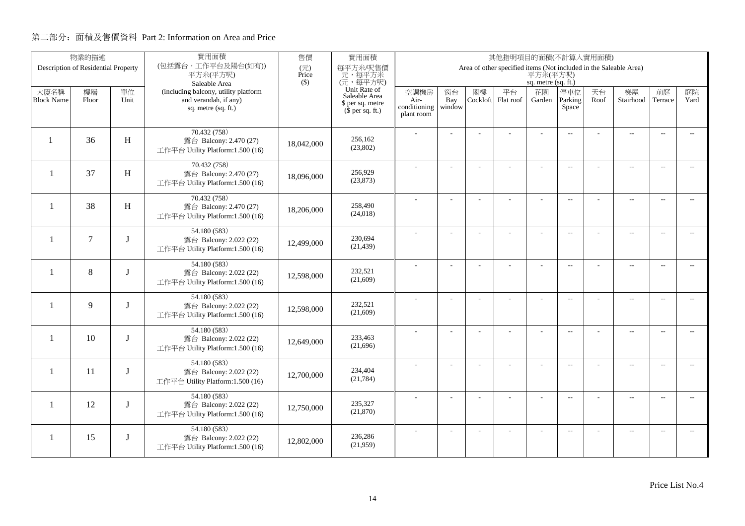|                           | 物業的描述                               |            | 實用面積                                                                                 | 售價           | 實用面積                                                                  | 其他指明項目的面積(不計算入實用面積)                        |                     |                |                                                                   |                     |                          |            |                          |                          |                          |
|---------------------------|-------------------------------------|------------|--------------------------------------------------------------------------------------|--------------|-----------------------------------------------------------------------|--------------------------------------------|---------------------|----------------|-------------------------------------------------------------------|---------------------|--------------------------|------------|--------------------------|--------------------------|--------------------------|
|                           | Description of Residential Property |            | (包括露台,工作平台及陽台(如有))<br>平方米(平方呎)                                                       | (元)<br>Price | 每平方米/呎售價<br>元,每平方米                                                    |                                            |                     |                | Area of other specified items (Not included in the Saleable Area) | 平方米(平方呎)            |                          |            |                          |                          |                          |
|                           |                                     |            | Saleable Area                                                                        | $($ \$)      | (元,每平方呎)                                                              |                                            |                     |                |                                                                   | sq. metre (sq. ft.) |                          |            |                          |                          |                          |
| 大廈名稱<br><b>Block Name</b> | 樓層<br>Floor                         | 單位<br>Unit | (including balcony, utility platform<br>and verandah, if any)<br>sq. metre (sq. ft.) |              | Unit Rate of<br>Saleable Area<br>\$ per sq. metre<br>$$$ per sq. ft.) | 空調機房<br>Air-<br>conditioning<br>plant room | 窗台<br>Bay<br>window | 閣樓<br>Cockloft | 平台<br>Flat roof                                                   | 花園<br>Garden        | 停車位<br>Parking<br>Space  | 天台<br>Roof | 梯屋<br>Stairhood          | 前庭<br>Terrace            | 庭院<br>Yard               |
|                           |                                     |            |                                                                                      |              |                                                                       |                                            |                     |                |                                                                   |                     |                          |            |                          |                          |                          |
| $\mathbf{1}$              | 36                                  | H          | 70.432 (758)<br>露台 Balcony: 2.470 (27)<br>工作平台 Utility Platform:1.500 (16)           | 18,042,000   | 256,162<br>(23,802)                                                   |                                            |                     |                |                                                                   |                     | $\overline{a}$           |            | $\overline{a}$           | $\overline{\phantom{a}}$ |                          |
| $\mathbf{1}$              | 37                                  | H          | 70.432 (758)<br>露台 Balcony: 2.470 (27)<br>工作平台 Utility Platform:1.500 (16)           | 18,096,000   | 256,929<br>(23, 873)                                                  |                                            |                     |                | ÷.                                                                | ÷                   | $\overline{a}$           |            | $\overline{a}$           | $\sim$                   |                          |
| $\overline{\phantom{0}}$  | 38                                  | H          | 70.432 (758)<br>露台 Balcony: 2.470 (27)<br>工作平台 Utility Platform:1.500 (16)           | 18,206,000   | 258,490<br>(24, 018)                                                  |                                            | L.                  |                |                                                                   | L,                  | $\overline{a}$           |            | $\overline{\phantom{a}}$ | $\sim$                   | $\overline{a}$           |
| $\mathbf{1}$              | $\overline{7}$                      |            | 54.180 (583)<br>露台 Balcony: 2.022 (22)<br>工作平台 Utility Platform:1.500 (16)           | 12,499,000   | 230,694<br>(21, 439)                                                  |                                            |                     |                |                                                                   | ÷.                  | $\overline{a}$           |            | $\overline{\phantom{a}}$ | $\overline{\phantom{a}}$ | $\overline{a}$           |
| $\mathbf{1}$              | 8                                   | T          | 54.180 (583)<br>露台 Balcony: 2.022 (22)<br>工作平台 Utility Platform:1.500 (16)           | 12,598,000   | 232.521<br>(21,609)                                                   |                                            |                     |                |                                                                   |                     | $\sim$                   |            | $\overline{\phantom{a}}$ | $\sim$                   | $\sim$                   |
| $\mathbf{1}$              | $\mathbf{Q}$                        | T          | 54.180 (583)<br>露台 Balcony: 2.022 (22)<br>工作平台 Utility Platform:1.500 (16)           | 12,598,000   | 232,521<br>(21,609)                                                   |                                            | $\overline{a}$      |                |                                                                   | ÷,                  | $\overline{\phantom{m}}$ |            | $\overline{\phantom{m}}$ | $\overline{\phantom{a}}$ | $- -$                    |
| $\mathbf{1}$              | 10                                  | J          | 54.180 (583)<br>露台 Balcony: 2.022 (22)<br>工作平台 Utility Platform:1.500 (16)           | 12,649,000   | 233,463<br>(21,696)                                                   |                                            | ÷                   |                |                                                                   | $\overline{a}$      | $\overline{a}$           |            | $\overline{a}$           | $\overline{\phantom{a}}$ | $- -$                    |
| $\mathbf{1}$              | 11                                  | J          | 54.180 (583)<br>露台 Balcony: 2.022 (22)<br>工作平台 Utility Platform:1.500 (16)           | 12,700,000   | 234,404<br>(21, 784)                                                  |                                            | L.                  |                |                                                                   | L,                  | $\overline{\phantom{a}}$ |            | $\overline{\phantom{a}}$ | $\sim$                   | $\overline{a}$           |
| 1                         | 12                                  | J          | 54.180 (583)<br>露台 Balcony: 2.022 (22)<br>工作平台 Utility Platform:1.500 (16)           | 12,750,000   | 235,327<br>(21, 870)                                                  |                                            |                     |                |                                                                   |                     | $\overline{\phantom{m}}$ |            | $\overline{\phantom{a}}$ | $\sim$                   | $- -$                    |
| -1                        | 15                                  | J          | 54.180 (583)<br>露台 Balcony: 2.022 (22)<br>工作平台 Utility Platform:1.500 (16)           | 12,802,000   | 236,286<br>(21,959)                                                   |                                            |                     |                |                                                                   |                     | $\overline{\phantom{a}}$ |            | $\overline{\phantom{m}}$ | $\overline{a}$           | $\overline{\phantom{a}}$ |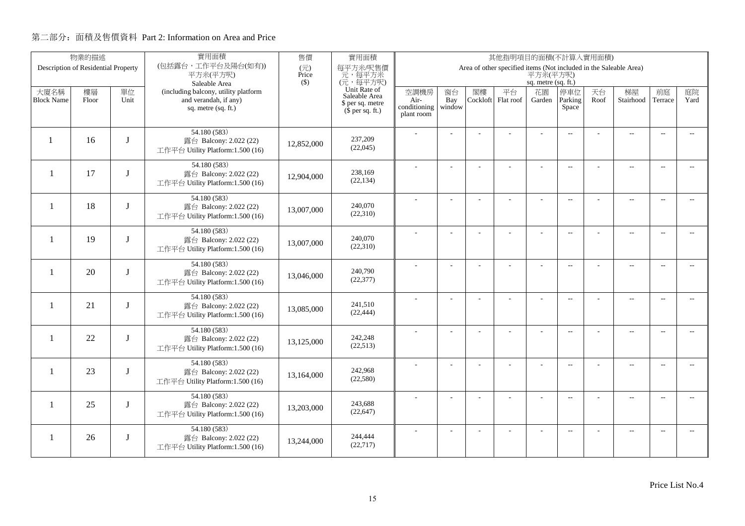|                          | 物業的描述                               |              | 實用面積                                                       | 售價           | 實用面積                                        | 其他指明項目的面積(不計算入實用面積)  |                |          |                                                                   |                     |                          |      |                          |                          |                |
|--------------------------|-------------------------------------|--------------|------------------------------------------------------------|--------------|---------------------------------------------|----------------------|----------------|----------|-------------------------------------------------------------------|---------------------|--------------------------|------|--------------------------|--------------------------|----------------|
|                          | Description of Residential Property |              | (包括露台,工作平台及陽台(如有))<br>平方米(平方呎)                             | (元)<br>Price | 每平方米/呎售價<br>元,每平方米                          |                      |                |          | Area of other specified items (Not included in the Saleable Area) | 平方米(平方呎)            |                          |      |                          |                          |                |
|                          |                                     |              | Saleable Area                                              | $($)$        | (元,每平方呎)                                    |                      |                |          |                                                                   | sq. metre (sq. ft.) |                          |      |                          |                          |                |
| 大廈名稱                     | 樓層                                  | 單位           | (including balcony, utility platform                       |              | Unit Rate of<br>Saleable Area               | 空調機房                 | 窗台             | 閣樓       | 平台                                                                | 花園                  | 停車位                      | 天台   | 梯屋                       | 前庭                       | 庭院             |
| <b>Block Name</b>        | Floor                               | Unit         | and verandah, if any)<br>sq. metre (sq. ft.)               |              | \$ per sq. metre<br>$(\bar{S}$ per sq. ft.) | Air-<br>conditioning | Bay<br>window  | Cockloft | Flat roof                                                         | Garden              | Parking<br>Space         | Roof | Stairhood                | Terrace                  | Yard           |
|                          |                                     |              |                                                            |              |                                             | plant room           |                |          |                                                                   |                     |                          |      |                          |                          |                |
|                          |                                     |              | 54.180 (583)                                               |              |                                             |                      |                |          |                                                                   |                     | $\overline{a}$           |      | $\overline{\phantom{a}}$ | $\sim$                   |                |
| $\mathbf{1}$             | 16                                  | $\mathbf{I}$ | 露台 Balcony: 2.022 (22)                                     | 12,852,000   | 237,209<br>(22,045)                         |                      |                |          |                                                                   |                     |                          |      |                          |                          |                |
|                          |                                     |              | 工作平台 Utility Platform:1.500 (16)                           |              |                                             |                      |                |          |                                                                   |                     |                          |      |                          |                          |                |
| $\overline{\phantom{0}}$ | 17                                  | I            | 54.180 (583)                                               |              | 238,169                                     |                      |                |          | ÷.                                                                |                     | $\overline{a}$           |      | $\overline{a}$           | $\sim$                   |                |
|                          |                                     |              | 露台 Balcony: 2.022 (22)<br>工作平台 Utility Platform:1.500 (16) | 12,904,000   | (22, 134)                                   |                      |                |          |                                                                   |                     |                          |      |                          |                          |                |
|                          |                                     |              | 54.180 (583)                                               |              |                                             |                      |                |          |                                                                   |                     |                          |      |                          |                          |                |
| -1                       | 18                                  |              | 露台 Balcony: 2.022 (22)                                     | 13,007,000   | 240,070                                     |                      | ÷              |          |                                                                   | ÷                   | $\overline{\phantom{a}}$ |      | $\overline{a}$           | $\overline{\phantom{a}}$ | $-$            |
|                          |                                     |              | 工作平台 Utility Platform:1.500 (16)                           |              | (22,310)                                    |                      |                |          |                                                                   |                     |                          |      |                          |                          |                |
|                          |                                     |              | 54.180 (583)                                               |              |                                             |                      |                |          |                                                                   |                     | $\overline{a}$           |      | $\overline{a}$           | $\overline{\phantom{a}}$ |                |
| -1                       | 19                                  | T            | 露台 Balcony: 2.022 (22)<br>工作平台 Utility Platform:1.500 (16) | 13,007,000   | 240,070<br>(22,310)                         |                      |                |          |                                                                   |                     |                          |      |                          |                          |                |
|                          |                                     |              |                                                            |              |                                             |                      |                |          |                                                                   |                     |                          |      |                          |                          |                |
| -1                       | 20                                  | J            | 54.180 (583)<br>露台 Balcony: 2.022 (22)                     |              | 240,790                                     |                      |                |          |                                                                   | ÷.                  | $\overline{a}$           |      | $\overline{a}$           | $\overline{\phantom{a}}$ | $- -$          |
|                          |                                     |              | 工作平台 Utility Platform:1.500 (16)                           | 13,046,000   | (22, 377)                                   |                      |                |          |                                                                   |                     |                          |      |                          |                          |                |
|                          |                                     |              | 54.180 (583)                                               |              |                                             |                      | $\overline{a}$ |          |                                                                   | $\overline{a}$      | $\overline{a}$           |      | $\overline{\phantom{a}}$ | $\sim$                   | $\sim$         |
| $\mathbf{1}$             | 21                                  | J            | 露台 Balcony: 2.022 (22)                                     | 13,085,000   | 241,510                                     |                      |                |          |                                                                   |                     |                          |      |                          |                          |                |
|                          |                                     |              | 工作平台 Utility Platform:1.500 (16)                           |              | (22, 444)                                   |                      |                |          |                                                                   |                     |                          |      |                          |                          |                |
|                          |                                     |              | 54.180 (583)                                               |              |                                             |                      | $\overline{a}$ |          |                                                                   | ÷,                  | $\overline{\phantom{a}}$ |      | $\overline{a}$           | $\sim$                   | $\overline{a}$ |
| $\mathbf{1}$             | 22                                  | J            | 露台 Balcony: 2.022 (22)<br>工作平台 Utility Platform:1.500 (16) | 13,125,000   | 242,248<br>(22,513)                         |                      |                |          |                                                                   |                     |                          |      |                          |                          |                |
|                          |                                     |              |                                                            |              |                                             |                      |                |          |                                                                   |                     |                          |      |                          |                          |                |
| $\mathbf{1}$             | 23                                  | J            | 54.180 (583)<br>露台 Balcony: 2.022 (22)                     |              | 242,968                                     |                      |                |          |                                                                   | ÷.                  | $\overline{a}$           |      | $\overline{\phantom{a}}$ | $\sim$                   | $\sim$         |
|                          |                                     |              | 工作平台 Utility Platform:1.500 (16)                           | 13,164,000   | (22, 580)                                   |                      |                |          |                                                                   |                     |                          |      |                          |                          |                |
|                          |                                     |              | 54.180 (583)                                               |              |                                             |                      | ÷              |          | ÷                                                                 | ٠                   | $\overline{a}$           |      | $\overline{\phantom{m}}$ | $\sim$                   | $-$            |
| $\mathbf{1}$             | 25                                  | $\mathbf{J}$ | 露台 Balcony: 2.022 (22)                                     | 13,203,000   | 243,688                                     |                      |                |          |                                                                   |                     |                          |      |                          |                          |                |
|                          |                                     |              | 工作平台 Utility Platform:1.500 (16)                           |              | (22, 647)                                   |                      |                |          |                                                                   |                     |                          |      |                          |                          |                |
|                          |                                     |              | 54.180 (583)                                               |              | 244,444                                     |                      | ÷              |          | ÷                                                                 | ÷                   | $\overline{a}$           |      | $\qquad \qquad -$        | $\overline{a}$           | $\overline{a}$ |
| -1                       | 26                                  | J            | 露台 Balcony: 2.022 (22)<br>工作平台 Utility Platform:1.500 (16) | 13,244,000   | (22,717)                                    |                      |                |          |                                                                   |                     |                          |      |                          |                          |                |
|                          |                                     |              |                                                            |              |                                             |                      |                |          |                                                                   |                     |                          |      |                          |                          |                |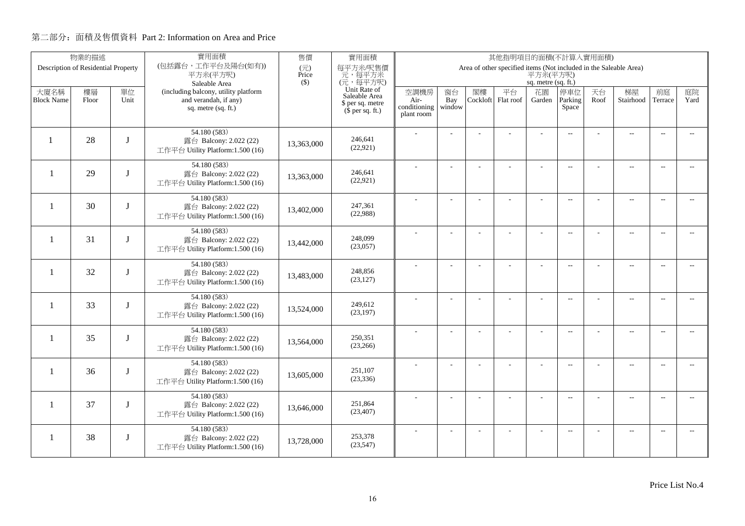|                          | 物業的描述                               |              | 實用面積                                                          | 售價           | 實用面積                                        | 其他指明項目的面積(不計算入實用面積)  |                |          |                                                                   |                     |                          |            |                          |                          |                          |
|--------------------------|-------------------------------------|--------------|---------------------------------------------------------------|--------------|---------------------------------------------|----------------------|----------------|----------|-------------------------------------------------------------------|---------------------|--------------------------|------------|--------------------------|--------------------------|--------------------------|
|                          | Description of Residential Property |              | (包括露台,工作平台及陽台(如有))<br>平方米(平方呎)                                | (元)<br>Price | 每平方米/呎售價<br>元,每平方米                          |                      |                |          | Area of other specified items (Not included in the Saleable Area) | 平方米(平方呎)            |                          |            |                          |                          |                          |
|                          |                                     |              | Saleable Area                                                 | $(\$)$       | (元,每平方呎)                                    |                      |                |          |                                                                   | sq. metre (sq. ft.) |                          |            |                          |                          |                          |
| 大廈名稱                     | 樓層                                  | 單位<br>Unit   | (including balcony, utility platform<br>and verandah, if any) |              | Unit Rate of<br>Saleable Area               | 空調機房                 | 窗台             | 閣樓       | 平台                                                                | 花園                  | 停車位<br>Parking           | 天台<br>Roof | 梯屋<br>Stairhood          | 前庭                       | 庭院<br>Yard               |
| <b>Block Name</b>        | Floor                               |              | sq. metre (sq. ft.)                                           |              | \$ per sq. metre<br>$(\bar{S}$ per sq. ft.) | Air-<br>conditioning | Bay<br>window  | Cockloft | Flat roof                                                         | Garden              | Space                    |            |                          | Terrace                  |                          |
|                          |                                     |              |                                                               |              |                                             | plant room           |                |          |                                                                   |                     |                          |            |                          |                          |                          |
|                          |                                     |              | 54.180 (583)                                                  |              |                                             |                      |                |          |                                                                   |                     | $\overline{a}$           |            | $\overline{\phantom{a}}$ | $\sim$                   |                          |
| $\mathbf{1}$             | 28                                  | $\mathbf{I}$ | 露台 Balcony: 2.022 (22)                                        | 13,363,000   | 246,641<br>(22, 921)                        |                      |                |          |                                                                   |                     |                          |            |                          |                          |                          |
|                          |                                     |              | 工作平台 Utility Platform:1.500 (16)                              |              |                                             |                      |                |          |                                                                   |                     |                          |            |                          |                          |                          |
| $\overline{\phantom{0}}$ | 29                                  | T            | 54.180 (583)<br>露台 Balcony: 2.022 (22)                        |              | 246,641                                     |                      |                |          | ÷.                                                                |                     | $\overline{a}$           |            | $\overline{a}$           | $\sim$                   |                          |
|                          |                                     |              | 工作平台 Utility Platform:1.500 (16)                              | 13,363,000   | (22, 921)                                   |                      |                |          |                                                                   |                     |                          |            |                          |                          |                          |
|                          |                                     |              | 54.180 (583)                                                  |              |                                             |                      | ÷              |          |                                                                   | ÷                   | $\overline{\phantom{a}}$ |            | $\overline{a}$           | $\overline{\phantom{a}}$ | $-$                      |
| $\mathbf{1}$             | 30                                  |              | 露台 Balcony: 2.022 (22)                                        | 13,402,000   | 247,361                                     |                      |                |          |                                                                   |                     |                          |            |                          |                          |                          |
|                          |                                     |              | 工作平台 Utility Platform:1.500 (16)                              |              | (22,988)                                    |                      |                |          |                                                                   |                     |                          |            |                          |                          |                          |
|                          |                                     |              | 54.180 (583)                                                  |              |                                             |                      |                |          |                                                                   |                     | $\overline{a}$           |            | $\overline{\phantom{a}}$ | $\overline{a}$           |                          |
| $\overline{\phantom{0}}$ | 31                                  | I            | 露台 Balcony: 2.022 (22)<br>工作平台 Utility Platform:1.500 (16)    | 13,442,000   | 248,099<br>(23,057)                         |                      |                |          |                                                                   |                     |                          |            |                          |                          |                          |
|                          |                                     |              |                                                               |              |                                             |                      |                |          |                                                                   |                     |                          |            |                          |                          |                          |
| -1                       | 32                                  | J            | 54.180 (583)<br>露台 Balcony: 2.022 (22)                        |              | 248,856                                     |                      |                |          |                                                                   | ÷.                  | $\overline{a}$           |            | $\overline{a}$           | $\overline{\phantom{a}}$ | $\overline{\phantom{a}}$ |
|                          |                                     |              | 工作平台 Utility Platform:1.500 (16)                              | 13,483,000   | (23, 127)                                   |                      |                |          |                                                                   |                     |                          |            |                          |                          |                          |
|                          |                                     |              | 54.180 (583)                                                  |              |                                             |                      | $\overline{a}$ |          |                                                                   | $\overline{a}$      | $\overline{a}$           |            | $\overline{\phantom{a}}$ | $\sim$                   | $\sim$                   |
| $\mathbf{1}$             | 33                                  | J            | 露台 Balcony: 2.022 (22)                                        | 13,524,000   | 249,612<br>(23, 197)                        |                      |                |          |                                                                   |                     |                          |            |                          |                          |                          |
|                          |                                     |              | 工作平台 Utility Platform:1.500 (16)                              |              |                                             |                      |                |          |                                                                   |                     |                          |            |                          |                          |                          |
| $\mathbf{1}$             | 35                                  | J            | 54.180 (583)<br>露台 Balcony: 2.022 (22)                        |              | 250,351                                     |                      | $\overline{a}$ |          |                                                                   | ÷,                  | $\overline{\phantom{a}}$ |            | $\overline{a}$           | $\sim$                   | $\overline{a}$           |
|                          |                                     |              | 工作平台 Utility Platform:1.500 (16)                              | 13,564,000   | (23,266)                                    |                      |                |          |                                                                   |                     |                          |            |                          |                          |                          |
|                          |                                     |              | 54.180 (583)                                                  |              |                                             |                      |                |          |                                                                   | ÷.                  | $\overline{a}$           |            | $\overline{\phantom{a}}$ | $\sim$                   | $\sim$                   |
| $\mathbf{1}$             | 36                                  | $\bf{I}$     | 露台 Balcony: 2.022 (22)                                        | 13,605,000   | 251,107                                     |                      |                |          |                                                                   |                     |                          |            |                          |                          |                          |
|                          |                                     |              | 工作平台 Utility Platform:1.500 (16)                              |              | (23, 336)                                   |                      |                |          |                                                                   |                     |                          |            |                          |                          |                          |
|                          |                                     |              | 54.180 (583)                                                  |              |                                             |                      | ÷              |          | ÷                                                                 | ٠                   | $\overline{a}$           |            | $\overline{\phantom{m}}$ | $\sim$                   | $-$                      |
| $\mathbf{1}$             | 37                                  | J            | 露台 Balcony: 2.022 (22)<br>工作平台 Utility Platform:1.500 (16)    | 13,646,000   | 251,864<br>(23, 407)                        |                      |                |          |                                                                   |                     |                          |            |                          |                          |                          |
|                          |                                     |              |                                                               |              |                                             |                      |                |          |                                                                   |                     |                          |            |                          |                          |                          |
| -1                       | 38                                  | J            | 54.180 (583)<br>露台 Balcony: 2.022 (22)                        |              | 253,378                                     |                      | ÷              |          | ÷                                                                 | ÷                   | $\overline{a}$           |            | $\qquad \qquad -$        | $\overline{a}$           | $\overline{a}$           |
|                          |                                     |              | 工作平台 Utility Platform:1.500 (16)                              | 13,728,000   | (23, 547)                                   |                      |                |          |                                                                   |                     |                          |            |                          |                          |                          |
|                          |                                     |              |                                                               |              |                                             |                      |                |          |                                                                   |                     |                          |            |                          |                          |                          |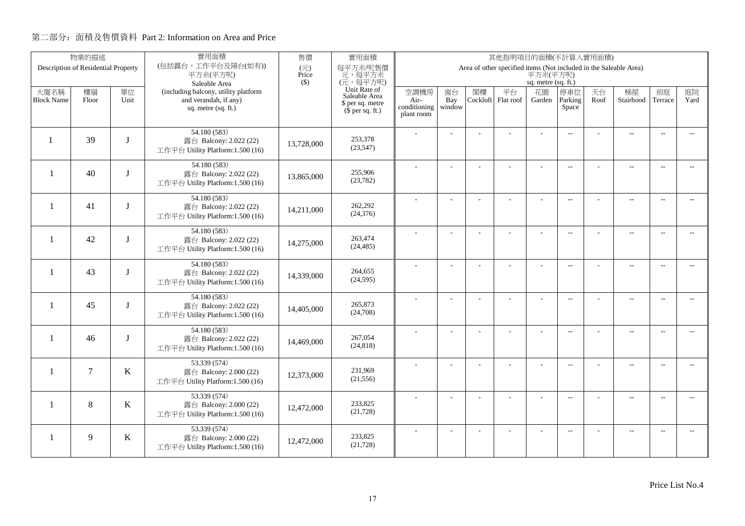|                          | 物業的描述                               |              | 實用面積                                                       | 售價                                | 實用面積                          | 其他指明項目的面積(不計算入實用面積)  |                |          |                                                                   |                     |                          |      |                          |                          |                          |
|--------------------------|-------------------------------------|--------------|------------------------------------------------------------|-----------------------------------|-------------------------------|----------------------|----------------|----------|-------------------------------------------------------------------|---------------------|--------------------------|------|--------------------------|--------------------------|--------------------------|
|                          | Description of Residential Property |              | (包括露台,工作平台及陽台(如有))<br>平方米(平方呎)                             | $(\overrightarrow{\pi})$<br>Price | 每平方米/呎售價<br>元,每平方米            |                      |                |          | Area of other specified items (Not included in the Saleable Area) | 平方米(平方呎)            |                          |      |                          |                          |                          |
|                          |                                     |              | Saleable Area                                              | $($)$                             | (元,每平方呎)                      |                      |                |          |                                                                   | sq. metre (sq. ft.) |                          |      |                          |                          |                          |
| 大廈名稱                     | 樓層                                  | 單位           | (including balcony, utility platform                       |                                   | Unit Rate of<br>Saleable Area | 空調機房                 | 窗台             | 閣樓       | 平台                                                                | 花園                  | 停車位                      | 天台   | 梯屋                       | 前庭                       | 庭院                       |
| <b>Block Name</b>        | Floor                               | Unit         | and verandah, if any)<br>sq. metre (sq. ft.)               |                                   | \$ per sq. metre              | Air-<br>conditioning | Bay<br>window  | Cockloft | Flat roof                                                         | Garden              | Parking<br>Space         | Roof | Stairhood                | Terrace                  | Yard                     |
|                          |                                     |              |                                                            |                                   | $(\bar{\S}$ per sq. ft.)      | plant room           |                |          |                                                                   |                     |                          |      |                          |                          |                          |
|                          |                                     |              | 54.180 (583)                                               |                                   |                               |                      |                |          |                                                                   |                     |                          |      |                          |                          |                          |
|                          | 39                                  | $\mathbf{I}$ | 露台 Balcony: 2.022 (22)                                     | 13,728,000                        | 253,378                       |                      |                |          |                                                                   |                     | $\overline{a}$           |      | $\overline{\phantom{a}}$ | $\sim$                   |                          |
|                          |                                     |              | 工作平台 Utility Platform:1.500 (16)                           |                                   | (23, 547)                     |                      |                |          |                                                                   |                     |                          |      |                          |                          |                          |
|                          |                                     |              | 54.180 (583)                                               |                                   |                               |                      |                |          |                                                                   |                     | $\overline{\phantom{a}}$ |      | $\overline{\phantom{a}}$ | $\sim$                   |                          |
| $\overline{\phantom{0}}$ | 40                                  | T            | 露台 Balcony: 2.022 (22)                                     | 13,865,000                        | 255,906                       |                      |                |          |                                                                   |                     |                          |      |                          |                          |                          |
|                          |                                     |              | 工作平台 Utility Platform:1.500 (16)                           |                                   | (23, 782)                     |                      |                |          |                                                                   |                     |                          |      |                          |                          |                          |
|                          |                                     |              | 54.180 (583)                                               |                                   |                               |                      | $\overline{a}$ |          | L.                                                                | ÷                   | $\overline{\phantom{a}}$ |      | $\overline{a}$           | $\overline{\phantom{a}}$ | $-$                      |
| $\mathbf{1}$             | 41                                  | I            | 露台 Balcony: 2.022 (22)<br>工作平台 Utility Platform:1.500 (16) | 14,211,000                        | 262,292<br>(24, 376)          |                      |                |          |                                                                   |                     |                          |      |                          |                          |                          |
|                          |                                     |              |                                                            |                                   |                               |                      |                |          |                                                                   |                     |                          |      |                          |                          |                          |
| -1                       | 42                                  | T            | 54.180 (583)<br>露台 Balcony: 2.022 (22)                     |                                   | 263,474                       |                      |                |          |                                                                   |                     | $\overline{a}$           |      | $\overline{\phantom{a}}$ | $\overline{\phantom{a}}$ | $- -$                    |
|                          |                                     |              | 工作平台 Utility Platform:1.500 (16)                           | 14,275,000                        | (24, 485)                     |                      |                |          |                                                                   |                     |                          |      |                          |                          |                          |
|                          |                                     |              | 54.180 (583)                                               |                                   |                               |                      |                |          |                                                                   |                     |                          |      |                          |                          |                          |
| $\mathbf{1}$             | 43                                  | $\mathbf I$  | 露台 Balcony: 2.022 (22)                                     | 14,339,000                        | 264,655                       |                      |                |          |                                                                   | ÷.                  | $\overline{a}$           |      | $\overline{a}$           | $\overline{\phantom{a}}$ | $- -$                    |
|                          |                                     |              | 工作平台 Utility Platform:1.500 (16)                           |                                   | (24, 595)                     |                      |                |          |                                                                   |                     |                          |      |                          |                          |                          |
|                          |                                     |              | 54.180 (583)                                               |                                   |                               |                      | $\overline{a}$ |          |                                                                   | ÷,                  | $\overline{\phantom{a}}$ |      | $\overline{a}$           | $\overline{\phantom{a}}$ | $- -$                    |
| $\mathbf{1}$             | 45                                  | T            | 露台 Balcony: 2.022 (22)                                     | 14,405,000                        | 265,873                       |                      |                |          |                                                                   |                     |                          |      |                          |                          |                          |
|                          |                                     |              | 工作平台 Utility Platform:1.500 (16)                           |                                   | (24,708)                      |                      |                |          |                                                                   |                     |                          |      |                          |                          |                          |
|                          |                                     |              | 54.180 (583)                                               |                                   |                               |                      | L.             |          |                                                                   | L,                  | $\overline{\phantom{a}}$ |      | $\overline{a}$           | $\overline{a}$           | $\overline{a}$           |
| $\mathbf{1}$             | 46                                  | J            | 露台 Balcony: 2.022 (22)                                     | 14,469,000                        | 267,054<br>(24, 818)          |                      |                |          |                                                                   |                     |                          |      |                          |                          |                          |
|                          |                                     |              | 工作平台 Utility Platform:1.500 (16)                           |                                   |                               |                      |                |          |                                                                   |                     |                          |      |                          |                          |                          |
| $\mathbf{1}$             | $\overline{7}$                      | K            | 53.339 (574)                                               |                                   | 231.969                       |                      | $\overline{a}$ |          | ÷,                                                                | ÷,                  | $\overline{\phantom{a}}$ |      | $\overline{\phantom{a}}$ | $\sim$                   | $- -$                    |
|                          |                                     |              | 露台 Balcony: 2.000 (22)<br>工作平台 Utility Platform:1.500 (16) | 12,373,000                        | (21, 556)                     |                      |                |          |                                                                   |                     |                          |      |                          |                          |                          |
|                          |                                     |              |                                                            |                                   |                               |                      |                |          |                                                                   |                     |                          |      |                          |                          |                          |
| 1                        | 8                                   | $\bf K$      | 53.339 (574)<br>露台 Balcony: 2.000 (22)                     |                                   | 233,825                       |                      | ÷              |          | L.                                                                | ÷                   | $\overline{\phantom{a}}$ |      | $\overline{\phantom{a}}$ | $\sim$                   | $\overline{\phantom{a}}$ |
|                          |                                     |              | 工作平台 Utility Platform:1.500 (16)                           | 12,472,000                        | (21, 728)                     |                      |                |          |                                                                   |                     |                          |      |                          |                          |                          |
|                          |                                     |              | 53.339 (574)                                               |                                   |                               |                      |                |          |                                                                   |                     | $\overline{\phantom{a}}$ |      | $\overline{\phantom{m}}$ | $\overline{a}$           | $\overline{a}$           |
| 1                        | 9                                   | $\bf K$      | 露台 Balcony: 2.000 (22)                                     | 12,472,000                        | 233,825                       |                      |                |          |                                                                   |                     |                          |      |                          |                          |                          |
|                          |                                     |              | 工作平台 Utility Platform:1.500 (16)                           |                                   | (21, 728)                     |                      |                |          |                                                                   |                     |                          |      |                          |                          |                          |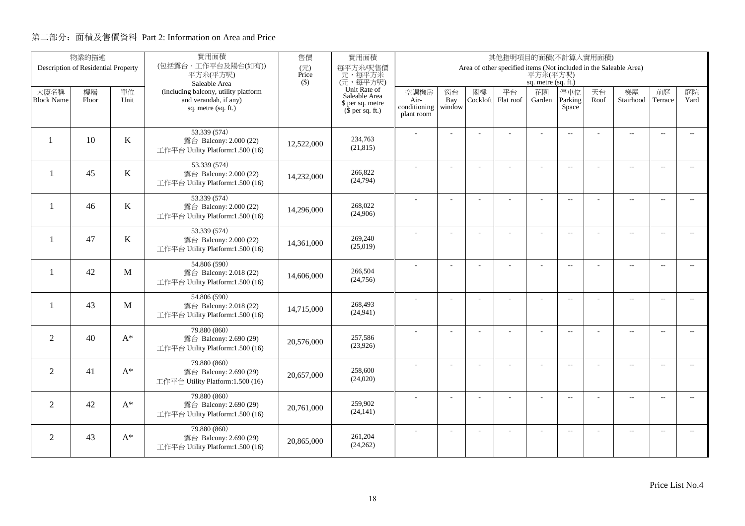|                          | 物業的描述                               |         | 實用面積                                                       | 售價           | 實用面積                                        | 其他指明項目的面積(不計算入實用面積)  |                |          |                                                                   |                     |                          |      |                          |                          |                          |
|--------------------------|-------------------------------------|---------|------------------------------------------------------------|--------------|---------------------------------------------|----------------------|----------------|----------|-------------------------------------------------------------------|---------------------|--------------------------|------|--------------------------|--------------------------|--------------------------|
|                          | Description of Residential Property |         | (包括露台,工作平台及陽台(如有))<br>平方米(平方呎)                             | (元)<br>Price | 每平方米/呎售價<br>元,每平方米                          |                      |                |          | Area of other specified items (Not included in the Saleable Area) | 平方米(平方呎)            |                          |      |                          |                          |                          |
|                          |                                     |         | Saleable Area                                              | $(\$)$       | (元,每平方呎)                                    |                      |                |          |                                                                   | sq. metre (sq. ft.) |                          |      |                          |                          |                          |
| 大廈名稱                     | 樓層                                  | 單位      | (including balcony, utility platform                       |              | Unit Rate of<br>Saleable Area               | 空調機房                 | 窗台             | 閣樓       | 平台                                                                | 花園                  | 停車位                      | 天台   | 梯屋                       | 前庭                       | 庭院                       |
| <b>Block Name</b>        | Floor                               | Unit    | and verandah, if any)<br>sq. metre (sq. ft.)               |              | \$ per sq. metre<br>$(\bar{S}$ per sq. ft.) | Air-<br>conditioning | Bay<br>window  | Cockloft | Flat roof                                                         | Garden              | Parking<br>Space         | Roof | Stairhood                | Terrace                  | Yard                     |
|                          |                                     |         |                                                            |              |                                             | plant room           |                |          |                                                                   |                     |                          |      |                          |                          |                          |
|                          |                                     |         | 53.339 (574)                                               |              |                                             |                      |                |          |                                                                   |                     | $\overline{a}$           |      | $\sim$                   | $\sim$                   |                          |
| $\mathbf{1}$             | 10                                  | $\bf K$ | 露台 Balcony: 2.000 (22)                                     | 12,522,000   | 234,763<br>(21, 815)                        |                      |                |          |                                                                   |                     |                          |      |                          |                          |                          |
|                          |                                     |         | 工作平台 Utility Platform:1.500 (16)                           |              |                                             |                      |                |          |                                                                   |                     |                          |      |                          |                          |                          |
| $\overline{\phantom{0}}$ | 45                                  | K       | 53.339 (574)<br>露台 Balcony: 2.000 (22)                     |              | 266,822                                     |                      |                |          | L.                                                                |                     | $\overline{a}$           |      | $\overline{a}$           | $\overline{\phantom{a}}$ |                          |
|                          |                                     |         | 工作平台 Utility Platform:1.500 (16)                           | 14,232,000   | (24, 794)                                   |                      |                |          |                                                                   |                     |                          |      |                          |                          |                          |
|                          |                                     |         | 53.339 (574)                                               |              |                                             |                      |                |          |                                                                   |                     |                          |      |                          |                          |                          |
| $\overline{\phantom{a}}$ | 46                                  | $\bf K$ | 露台 Balcony: 2.000 (22)                                     | 14,296,000   | 268,022                                     |                      | ÷              |          |                                                                   |                     | $\overline{\phantom{a}}$ |      | $\overline{\phantom{a}}$ | $\overline{\phantom{a}}$ | $\sim$                   |
|                          |                                     |         | 工作平台 Utility Platform:1.500 (16)                           |              | (24,906)                                    |                      |                |          |                                                                   |                     |                          |      |                          |                          |                          |
|                          |                                     |         | 53.339 (574)                                               |              |                                             |                      |                |          |                                                                   |                     | $\overline{\phantom{a}}$ |      | $\overline{a}$           | $\overline{a}$           | $- -$                    |
| $\mathbf{1}$             | 47                                  | K       | 露台 Balcony: 2.000 (22)<br>工作平台 Utility Platform:1.500 (16) | 14,361,000   | 269,240<br>(25,019)                         |                      |                |          |                                                                   |                     |                          |      |                          |                          |                          |
|                          |                                     |         |                                                            |              |                                             |                      |                |          |                                                                   |                     |                          |      |                          |                          |                          |
| -1                       | 42                                  | M       | 54.806 (590)<br>露台 Balcony: 2.018 (22)                     |              | 266,504                                     |                      | $\overline{a}$ |          | ÷.                                                                | $\overline{a}$      | $\overline{a}$           |      | ц.                       | $\sim$                   | $\sim$ $\sim$            |
|                          |                                     |         | 工作平台 Utility Platform:1.500 (16)                           | 14,606,000   | (24, 756)                                   |                      |                |          |                                                                   |                     |                          |      |                          |                          |                          |
|                          |                                     |         | 54.806 (590)                                               |              |                                             |                      |                |          |                                                                   |                     | $\overline{\phantom{a}}$ |      | $\overline{a}$           | $\overline{\phantom{a}}$ | $\overline{a}$           |
| -1                       | 43                                  | M       | 露台 Balcony: 2.018 (22)                                     | 14,715,000   | 268,493<br>(24, 941)                        |                      |                |          |                                                                   |                     |                          |      |                          |                          |                          |
|                          |                                     |         | 工作平台 Utility Platform:1.500 (16)                           |              |                                             |                      |                |          |                                                                   |                     |                          |      |                          |                          |                          |
| $\overline{2}$           | 40                                  | $A^*$   | 79.880 (860)                                               |              | 257,586                                     |                      | ÷              |          |                                                                   |                     | $\overline{a}$           |      | $\overline{\phantom{a}}$ | $\sim$                   | $\overline{\phantom{a}}$ |
|                          |                                     |         | 露台 Balcony: 2.690 (29)<br>工作平台 Utility Platform:1.500 (16) | 20,576,000   | (23,926)                                    |                      |                |          |                                                                   |                     |                          |      |                          |                          |                          |
|                          |                                     |         | 79.880 (860)                                               |              |                                             |                      |                |          |                                                                   |                     |                          |      |                          |                          |                          |
| $\overline{2}$           | 41                                  | $A^*$   | 露台 Balcony: 2.690 (29)                                     | 20.657,000   | 258,600                                     |                      | L.             |          |                                                                   | $\overline{a}$      | $\overline{\phantom{a}}$ |      | $\overline{a}$           | $\overline{\phantom{a}}$ | $\overline{a}$           |
|                          |                                     |         | 工作平台 Utility Platform:1.500 (16)                           |              | (24,020)                                    |                      |                |          |                                                                   |                     |                          |      |                          |                          |                          |
|                          |                                     |         | 79.880 (860)                                               |              |                                             |                      | $\overline{a}$ |          | ÷,                                                                | ÷,                  | $\overline{\phantom{m}}$ |      | $\overline{a}$           | $\sim$                   | $\overline{\phantom{a}}$ |
| $\overline{2}$           | 42                                  | $A^*$   | 露台 Balcony: 2.690 (29)<br>工作平台 Utility Platform:1.500 (16) | 20,761,000   | 259,902<br>(24, 141)                        |                      |                |          |                                                                   |                     |                          |      |                          |                          |                          |
|                          |                                     |         |                                                            |              |                                             |                      |                |          |                                                                   |                     |                          |      |                          |                          |                          |
| 2                        | 43                                  | $A^*$   | 79.880 (860)<br>露台 Balcony: 2.690 (29)                     |              | 261,204                                     |                      | ÷              |          | ÷                                                                 | ÷.                  | $\overline{a}$           |      | $\overline{a}$           | $\sim$                   | $\overline{\phantom{a}}$ |
|                          |                                     |         | 工作平台 Utility Platform:1.500 (16)                           | 20,865,000   | (24, 262)                                   |                      |                |          |                                                                   |                     |                          |      |                          |                          |                          |
|                          |                                     |         |                                                            |              |                                             |                      |                |          |                                                                   |                     |                          |      |                          |                          |                          |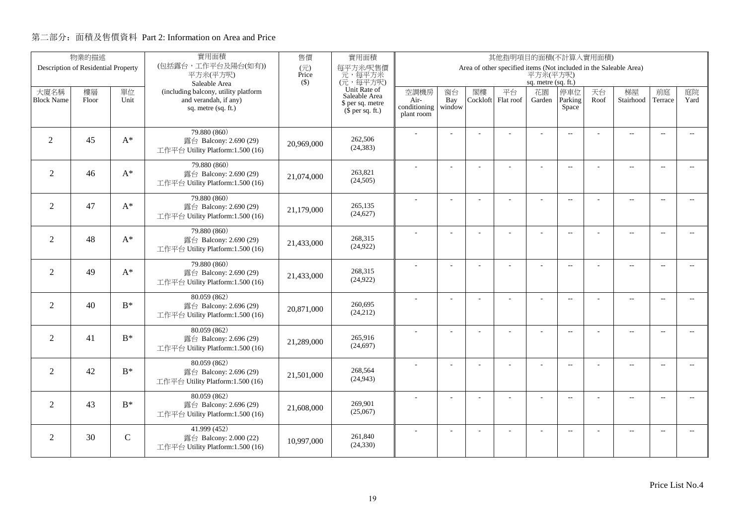|                           | 物業的描述                               |               | 實用面積                                                                                                  | 售價           | 實用面積                                                                                      | 其他指明項目的面積(不計算入實用面積)                        |                     |                |                                                                   |                                     |                          |            |                          |                          |                          |
|---------------------------|-------------------------------------|---------------|-------------------------------------------------------------------------------------------------------|--------------|-------------------------------------------------------------------------------------------|--------------------------------------------|---------------------|----------------|-------------------------------------------------------------------|-------------------------------------|--------------------------|------------|--------------------------|--------------------------|--------------------------|
|                           | Description of Residential Property |               | (包括露台,工作平台及陽台(如有))<br>平方米(平方呎)                                                                        | (元)<br>Price | 每平方米/呎售價<br>元,每平方米                                                                        |                                            |                     |                | Area of other specified items (Not included in the Saleable Area) | 平方米(平方呎)                            |                          |            |                          |                          |                          |
| 大廈名稱<br><b>Block Name</b> | 樓層<br>Floor                         | 單位<br>Unit    | Saleable Area<br>(including balcony, utility platform<br>and verandah, if any)<br>sq. metre (sq. ft.) | $($ \$)      | (元,每平方呎)<br>Unit Rate of<br>Saleable Area<br>\$ per sq. metre<br>$(\bar{\S}$ per sq. ft.) | 空調機房<br>Air-<br>conditioning<br>plant room | 窗台<br>Bay<br>window | 閣樓<br>Cockloft | 平台<br>Flat roof                                                   | sq. metre (sq. ft.)<br>花園<br>Garden | 停車位<br>Parking<br>Space  | 天台<br>Roof | 梯屋<br>Stairhood          | 前庭<br>Terrace            | 庭院<br>Yard               |
| 2                         | 45                                  | $A^*$         | 79.880 (860)<br>露台 Balcony: 2.690 (29)<br>工作平台 Utility Platform:1.500 (16)                            | 20,969,000   | 262,506<br>(24, 383)                                                                      |                                            |                     |                |                                                                   |                                     | $\overline{\phantom{a}}$ |            | $\overline{\phantom{a}}$ | $\overline{\phantom{a}}$ |                          |
| $\overline{2}$            | 46                                  | $A^*$         | 79.880 (860)<br>露台 Balcony: 2.690 (29)<br>工作平台 Utility Platform:1.500 (16)                            | 21,074,000   | 263,821<br>(24,505)                                                                       |                                            |                     |                | ÷.                                                                | ÷                                   | $\overline{\phantom{a}}$ |            | $\overline{\phantom{a}}$ | $\sim$                   | $\sim$                   |
| $\overline{2}$            | 47                                  | $A^*$         | 79.880 (860)<br>露台 Balcony: 2.690 (29)<br>工作平台 Utility Platform:1.500 (16)                            | 21,179,000   | 265,135<br>(24, 627)                                                                      |                                            | L,                  |                |                                                                   | L,                                  | $\overline{a}$           |            | $\overline{\phantom{a}}$ | $\sim$                   | $\overline{\phantom{a}}$ |
| $\overline{2}$            | 48                                  | $A^*$         | 79.880 (860)<br>露台 Balcony: 2.690 (29)<br>工作平台 Utility Platform:1.500 (16)                            | 21,433,000   | 268,315<br>(24, 922)                                                                      |                                            |                     |                |                                                                   | L,                                  | $\overline{\phantom{a}}$ |            | $\overline{\phantom{a}}$ | $\overline{\phantom{a}}$ | $\overline{\phantom{a}}$ |
| 2                         | 49                                  | $A^*$         | 79.880 (860)<br>露台 Balcony: 2.690 (29)<br>工作平台 Utility Platform:1.500 (16)                            | 21,433,000   | 268,315<br>(24, 922)                                                                      |                                            |                     |                |                                                                   | ÷.                                  | $\sim$ $\sim$            |            | $\overline{a}$           | $\sim$                   | $\sim$                   |
| $\overline{2}$            | 40                                  | $B^*$         | 80.059(862)<br>露台 Balcony: 2.696 (29)<br>工作平台 Utility Platform:1.500 (16)                             | 20,871,000   | 260,695<br>(24,212)                                                                       |                                            | $\overline{a}$      |                |                                                                   | ÷,                                  | $\overline{\phantom{m}}$ |            | $\overline{\phantom{a}}$ | $\overline{\phantom{a}}$ | $- -$                    |
| $\overline{2}$            | 41                                  | $B^*$         | 80.059 (862)<br>露台 Balcony: 2.696 (29)<br>工作平台 Utility Platform:1.500 (16)                            | 21,289,000   | 265,916<br>(24, 697)                                                                      |                                            | ÷.                  |                |                                                                   | L,                                  | $\overline{\phantom{a}}$ |            | $\overline{a}$           | $\overline{\phantom{a}}$ | $- -$                    |
| 2                         | 42                                  | $B^*$         | 80.059(862)<br>露台 Balcony: 2.696 (29)<br>工作平台 Utility Platform:1.500 (16)                             | 21,501,000   | 268,564<br>(24, 943)                                                                      |                                            | Ĭ.                  |                | L                                                                 | $\overline{\phantom{a}}$            | $\overline{a}$           |            | $\overline{\phantom{a}}$ | $\sim$                   | $\overline{\phantom{a}}$ |
| $\overline{2}$            | 43                                  | $B^*$         | 80.059 (862)<br>露台 Balcony: 2.696 (29)<br>工作平台 Utility Platform:1.500 (16)                            | 21,608,000   | 269,901<br>(25,067)                                                                       |                                            |                     |                | L,                                                                |                                     | $-$                      |            | $\overline{\phantom{a}}$ | $\sim$                   | $\overline{\phantom{a}}$ |
| 2                         | 30                                  | $\mathcal{C}$ | 41.999 (452)<br>露台 Balcony: 2.000 (22)<br>工作平台 Utility Platform:1.500 (16)                            | 10.997.000   | 261,840<br>(24, 330)                                                                      |                                            |                     |                |                                                                   |                                     | $\overline{\phantom{m}}$ |            | $\overline{\phantom{a}}$ | $\sim$                   | $\overline{\phantom{a}}$ |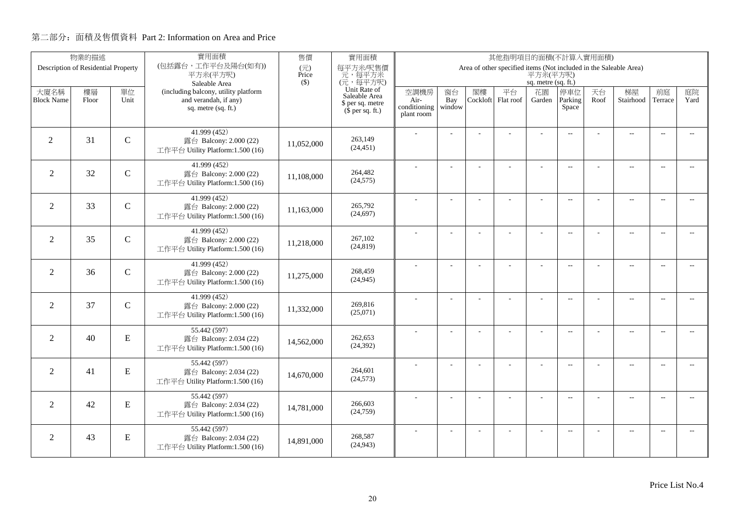| (包括露台,工作平台及陽台(如有))<br>每平方米/呎售價<br>$(\overrightarrow{\pi})$<br>Description of Residential Property<br>Area of other specified items (Not included in the Saleable Area)<br>平方米(平方呎)<br>元,每平方米<br>平方米(平方呎)<br>Price<br>(元,每平方呎)<br>$($ \$)<br>sq. metre (sq. ft.)<br>Saleable Area<br>Unit Rate of<br>平台<br>天台<br>梯屋<br>前庭<br>庭院<br>大廈名稱<br>樓層<br>單位<br>(including balcony, utility platform<br>空調機房<br>窗台<br>閣樓<br>停車位<br>花園<br>Saleable Area<br>and verandah, if any)<br>Cockloft Flat roof<br>Parking<br>Stairhood<br>Yard<br><b>Block Name</b><br>Unit<br>Bay<br>Roof<br>Terrace<br>Floor<br>Air-<br>Garden<br>\$ per sq. metre<br>conditioning<br>window<br>Space<br>sq. metre (sq. ft.)<br>$(\bar{\S}$ per sq. ft.)<br>plant room<br>41.999(452)<br>$\overline{\phantom{a}}$<br>$\overline{\phantom{a}}$<br>$\sim$<br>31<br>$\mathcal{C}$<br>263,149<br>$\overline{2}$<br>露台 Balcony: 2.000 (22)<br>11.052.000<br>(24, 451)<br>工作平台 Utility Platform:1.500 (16)<br>41.999 (452)<br>$\overline{\phantom{a}}$<br>$\overline{\phantom{a}}$<br>$\sim$<br>2<br>32<br>$\mathcal{C}$<br>264,482<br>露台 Balcony: 2.000 (22)<br>11,108,000<br>(24, 575)<br>工作平台 Utility Platform:1.500 (16)<br>41.999 (452)<br>$\overline{a}$<br>$\overline{a}$<br>$\overline{\phantom{a}}$<br>÷,<br>÷.<br>÷,<br>$-$<br>265,792<br>$\overline{2}$<br>33<br>$\mathcal{C}$<br>露台 Balcony: 2.000 (22)<br>11,163,000<br>(24, 697)<br>工作平台 Utility Platform:1.500 (16)<br>41.999 (452)<br>$\overline{\phantom{a}}$<br>$\overline{\phantom{a}}$<br>$\sim$<br>$\overline{\phantom{a}}$<br>L,<br>267,102<br>2<br>35<br>$\mathbf C$<br>露台 Balcony: 2.000 (22)<br>11,218,000<br>(24, 819)<br>工作平台 Utility Platform:1.500 (16)<br>41.999(452)<br>$\overline{\phantom{a}}$<br>$\overline{a}$<br>$\overline{\phantom{a}}$<br>$\overline{\phantom{a}}$<br>$\overline{a}$<br>268,459<br>2<br>$\mathcal{C}$<br>36<br>露台 Balcony: 2.000 (22)<br>11,275,000<br>(24, 945)<br>工作平台 Utility Platform:1.500 (16)<br>41.999 (452)<br>$\overline{a}$<br>$\overline{a}$<br>$\overline{\phantom{a}}$<br>$\overline{\phantom{a}}$<br>÷,<br>÷,<br>37<br>269,816<br>$\overline{2}$<br>$\mathcal{C}$<br>露台 Balcony: 2.000 (22)<br>11,332,000<br>(25,071)<br>工作平台 Utility Platform:1.500 (16)<br>55.442 (597)<br>Ĭ.<br>÷,<br>$\overline{a}$<br>$\overline{a}$<br>$\overline{a}$<br>$\overline{a}$<br>$\overline{2}$<br>${\bf E}$<br>262,653<br>40<br>露台 Balcony: 2.034 (22)<br>14,562,000<br>(24, 392)<br>工作平台 Utility Platform:1.500 (16)<br>55.442 (597)<br>$\overline{\phantom{a}}$<br>$\overline{a}$<br>$\overline{\phantom{a}}$<br>÷,<br>÷.<br>÷,<br>$\sim$<br>264,601<br>2<br>${\bf E}$<br>41<br>露台 Balcony: 2.034 (22)<br>14,670,000<br>(24, 573)<br>工作平台 Utility Platform:1.500 (16)<br>55.442 (597)<br>$\overline{a}$<br>$\sim$<br>$\overline{\phantom{a}}$<br>÷.<br>÷.<br>÷<br>$\sim$<br>÷<br>$\overline{2}$<br>266,603<br>42<br>${\bf E}$<br>露台 Balcony: 2.034 (22)<br>14,781,000<br>(24,759)<br>工作平台 Utility Platform:1.500 (16)<br>55.442 (597)<br>$\sim$<br>$\sim$ $\sim$<br>$\overline{\phantom{a}}$<br>$\sim$<br>${\bf E}$<br>268,587<br>2<br>43<br>露台 Balcony: 2.034 (22)<br>14,891,000 | 物業的描述 | 實用面積 | 售價 | 實用面積      | 其他指明項目的面積(不計算入實用面積) |  |  |  |  |  |  |  |  |  |
|-----------------------------------------------------------------------------------------------------------------------------------------------------------------------------------------------------------------------------------------------------------------------------------------------------------------------------------------------------------------------------------------------------------------------------------------------------------------------------------------------------------------------------------------------------------------------------------------------------------------------------------------------------------------------------------------------------------------------------------------------------------------------------------------------------------------------------------------------------------------------------------------------------------------------------------------------------------------------------------------------------------------------------------------------------------------------------------------------------------------------------------------------------------------------------------------------------------------------------------------------------------------------------------------------------------------------------------------------------------------------------------------------------------------------------------------------------------------------------------------------------------------------------------------------------------------------------------------------------------------------------------------------------------------------------------------------------------------------------------------------------------------------------------------------------------------------------------------------------------------------------------------------------------------------------------------------------------------------------------------------------------------------------------------------------------------------------------------------------------------------------------------------------------------------------------------------------------------------------------------------------------------------------------------------------------------------------------------------------------------------------------------------------------------------------------------------------------------------------------------------------------------------------------------------------------------------------------------------------------------------------------------------------------------------------------------------------------------------------------------------------------------------------------------------------------------------------------------------------------------------------------------------------------------------------------------------------------------------------------------------------------------------------------------------------------------------------------------------------------------------------------------------------|-------|------|----|-----------|---------------------|--|--|--|--|--|--|--|--|--|
|                                                                                                                                                                                                                                                                                                                                                                                                                                                                                                                                                                                                                                                                                                                                                                                                                                                                                                                                                                                                                                                                                                                                                                                                                                                                                                                                                                                                                                                                                                                                                                                                                                                                                                                                                                                                                                                                                                                                                                                                                                                                                                                                                                                                                                                                                                                                                                                                                                                                                                                                                                                                                                                                                                                                                                                                                                                                                                                                                                                                                                                                                                                                                     |       |      |    |           |                     |  |  |  |  |  |  |  |  |  |
|                                                                                                                                                                                                                                                                                                                                                                                                                                                                                                                                                                                                                                                                                                                                                                                                                                                                                                                                                                                                                                                                                                                                                                                                                                                                                                                                                                                                                                                                                                                                                                                                                                                                                                                                                                                                                                                                                                                                                                                                                                                                                                                                                                                                                                                                                                                                                                                                                                                                                                                                                                                                                                                                                                                                                                                                                                                                                                                                                                                                                                                                                                                                                     |       |      |    |           |                     |  |  |  |  |  |  |  |  |  |
|                                                                                                                                                                                                                                                                                                                                                                                                                                                                                                                                                                                                                                                                                                                                                                                                                                                                                                                                                                                                                                                                                                                                                                                                                                                                                                                                                                                                                                                                                                                                                                                                                                                                                                                                                                                                                                                                                                                                                                                                                                                                                                                                                                                                                                                                                                                                                                                                                                                                                                                                                                                                                                                                                                                                                                                                                                                                                                                                                                                                                                                                                                                                                     |       |      |    |           |                     |  |  |  |  |  |  |  |  |  |
|                                                                                                                                                                                                                                                                                                                                                                                                                                                                                                                                                                                                                                                                                                                                                                                                                                                                                                                                                                                                                                                                                                                                                                                                                                                                                                                                                                                                                                                                                                                                                                                                                                                                                                                                                                                                                                                                                                                                                                                                                                                                                                                                                                                                                                                                                                                                                                                                                                                                                                                                                                                                                                                                                                                                                                                                                                                                                                                                                                                                                                                                                                                                                     |       |      |    |           |                     |  |  |  |  |  |  |  |  |  |
|                                                                                                                                                                                                                                                                                                                                                                                                                                                                                                                                                                                                                                                                                                                                                                                                                                                                                                                                                                                                                                                                                                                                                                                                                                                                                                                                                                                                                                                                                                                                                                                                                                                                                                                                                                                                                                                                                                                                                                                                                                                                                                                                                                                                                                                                                                                                                                                                                                                                                                                                                                                                                                                                                                                                                                                                                                                                                                                                                                                                                                                                                                                                                     |       |      |    |           |                     |  |  |  |  |  |  |  |  |  |
|                                                                                                                                                                                                                                                                                                                                                                                                                                                                                                                                                                                                                                                                                                                                                                                                                                                                                                                                                                                                                                                                                                                                                                                                                                                                                                                                                                                                                                                                                                                                                                                                                                                                                                                                                                                                                                                                                                                                                                                                                                                                                                                                                                                                                                                                                                                                                                                                                                                                                                                                                                                                                                                                                                                                                                                                                                                                                                                                                                                                                                                                                                                                                     |       |      |    |           |                     |  |  |  |  |  |  |  |  |  |
|                                                                                                                                                                                                                                                                                                                                                                                                                                                                                                                                                                                                                                                                                                                                                                                                                                                                                                                                                                                                                                                                                                                                                                                                                                                                                                                                                                                                                                                                                                                                                                                                                                                                                                                                                                                                                                                                                                                                                                                                                                                                                                                                                                                                                                                                                                                                                                                                                                                                                                                                                                                                                                                                                                                                                                                                                                                                                                                                                                                                                                                                                                                                                     |       |      |    |           |                     |  |  |  |  |  |  |  |  |  |
|                                                                                                                                                                                                                                                                                                                                                                                                                                                                                                                                                                                                                                                                                                                                                                                                                                                                                                                                                                                                                                                                                                                                                                                                                                                                                                                                                                                                                                                                                                                                                                                                                                                                                                                                                                                                                                                                                                                                                                                                                                                                                                                                                                                                                                                                                                                                                                                                                                                                                                                                                                                                                                                                                                                                                                                                                                                                                                                                                                                                                                                                                                                                                     |       |      |    |           |                     |  |  |  |  |  |  |  |  |  |
|                                                                                                                                                                                                                                                                                                                                                                                                                                                                                                                                                                                                                                                                                                                                                                                                                                                                                                                                                                                                                                                                                                                                                                                                                                                                                                                                                                                                                                                                                                                                                                                                                                                                                                                                                                                                                                                                                                                                                                                                                                                                                                                                                                                                                                                                                                                                                                                                                                                                                                                                                                                                                                                                                                                                                                                                                                                                                                                                                                                                                                                                                                                                                     |       |      |    |           |                     |  |  |  |  |  |  |  |  |  |
|                                                                                                                                                                                                                                                                                                                                                                                                                                                                                                                                                                                                                                                                                                                                                                                                                                                                                                                                                                                                                                                                                                                                                                                                                                                                                                                                                                                                                                                                                                                                                                                                                                                                                                                                                                                                                                                                                                                                                                                                                                                                                                                                                                                                                                                                                                                                                                                                                                                                                                                                                                                                                                                                                                                                                                                                                                                                                                                                                                                                                                                                                                                                                     |       |      |    |           |                     |  |  |  |  |  |  |  |  |  |
|                                                                                                                                                                                                                                                                                                                                                                                                                                                                                                                                                                                                                                                                                                                                                                                                                                                                                                                                                                                                                                                                                                                                                                                                                                                                                                                                                                                                                                                                                                                                                                                                                                                                                                                                                                                                                                                                                                                                                                                                                                                                                                                                                                                                                                                                                                                                                                                                                                                                                                                                                                                                                                                                                                                                                                                                                                                                                                                                                                                                                                                                                                                                                     |       |      |    |           |                     |  |  |  |  |  |  |  |  |  |
|                                                                                                                                                                                                                                                                                                                                                                                                                                                                                                                                                                                                                                                                                                                                                                                                                                                                                                                                                                                                                                                                                                                                                                                                                                                                                                                                                                                                                                                                                                                                                                                                                                                                                                                                                                                                                                                                                                                                                                                                                                                                                                                                                                                                                                                                                                                                                                                                                                                                                                                                                                                                                                                                                                                                                                                                                                                                                                                                                                                                                                                                                                                                                     |       |      |    |           |                     |  |  |  |  |  |  |  |  |  |
|                                                                                                                                                                                                                                                                                                                                                                                                                                                                                                                                                                                                                                                                                                                                                                                                                                                                                                                                                                                                                                                                                                                                                                                                                                                                                                                                                                                                                                                                                                                                                                                                                                                                                                                                                                                                                                                                                                                                                                                                                                                                                                                                                                                                                                                                                                                                                                                                                                                                                                                                                                                                                                                                                                                                                                                                                                                                                                                                                                                                                                                                                                                                                     |       |      |    |           |                     |  |  |  |  |  |  |  |  |  |
|                                                                                                                                                                                                                                                                                                                                                                                                                                                                                                                                                                                                                                                                                                                                                                                                                                                                                                                                                                                                                                                                                                                                                                                                                                                                                                                                                                                                                                                                                                                                                                                                                                                                                                                                                                                                                                                                                                                                                                                                                                                                                                                                                                                                                                                                                                                                                                                                                                                                                                                                                                                                                                                                                                                                                                                                                                                                                                                                                                                                                                                                                                                                                     |       |      |    |           |                     |  |  |  |  |  |  |  |  |  |
|                                                                                                                                                                                                                                                                                                                                                                                                                                                                                                                                                                                                                                                                                                                                                                                                                                                                                                                                                                                                                                                                                                                                                                                                                                                                                                                                                                                                                                                                                                                                                                                                                                                                                                                                                                                                                                                                                                                                                                                                                                                                                                                                                                                                                                                                                                                                                                                                                                                                                                                                                                                                                                                                                                                                                                                                                                                                                                                                                                                                                                                                                                                                                     |       |      |    |           |                     |  |  |  |  |  |  |  |  |  |
|                                                                                                                                                                                                                                                                                                                                                                                                                                                                                                                                                                                                                                                                                                                                                                                                                                                                                                                                                                                                                                                                                                                                                                                                                                                                                                                                                                                                                                                                                                                                                                                                                                                                                                                                                                                                                                                                                                                                                                                                                                                                                                                                                                                                                                                                                                                                                                                                                                                                                                                                                                                                                                                                                                                                                                                                                                                                                                                                                                                                                                                                                                                                                     |       |      |    |           |                     |  |  |  |  |  |  |  |  |  |
|                                                                                                                                                                                                                                                                                                                                                                                                                                                                                                                                                                                                                                                                                                                                                                                                                                                                                                                                                                                                                                                                                                                                                                                                                                                                                                                                                                                                                                                                                                                                                                                                                                                                                                                                                                                                                                                                                                                                                                                                                                                                                                                                                                                                                                                                                                                                                                                                                                                                                                                                                                                                                                                                                                                                                                                                                                                                                                                                                                                                                                                                                                                                                     |       |      |    |           |                     |  |  |  |  |  |  |  |  |  |
|                                                                                                                                                                                                                                                                                                                                                                                                                                                                                                                                                                                                                                                                                                                                                                                                                                                                                                                                                                                                                                                                                                                                                                                                                                                                                                                                                                                                                                                                                                                                                                                                                                                                                                                                                                                                                                                                                                                                                                                                                                                                                                                                                                                                                                                                                                                                                                                                                                                                                                                                                                                                                                                                                                                                                                                                                                                                                                                                                                                                                                                                                                                                                     |       |      |    |           |                     |  |  |  |  |  |  |  |  |  |
|                                                                                                                                                                                                                                                                                                                                                                                                                                                                                                                                                                                                                                                                                                                                                                                                                                                                                                                                                                                                                                                                                                                                                                                                                                                                                                                                                                                                                                                                                                                                                                                                                                                                                                                                                                                                                                                                                                                                                                                                                                                                                                                                                                                                                                                                                                                                                                                                                                                                                                                                                                                                                                                                                                                                                                                                                                                                                                                                                                                                                                                                                                                                                     |       |      |    |           |                     |  |  |  |  |  |  |  |  |  |
|                                                                                                                                                                                                                                                                                                                                                                                                                                                                                                                                                                                                                                                                                                                                                                                                                                                                                                                                                                                                                                                                                                                                                                                                                                                                                                                                                                                                                                                                                                                                                                                                                                                                                                                                                                                                                                                                                                                                                                                                                                                                                                                                                                                                                                                                                                                                                                                                                                                                                                                                                                                                                                                                                                                                                                                                                                                                                                                                                                                                                                                                                                                                                     |       |      |    |           |                     |  |  |  |  |  |  |  |  |  |
|                                                                                                                                                                                                                                                                                                                                                                                                                                                                                                                                                                                                                                                                                                                                                                                                                                                                                                                                                                                                                                                                                                                                                                                                                                                                                                                                                                                                                                                                                                                                                                                                                                                                                                                                                                                                                                                                                                                                                                                                                                                                                                                                                                                                                                                                                                                                                                                                                                                                                                                                                                                                                                                                                                                                                                                                                                                                                                                                                                                                                                                                                                                                                     |       |      |    |           |                     |  |  |  |  |  |  |  |  |  |
|                                                                                                                                                                                                                                                                                                                                                                                                                                                                                                                                                                                                                                                                                                                                                                                                                                                                                                                                                                                                                                                                                                                                                                                                                                                                                                                                                                                                                                                                                                                                                                                                                                                                                                                                                                                                                                                                                                                                                                                                                                                                                                                                                                                                                                                                                                                                                                                                                                                                                                                                                                                                                                                                                                                                                                                                                                                                                                                                                                                                                                                                                                                                                     |       |      |    |           |                     |  |  |  |  |  |  |  |  |  |
|                                                                                                                                                                                                                                                                                                                                                                                                                                                                                                                                                                                                                                                                                                                                                                                                                                                                                                                                                                                                                                                                                                                                                                                                                                                                                                                                                                                                                                                                                                                                                                                                                                                                                                                                                                                                                                                                                                                                                                                                                                                                                                                                                                                                                                                                                                                                                                                                                                                                                                                                                                                                                                                                                                                                                                                                                                                                                                                                                                                                                                                                                                                                                     |       |      |    |           |                     |  |  |  |  |  |  |  |  |  |
|                                                                                                                                                                                                                                                                                                                                                                                                                                                                                                                                                                                                                                                                                                                                                                                                                                                                                                                                                                                                                                                                                                                                                                                                                                                                                                                                                                                                                                                                                                                                                                                                                                                                                                                                                                                                                                                                                                                                                                                                                                                                                                                                                                                                                                                                                                                                                                                                                                                                                                                                                                                                                                                                                                                                                                                                                                                                                                                                                                                                                                                                                                                                                     |       |      |    |           |                     |  |  |  |  |  |  |  |  |  |
|                                                                                                                                                                                                                                                                                                                                                                                                                                                                                                                                                                                                                                                                                                                                                                                                                                                                                                                                                                                                                                                                                                                                                                                                                                                                                                                                                                                                                                                                                                                                                                                                                                                                                                                                                                                                                                                                                                                                                                                                                                                                                                                                                                                                                                                                                                                                                                                                                                                                                                                                                                                                                                                                                                                                                                                                                                                                                                                                                                                                                                                                                                                                                     |       |      |    |           |                     |  |  |  |  |  |  |  |  |  |
|                                                                                                                                                                                                                                                                                                                                                                                                                                                                                                                                                                                                                                                                                                                                                                                                                                                                                                                                                                                                                                                                                                                                                                                                                                                                                                                                                                                                                                                                                                                                                                                                                                                                                                                                                                                                                                                                                                                                                                                                                                                                                                                                                                                                                                                                                                                                                                                                                                                                                                                                                                                                                                                                                                                                                                                                                                                                                                                                                                                                                                                                                                                                                     |       |      |    |           |                     |  |  |  |  |  |  |  |  |  |
|                                                                                                                                                                                                                                                                                                                                                                                                                                                                                                                                                                                                                                                                                                                                                                                                                                                                                                                                                                                                                                                                                                                                                                                                                                                                                                                                                                                                                                                                                                                                                                                                                                                                                                                                                                                                                                                                                                                                                                                                                                                                                                                                                                                                                                                                                                                                                                                                                                                                                                                                                                                                                                                                                                                                                                                                                                                                                                                                                                                                                                                                                                                                                     |       |      |    |           |                     |  |  |  |  |  |  |  |  |  |
|                                                                                                                                                                                                                                                                                                                                                                                                                                                                                                                                                                                                                                                                                                                                                                                                                                                                                                                                                                                                                                                                                                                                                                                                                                                                                                                                                                                                                                                                                                                                                                                                                                                                                                                                                                                                                                                                                                                                                                                                                                                                                                                                                                                                                                                                                                                                                                                                                                                                                                                                                                                                                                                                                                                                                                                                                                                                                                                                                                                                                                                                                                                                                     |       |      |    |           |                     |  |  |  |  |  |  |  |  |  |
|                                                                                                                                                                                                                                                                                                                                                                                                                                                                                                                                                                                                                                                                                                                                                                                                                                                                                                                                                                                                                                                                                                                                                                                                                                                                                                                                                                                                                                                                                                                                                                                                                                                                                                                                                                                                                                                                                                                                                                                                                                                                                                                                                                                                                                                                                                                                                                                                                                                                                                                                                                                                                                                                                                                                                                                                                                                                                                                                                                                                                                                                                                                                                     |       |      |    |           |                     |  |  |  |  |  |  |  |  |  |
|                                                                                                                                                                                                                                                                                                                                                                                                                                                                                                                                                                                                                                                                                                                                                                                                                                                                                                                                                                                                                                                                                                                                                                                                                                                                                                                                                                                                                                                                                                                                                                                                                                                                                                                                                                                                                                                                                                                                                                                                                                                                                                                                                                                                                                                                                                                                                                                                                                                                                                                                                                                                                                                                                                                                                                                                                                                                                                                                                                                                                                                                                                                                                     |       |      |    |           |                     |  |  |  |  |  |  |  |  |  |
| 工作平台 Utility Platform:1.500 (16)                                                                                                                                                                                                                                                                                                                                                                                                                                                                                                                                                                                                                                                                                                                                                                                                                                                                                                                                                                                                                                                                                                                                                                                                                                                                                                                                                                                                                                                                                                                                                                                                                                                                                                                                                                                                                                                                                                                                                                                                                                                                                                                                                                                                                                                                                                                                                                                                                                                                                                                                                                                                                                                                                                                                                                                                                                                                                                                                                                                                                                                                                                                    |       |      |    | (24, 943) |                     |  |  |  |  |  |  |  |  |  |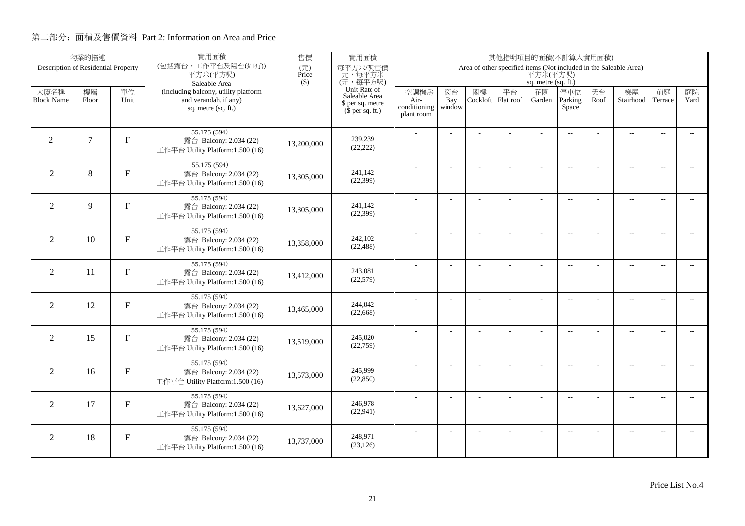|                   | 物業的描述                               |                | 實用面積                                                       | 售價                                | 實用面積                                         | 其他指明項目的面積(不計算入實用面積)  |               |    |                                                                   |                     |                          |      |                          |                          |                          |
|-------------------|-------------------------------------|----------------|------------------------------------------------------------|-----------------------------------|----------------------------------------------|----------------------|---------------|----|-------------------------------------------------------------------|---------------------|--------------------------|------|--------------------------|--------------------------|--------------------------|
|                   | Description of Residential Property |                | (包括露台,工作平台及陽台(如有))<br>平方米(平方呎)                             | $(\overrightarrow{\pi})$<br>Price | 每平方米/呎售價<br>元,每平方米                           |                      |               |    | Area of other specified items (Not included in the Saleable Area) | 平方米(平方呎)            |                          |      |                          |                          |                          |
|                   |                                     |                | Saleable Area                                              | $($ \$)                           | (元,每平方呎)                                     |                      |               |    |                                                                   | sq. metre (sq. ft.) |                          |      |                          |                          |                          |
| 大廈名稱              | 樓層                                  | 單位             | (including balcony, utility platform                       |                                   | Unit Rate of<br>Saleable Area                | 空調機房                 | 窗台            | 閣樓 | 平台                                                                | 花園                  | 停車位                      | 天台   | 梯屋                       | 前庭                       | 庭院<br>Yard               |
| <b>Block Name</b> | Floor                               | Unit           | and verandah, if any)<br>sq. metre (sq. ft.)               |                                   | \$ per sq. metre<br>$(\bar{\S}$ per sq. ft.) | Air-<br>conditioning | Bay<br>window |    | Cockloft Flat roof                                                | Garden              | Parking<br>Space         | Roof | Stairhood                | Terrace                  |                          |
|                   |                                     |                |                                                            |                                   |                                              | plant room           |               |    |                                                                   |                     |                          |      |                          |                          |                          |
|                   |                                     |                | 55.175 (594)                                               |                                   |                                              |                      |               |    |                                                                   |                     | $\overline{\phantom{a}}$ |      | $\overline{\phantom{a}}$ | $\sim$                   |                          |
| $\overline{2}$    | $\tau$                              | F              | 露台 Balcony: 2.034 (22)                                     | 13,200,000                        | 239,239<br>(22, 222)                         |                      |               |    |                                                                   |                     |                          |      |                          |                          |                          |
|                   |                                     |                | 工作平台 Utility Platform:1.500 (16)                           |                                   |                                              |                      |               |    |                                                                   |                     |                          |      |                          |                          |                          |
| 2                 | 8                                   | F              | 55.175 (594)<br>露台 Balcony: 2.034 (22)                     |                                   | 241,142                                      |                      |               |    |                                                                   |                     | $\overline{\phantom{a}}$ |      | $\overline{\phantom{a}}$ | $\sim$                   |                          |
|                   |                                     |                | 工作平台 Utility Platform:1.500 (16)                           | 13,305,000                        | (22, 399)                                    |                      |               |    |                                                                   |                     |                          |      |                          |                          |                          |
|                   |                                     |                | 55.175 (594)                                               |                                   |                                              |                      | ÷,            |    | ÷.                                                                | ÷,                  | $\overline{a}$           |      | $\overline{a}$           | $\overline{\phantom{a}}$ | $-$                      |
| $\overline{2}$    | 9                                   | F              | 露台 Balcony: 2.034 (22)                                     | 13,305,000                        | 241,142                                      |                      |               |    |                                                                   |                     |                          |      |                          |                          |                          |
|                   |                                     |                | 工作平台 Utility Platform:1.500 (16)                           |                                   | (22, 399)                                    |                      |               |    |                                                                   |                     |                          |      |                          |                          |                          |
|                   |                                     |                | 55.175 (594)                                               |                                   |                                              |                      |               |    |                                                                   | L,                  | $\overline{\phantom{a}}$ |      | $\overline{\phantom{a}}$ | $\overline{\phantom{a}}$ | $- -$                    |
| 2                 | 10                                  | $\mathbf F$    | 露台 Balcony: 2.034 (22)<br>工作平台 Utility Platform:1.500 (16) | 13,358,000                        | 242,102<br>(22, 488)                         |                      |               |    |                                                                   |                     |                          |      |                          |                          |                          |
|                   |                                     |                |                                                            |                                   |                                              |                      |               |    |                                                                   |                     |                          |      |                          |                          |                          |
| 2                 | 11                                  | $\mathbf F$    | 55.175 (594)<br>露台 Balcony: 2.034 (22)                     |                                   | 243,081                                      |                      |               |    |                                                                   | $\overline{a}$      | $\overline{\phantom{a}}$ |      | $\overline{a}$           | $\overline{\phantom{a}}$ | $- -$                    |
|                   |                                     |                | 工作平台 Utility Platform:1.500 (16)                           | 13,412,000                        | (22,579)                                     |                      |               |    |                                                                   |                     |                          |      |                          |                          |                          |
|                   |                                     |                | 55.175 (594)                                               |                                   |                                              |                      | ÷,            |    | L.                                                                | ÷,                  | $\overline{a}$           |      | $\overline{a}$           | $\overline{\phantom{a}}$ | $\overline{\phantom{a}}$ |
| $\overline{2}$    | 12                                  | $\overline{F}$ | 露台 Balcony: 2.034 (22)                                     | 13,465,000                        | 244,042                                      |                      |               |    |                                                                   |                     |                          |      |                          |                          |                          |
|                   |                                     |                | 工作平台 Utility Platform:1.500 (16)                           |                                   | (22, 668)                                    |                      |               |    |                                                                   |                     |                          |      |                          |                          |                          |
|                   |                                     |                | 55.175 (594)                                               |                                   | 245,020                                      |                      | Ĭ.            |    |                                                                   | ÷,                  | $\overline{a}$           |      | $\overline{a}$           | $\overline{a}$           | $\overline{a}$           |
| $\overline{2}$    | 15                                  | $\mathbf F$    | 露台 Balcony: 2.034 (22)<br>工作平台 Utility Platform:1.500 (16) | 13.519.000                        | (22, 759)                                    |                      |               |    |                                                                   |                     |                          |      |                          |                          |                          |
|                   |                                     |                | 55.175 (594)                                               |                                   |                                              |                      |               |    |                                                                   |                     |                          |      |                          |                          |                          |
| 2                 | 16                                  | $\mathbf{F}$   | 露台 Balcony: 2.034 (22)                                     | 13,573,000                        | 245,999                                      |                      | ÷,            |    | ÷.                                                                | ÷,                  | $\overline{\phantom{a}}$ |      | $\overline{a}$           | $\sim$                   | $- -$                    |
|                   |                                     |                | 工作平台 Utility Platform:1.500 (16)                           |                                   | (22, 850)                                    |                      |               |    |                                                                   |                     |                          |      |                          |                          |                          |
|                   |                                     |                | 55.175 (594)                                               |                                   |                                              |                      | ÷.            |    | ÷.                                                                | ÷                   | $\sim$                   | ÷    | $\overline{a}$           | $\sim$                   | $\overline{\phantom{a}}$ |
| $\overline{2}$    | 17                                  | $\mathbf{F}$   | 露台 Balcony: 2.034 (22)                                     | 13,627,000                        | 246,978<br>(22,941)                          |                      |               |    |                                                                   |                     |                          |      |                          |                          |                          |
|                   |                                     |                | 工作平台 Utility Platform:1.500 (16)                           |                                   |                                              |                      |               |    |                                                                   |                     |                          |      |                          |                          |                          |
| 2                 | 18                                  | $\mathbf F$    | 55.175 (594)<br>露台 Balcony: 2.034 (22)                     |                                   | 248,971                                      |                      |               |    |                                                                   |                     | $\sim$ $\sim$            |      | $\overline{\phantom{a}}$ | $\sim$                   | $\sim$                   |
|                   |                                     |                | 工作平台 Utility Platform:1.500 (16)                           | 13,737,000                        | (23, 126)                                    |                      |               |    |                                                                   |                     |                          |      |                          |                          |                          |
|                   |                                     |                |                                                            |                                   |                                              |                      |               |    |                                                                   |                     |                          |      |                          |                          |                          |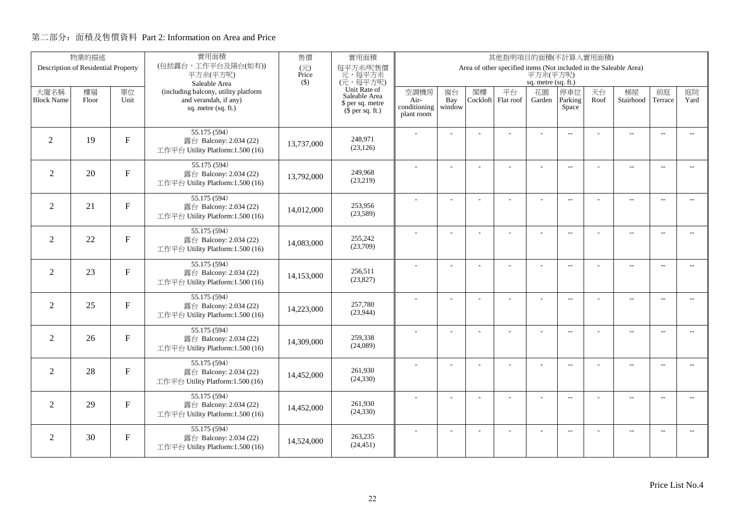|                           | 物業的描述                               |                | 實用面積                                                          | 售價                                | 實用面積                                         | 其他指明項目的面積(不計算入實用面積)  |           |    |                                                                   |                     |                          |            |                          |                          |                          |
|---------------------------|-------------------------------------|----------------|---------------------------------------------------------------|-----------------------------------|----------------------------------------------|----------------------|-----------|----|-------------------------------------------------------------------|---------------------|--------------------------|------------|--------------------------|--------------------------|--------------------------|
|                           | Description of Residential Property |                | (包括露台,工作平台及陽台(如有))<br>平方米(平方呎)                                | $(\overrightarrow{\pi})$<br>Price | 每平方米/呎售價<br>元,每平方米                           |                      |           |    | Area of other specified items (Not included in the Saleable Area) | 平方米(平方呎)            |                          |            |                          |                          |                          |
|                           |                                     |                | Saleable Area                                                 | $($ \$)                           | (元,每平方呎)                                     |                      |           |    |                                                                   | sq. metre (sq. ft.) |                          |            |                          |                          |                          |
| 大廈名稱<br><b>Block Name</b> | 樓層                                  | 單位<br>Unit     | (including balcony, utility platform<br>and verandah, if any) |                                   | Unit Rate of<br>Saleable Area                | 空調機房                 | 窗台<br>Bay | 閣樓 | 平台<br>Cockloft Flat roof                                          | 花園                  | 停車位<br>Parking           | 天台<br>Roof | 梯屋<br>Stairhood          | 前庭<br>Terrace            | 庭院<br>Yard               |
|                           | Floor                               |                | sq. metre (sq. ft.)                                           |                                   | \$ per sq. metre<br>$(\bar{\S}$ per sq. ft.) | Air-<br>conditioning | window    |    |                                                                   | Garden              | Space                    |            |                          |                          |                          |
|                           |                                     |                |                                                               |                                   |                                              | plant room           |           |    |                                                                   |                     |                          |            |                          |                          |                          |
|                           |                                     |                | 55.175 (594)                                                  |                                   |                                              |                      |           |    |                                                                   |                     | $\overline{\phantom{a}}$ |            | $\overline{a}$           | $\sim$                   |                          |
| $\overline{2}$            | 19                                  | F              | 露台 Balcony: 2.034 (22)                                        | 13,737,000                        | 248,971<br>(23, 126)                         |                      |           |    |                                                                   |                     |                          |            |                          |                          |                          |
|                           |                                     |                | 工作平台 Utility Platform:1.500 (16)                              |                                   |                                              |                      |           |    |                                                                   |                     |                          |            |                          |                          |                          |
| 2                         | 20                                  | $F_{\rm}$      | 55.175 (594)<br>露台 Balcony: 2.034 (22)                        |                                   | 249,968                                      |                      |           |    |                                                                   |                     | $\overline{\phantom{a}}$ |            | $\overline{\phantom{a}}$ | $\sim$                   |                          |
|                           |                                     |                | 工作平台 Utility Platform:1.500 (16)                              | 13,792,000                        | (23,219)                                     |                      |           |    |                                                                   |                     |                          |            |                          |                          |                          |
|                           |                                     |                | 55.175 (594)                                                  |                                   |                                              |                      |           |    | ÷.                                                                |                     |                          |            |                          |                          |                          |
| $\overline{2}$            | 21                                  | F              | 露台 Balcony: 2.034 (22)                                        | 14,012,000                        | 253,956                                      |                      | ÷,        |    |                                                                   | ÷,                  | $\overline{a}$           |            | $\overline{a}$           | $\overline{\phantom{a}}$ | $-$                      |
|                           |                                     |                | 工作平台 Utility Platform:1.500 (16)                              |                                   | (23,589)                                     |                      |           |    |                                                                   |                     |                          |            |                          |                          |                          |
|                           |                                     |                | 55.175 (594)                                                  |                                   |                                              |                      |           |    |                                                                   | L,                  | $\overline{\phantom{a}}$ |            | ц.                       | $\sim$                   | $\overline{\phantom{a}}$ |
| 2                         | 22                                  | $\mathbf F$    | 露台 Balcony: 2.034 (22)<br>工作平台 Utility Platform:1.500 (16)    | 14,083,000                        | 255,242<br>(23,709)                          |                      |           |    |                                                                   |                     |                          |            |                          |                          |                          |
|                           |                                     |                |                                                               |                                   |                                              |                      |           |    |                                                                   |                     |                          |            |                          |                          |                          |
| 2                         | 23                                  | $\mathbf F$    | 55.175 (594)<br>露台 Balcony: 2.034 (22)                        |                                   | 256.511                                      |                      |           |    |                                                                   | $\overline{a}$      | $\overline{\phantom{a}}$ |            | $\overline{\phantom{a}}$ | $\overline{\phantom{a}}$ | $\overline{\phantom{a}}$ |
|                           |                                     |                | 工作平台 Utility Platform:1.500 (16)                              | 14,153,000                        | (23,827)                                     |                      |           |    |                                                                   |                     |                          |            |                          |                          |                          |
|                           |                                     |                | 55.175 (594)                                                  |                                   |                                              |                      | ÷,        |    | L.                                                                | ÷,                  | $\overline{a}$           |            | $\overline{a}$           | $\overline{\phantom{a}}$ | $\overline{\phantom{a}}$ |
| $\overline{2}$            | 25                                  | $\overline{F}$ | 露台 Balcony: 2.034 (22)                                        | 14,223,000                        | 257,780                                      |                      |           |    |                                                                   |                     |                          |            |                          |                          |                          |
|                           |                                     |                | 工作平台 Utility Platform:1.500 (16)                              |                                   | (23,944)                                     |                      |           |    |                                                                   |                     |                          |            |                          |                          |                          |
|                           |                                     |                | 55.175 (594)                                                  |                                   | 259,338                                      |                      | Ĭ.        |    |                                                                   | ÷,                  | $\overline{a}$           |            | $\overline{a}$           | $\overline{a}$           | $\overline{\phantom{a}}$ |
| $\overline{2}$            | 26                                  | F              | 露台 Balcony: 2.034 (22)<br>工作平台 Utility Platform:1.500 (16)    | 14,309,000                        | (24,089)                                     |                      |           |    |                                                                   |                     |                          |            |                          |                          |                          |
|                           |                                     |                | 55.175 (594)                                                  |                                   |                                              |                      |           |    |                                                                   |                     |                          |            |                          |                          |                          |
| 2                         | 28                                  | $\mathbf{F}$   | 露台 Balcony: 2.034 (22)                                        | 14,452,000                        | 261,930                                      |                      | ÷,        |    | L.                                                                | ÷,                  | $\overline{\phantom{a}}$ |            | $\overline{a}$           | $\sim$                   | $\overline{\phantom{a}}$ |
|                           |                                     |                | 工作平台 Utility Platform:1.500 (16)                              |                                   | (24, 330)                                    |                      |           |    |                                                                   |                     |                          |            |                          |                          |                          |
|                           |                                     |                | 55.175 (594)                                                  |                                   |                                              |                      | ÷.        |    | ÷.                                                                | ÷                   | $\sim$                   | ÷          | $\overline{a}$           | $\sim$                   | $\overline{\phantom{a}}$ |
| $\overline{2}$            | 29                                  | ${\bf F}$      | 露台 Balcony: 2.034 (22)                                        | 14,452,000                        | 261,930<br>(24, 330)                         |                      |           |    |                                                                   |                     |                          |            |                          |                          |                          |
|                           |                                     |                | 工作平台 Utility Platform:1.500 (16)                              |                                   |                                              |                      |           |    |                                                                   |                     |                          |            |                          |                          |                          |
| 2                         | 30                                  | $\mathbf F$    | 55.175 (594)                                                  |                                   | 263,235                                      |                      |           |    |                                                                   |                     | $\sim$ $\sim$            |            | $\overline{\phantom{a}}$ | $\sim$                   | $\sim$                   |
|                           |                                     |                | 露台 Balcony: 2.034 (22)<br>工作平台 Utility Platform:1.500 (16)    | 14,524,000                        | (24, 451)                                    |                      |           |    |                                                                   |                     |                          |            |                          |                          |                          |
|                           |                                     |                |                                                               |                                   |                                              |                      |           |    |                                                                   |                     |                          |            |                          |                          |                          |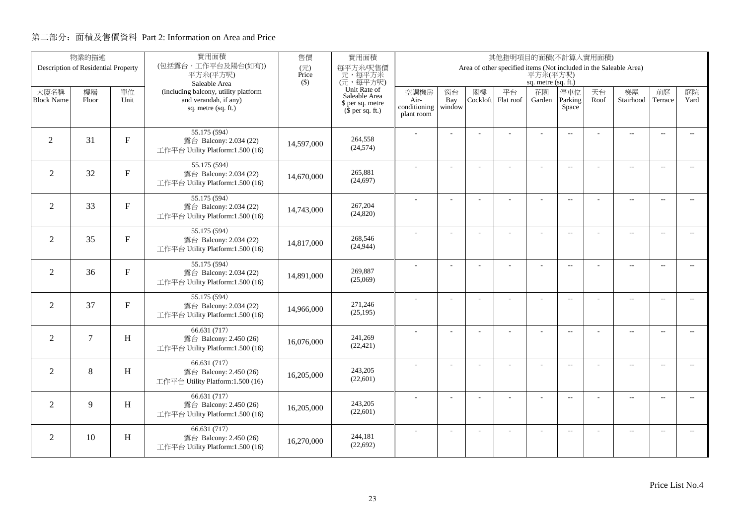|                           | 物業的描述                               |             | 實用面積                                                          | 售價           | 實用面積                                         | 其他指明項目的面積(不計算入實用面積)<br>Area of other specified items (Not included in the Saleable Area) |           |                |                 |                     |                          |            |                          |                          |                          |
|---------------------------|-------------------------------------|-------------|---------------------------------------------------------------|--------------|----------------------------------------------|------------------------------------------------------------------------------------------|-----------|----------------|-----------------|---------------------|--------------------------|------------|--------------------------|--------------------------|--------------------------|
|                           | Description of Residential Property |             | (包括露台,工作平台及陽台(如有))<br>平方米(平方呎)                                | (元)<br>Price | 每平方米/呎售價<br>元,每平方米                           |                                                                                          |           |                |                 | 平方米(平方呎)            |                          |            |                          |                          |                          |
|                           |                                     |             | Saleable Area                                                 | $($ \$)      | (元,每平方呎)                                     |                                                                                          |           |                |                 | sq. metre (sq. ft.) |                          |            |                          |                          |                          |
| 大廈名稱<br><b>Block Name</b> | 樓層<br>Floor                         | 單位<br>Unit  | (including balcony, utility platform<br>and verandah, if any) |              | Unit Rate of<br>Saleable Area                | 空調機房<br>Air-                                                                             | 窗台<br>Bay | 閣樓<br>Cockloft | 平台<br>Flat roof | 花園<br>Garden        | 停車位<br>Parking           | 天台<br>Roof | 梯屋<br>Stairhood          | 前庭<br>Terrace            | 庭院<br>Yard               |
|                           |                                     |             | sq. metre (sq. ft.)                                           |              | \$ per sq. metre<br>$(\bar{\S}$ per sq. ft.) | conditioning                                                                             | window    |                |                 |                     | Space                    |            |                          |                          |                          |
|                           |                                     |             |                                                               |              |                                              | plant room                                                                               |           |                |                 |                     |                          |            |                          |                          |                          |
|                           |                                     |             | 55.175 (594)                                                  |              |                                              |                                                                                          |           |                |                 |                     | $\overline{\phantom{a}}$ |            | $\overline{\phantom{a}}$ | $\sim$                   |                          |
| $\overline{2}$            | 31                                  | $\mathbf F$ | 露台 Balcony: 2.034 (22)<br>工作平台 Utility Platform:1.500 (16)    | 14,597,000   | 264.558<br>(24, 574)                         |                                                                                          |           |                |                 |                     |                          |            |                          |                          |                          |
|                           |                                     |             |                                                               |              |                                              |                                                                                          |           |                |                 |                     |                          |            |                          |                          |                          |
| 2                         | 32                                  | $F_{\rm}$   | 55.175 (594)<br>露台 Balcony: 2.034 (22)                        |              | 265,881                                      |                                                                                          |           |                | ä,              | ÷                   | $\overline{\phantom{a}}$ |            | $\overline{a}$           | $\sim$                   |                          |
|                           |                                     |             | 工作平台 Utility Platform:1.500 (16)                              | 14,670,000   | (24, 697)                                    |                                                                                          |           |                |                 |                     |                          |            |                          |                          |                          |
|                           |                                     |             | 55.175 (594)                                                  |              |                                              |                                                                                          | ÷.        |                | ÷.              | ÷,                  | $\overline{a}$           |            | $\overline{a}$           | $\overline{\phantom{a}}$ | $\overline{a}$           |
| $\overline{2}$            | 33                                  | $\mathbf F$ | 露台 Balcony: 2.034 (22)                                        | 14,743,000   | 267,204<br>(24, 820)                         |                                                                                          |           |                |                 |                     |                          |            |                          |                          |                          |
|                           |                                     |             | 工作平台 Utility Platform:1.500 (16)                              |              |                                              |                                                                                          |           |                |                 |                     |                          |            |                          |                          |                          |
| 2                         | 35                                  | F           | 55.175 (594)<br>露台 Balcony: 2.034 (22)                        |              | 268,546                                      |                                                                                          |           |                |                 |                     | $\overline{\phantom{a}}$ |            | $\overline{\phantom{a}}$ | $\overline{a}$           | $\overline{\phantom{a}}$ |
|                           |                                     |             | 工作平台 Utility Platform:1.500 (16)                              | 14,817,000   | (24, 944)                                    |                                                                                          |           |                |                 |                     |                          |            |                          |                          |                          |
|                           |                                     |             | 55.175 (594)                                                  |              |                                              |                                                                                          |           |                |                 | ÷                   | $\overline{\phantom{a}}$ |            | $\overline{a}$           | $\overline{\phantom{a}}$ | $\overline{\phantom{a}}$ |
| $\overline{2}$            | 36                                  | $\mathbf F$ | 露台 Balcony: 2.034 (22)                                        | 14,891,000   | 269,887<br>(25,069)                          |                                                                                          |           |                |                 |                     |                          |            |                          |                          |                          |
|                           |                                     |             | 工作平台 Utility Platform:1.500 (16)                              |              |                                              |                                                                                          |           |                |                 |                     |                          |            |                          |                          |                          |
| 2                         | 37                                  | $\mathbf F$ | 55.175 (594)<br>露台 Balcony: 2.034 (22)                        |              | 271,246                                      |                                                                                          | ÷.        |                |                 | $\overline{a}$      | $\overline{\phantom{a}}$ |            | $\overline{\phantom{a}}$ | $\sim$                   | $\sim$                   |
|                           |                                     |             | 工作平台 Utility Platform:1.500 (16)                              | 14,966,000   | (25, 195)                                    |                                                                                          |           |                |                 |                     |                          |            |                          |                          |                          |
|                           |                                     |             | 66.631(717)                                                   |              |                                              |                                                                                          | ÷,        |                | L,              | ÷,                  | $\overline{a}$           |            | $\overline{a}$           | $\sim$                   | $\overline{a}$           |
| $\overline{2}$            | $\tau$                              | H           | 露台 Balcony: 2.450 (26)                                        | 16,076,000   | 241,269                                      |                                                                                          |           |                |                 |                     |                          |            |                          |                          |                          |
|                           |                                     |             | 工作平台 Utility Platform:1.500 (16)                              |              | (22, 421)                                    |                                                                                          |           |                |                 |                     |                          |            |                          |                          |                          |
|                           |                                     |             | 66.631 (717)                                                  |              | 243,205                                      |                                                                                          |           |                |                 | ÷.                  | $\overline{\phantom{a}}$ |            | $\overline{\phantom{a}}$ | $\sim$                   | $\sim$                   |
| 2                         | 8                                   | H           | 露台 Balcony: 2.450 (26)<br>工作平台 Utility Platform:1.500 (16)    | 16,205,000   | (22, 601)                                    |                                                                                          |           |                |                 |                     |                          |            |                          |                          |                          |
|                           |                                     |             | 66.631(717)                                                   |              |                                              |                                                                                          |           |                |                 |                     |                          |            |                          |                          |                          |
| 2                         | 9                                   | H           | 露台 Balcony: 2.450 (26)                                        | 16,205,000   | 243,205                                      |                                                                                          |           |                | ÷               | ÷                   | $\sim$                   |            | $\overline{\phantom{a}}$ | $\sim$                   | $-$                      |
|                           |                                     |             | 工作平台 Utility Platform:1.500 (16)                              |              | (22,601)                                     |                                                                                          |           |                |                 |                     |                          |            |                          |                          |                          |
|                           |                                     |             | 66.631(717)                                                   |              |                                              |                                                                                          | ÷.        |                | L.              | ÷                   | $\sim$ $\sim$            |            | $\qquad \qquad -$        | $\sim$                   | $\overline{a}$           |
| $\overline{2}$            | 10                                  | H           | 露台 Balcony: 2.450 (26)<br>工作平台 Utility Platform:1.500 (16)    | 16,270,000   | 244,181<br>(22, 692)                         |                                                                                          |           |                |                 |                     |                          |            |                          |                          |                          |
|                           |                                     |             |                                                               |              |                                              |                                                                                          |           |                |                 |                     |                          |            |                          |                          |                          |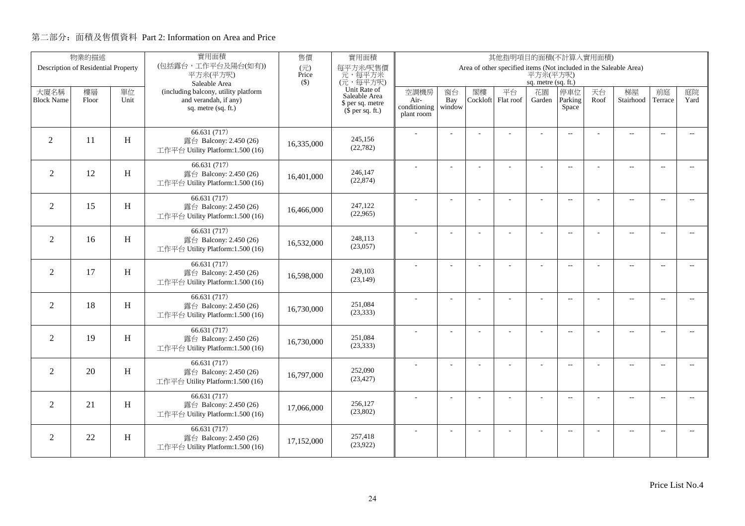| 物業的描述                     |                                     |            | 實用面積                                                          | 售價           | 實用面積                                         | 其他指明項目的面積(不計算入實用面積)<br>Area of other specified items (Not included in the Saleable Area) |           |                |                 |                     |                          |            |                          |                          |                          |
|---------------------------|-------------------------------------|------------|---------------------------------------------------------------|--------------|----------------------------------------------|------------------------------------------------------------------------------------------|-----------|----------------|-----------------|---------------------|--------------------------|------------|--------------------------|--------------------------|--------------------------|
|                           | Description of Residential Property |            | (包括露台,工作平台及陽台(如有))<br>平方米(平方呎)                                | (元)<br>Price | 每平方米/呎售價<br>元,每平方米                           |                                                                                          |           |                |                 | 平方米(平方呎)            |                          |            |                          |                          |                          |
|                           |                                     |            | Saleable Area                                                 | $($ \$)      | (元,每平方呎)                                     |                                                                                          |           |                |                 | sq. metre (sq. ft.) |                          |            |                          |                          |                          |
| 大廈名稱<br><b>Block Name</b> | 樓層<br>Floor                         | 單位<br>Unit | (including balcony, utility platform<br>and verandah, if any) |              | Unit Rate of<br>Saleable Area                | 空調機房<br>Air-                                                                             | 窗台<br>Bay | 閣樓<br>Cockloft | 平台<br>Flat roof | 花園<br>Garden        | 停車位<br>Parking           | 天台<br>Roof | 梯屋<br>Stairhood          | 前庭<br>Terrace            | 庭院<br>Yard               |
|                           |                                     |            | sq. metre (sq. ft.)                                           |              | \$ per sq. metre<br>$(\bar{\S}$ per sq. ft.) | conditioning                                                                             | window    |                |                 |                     | Space                    |            |                          |                          |                          |
|                           |                                     |            |                                                               |              |                                              | plant room                                                                               |           |                |                 |                     |                          |            |                          |                          |                          |
|                           |                                     |            | 66.631(717)                                                   |              |                                              |                                                                                          |           |                |                 |                     | $\overline{\phantom{a}}$ |            | $\overline{\phantom{a}}$ | $\sim$                   |                          |
| $\overline{2}$            | 11                                  | H          | 露台 Balcony: 2.450 (26)<br>工作平台 Utility Platform:1.500 (16)    | 16,335,000   | 245,156<br>(22, 782)                         |                                                                                          |           |                |                 |                     |                          |            |                          |                          |                          |
|                           |                                     |            |                                                               |              |                                              |                                                                                          |           |                |                 |                     |                          |            |                          |                          |                          |
| 2                         | 12                                  | H          | 66.631 (717)<br>露台 Balcony: 2.450 (26)                        |              | 246,147                                      |                                                                                          |           |                | ä,              | ÷                   | $\overline{\phantom{a}}$ |            | $\overline{a}$           | $\sim$                   |                          |
|                           |                                     |            | 工作平台 Utility Platform:1.500 (16)                              | 16,401,000   | (22, 874)                                    |                                                                                          |           |                |                 |                     |                          |            |                          |                          |                          |
|                           |                                     |            | 66.631 (717)                                                  |              |                                              |                                                                                          | ÷.        |                | ÷.              | ÷,                  | $\overline{a}$           |            | $\overline{a}$           | $\overline{\phantom{a}}$ | $-$                      |
| $\overline{2}$            | 15                                  | H          | 露台 Balcony: 2.450 (26)                                        | 16,466,000   | 247,122<br>(22,965)                          |                                                                                          |           |                |                 |                     |                          |            |                          |                          |                          |
|                           |                                     |            | 工作平台 Utility Platform:1.500 (16)                              |              |                                              |                                                                                          |           |                |                 |                     |                          |            |                          |                          |                          |
| 2                         | 16                                  | H          | 66.631 (717)                                                  |              | 248,113                                      |                                                                                          |           |                |                 |                     | $\overline{\phantom{a}}$ |            | $\overline{a}$           | $\overline{a}$           | $\overline{\phantom{a}}$ |
|                           |                                     |            | 露台 Balcony: 2.450 (26)<br>工作平台 Utility Platform:1.500 (16)    | 16,532,000   | (23,057)                                     |                                                                                          |           |                |                 |                     |                          |            |                          |                          |                          |
|                           |                                     |            | 66.631 (717)                                                  |              |                                              |                                                                                          |           |                |                 | ÷                   |                          |            | $\overline{a}$           |                          |                          |
| $\overline{2}$            | 17                                  | H          | 露台 Balcony: 2.450 (26)                                        | 16,598,000   | 249,103                                      |                                                                                          |           |                |                 |                     | $\overline{\phantom{a}}$ |            |                          | $\overline{\phantom{a}}$ | $\overline{\phantom{a}}$ |
|                           |                                     |            | 工作平台 Utility Platform:1.500 (16)                              |              | (23, 149)                                    |                                                                                          |           |                |                 |                     |                          |            |                          |                          |                          |
|                           |                                     |            | 66.631 (717)                                                  |              |                                              |                                                                                          | ÷.        |                |                 | $\overline{a}$      | $\overline{\phantom{a}}$ |            | $\overline{\phantom{a}}$ | $\sim$                   | $\sim$                   |
| 2                         | 18                                  | H          | 露台 Balcony: 2.450 (26)<br>工作平台 Utility Platform:1.500 (16)    | 16,730,000   | 251,084<br>(23, 333)                         |                                                                                          |           |                |                 |                     |                          |            |                          |                          |                          |
|                           |                                     |            | 66.631(717)                                                   |              |                                              |                                                                                          |           |                |                 |                     |                          |            |                          |                          |                          |
| $\overline{2}$            | 19                                  | H          | 露台 Balcony: 2.450 (26)                                        | 16,730,000   | 251,084                                      |                                                                                          | ÷,        |                | L,              | ÷,                  | $\overline{a}$           |            | $\overline{a}$           | $\sim$                   | $\overline{a}$           |
|                           |                                     |            | 工作平台 Utility Platform:1.500 (16)                              |              | (23, 333)                                    |                                                                                          |           |                |                 |                     |                          |            |                          |                          |                          |
|                           |                                     |            | 66.631 (717)                                                  |              |                                              |                                                                                          |           |                |                 | ÷.                  | $\overline{\phantom{a}}$ |            | $\overline{\phantom{a}}$ | $\sim$                   | $\sim$                   |
| 2                         | 20                                  | H          | 露台 Balcony: 2.450 (26)                                        | 16,797,000   | 252,090<br>(23, 427)                         |                                                                                          |           |                |                 |                     |                          |            |                          |                          |                          |
|                           |                                     |            | 工作平台 Utility Platform:1.500 (16)                              |              |                                              |                                                                                          |           |                |                 |                     |                          |            |                          |                          |                          |
| $\overline{2}$            | 21                                  | H          | 66.631(717)<br>露台 Balcony: 2.450 (26)                         |              | 256,127                                      |                                                                                          |           |                | ÷               | ÷                   | $\sim$                   |            | $\overline{\phantom{a}}$ | $\sim$                   | $-$                      |
|                           |                                     |            | 工作平台 Utility Platform:1.500 (16)                              | 17,066,000   | (23,802)                                     |                                                                                          |           |                |                 |                     |                          |            |                          |                          |                          |
|                           |                                     |            | 66.631(717)                                                   |              |                                              |                                                                                          | ÷.        |                | L.              | ÷                   | $\sim$ $\sim$            |            | $\qquad \qquad -$        | $\sim$                   | $\overline{a}$           |
| $\overline{2}$            | 22                                  | H          | 露台 Balcony: 2.450 (26)                                        | 17,152,000   | 257,418<br>(23,922)                          |                                                                                          |           |                |                 |                     |                          |            |                          |                          |                          |
|                           |                                     |            | 工作平台 Utility Platform:1.500 (16)                              |              |                                              |                                                                                          |           |                |                 |                     |                          |            |                          |                          |                          |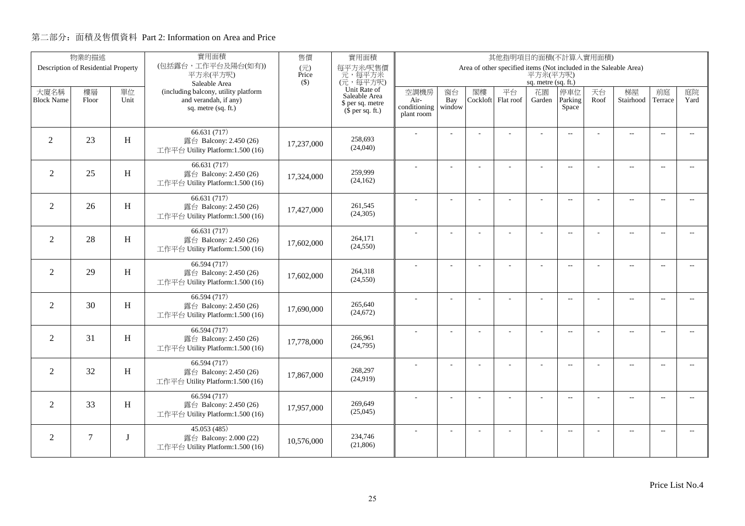|                           | 物業的描述                               |            | 實用面積                                                                                                  | 售價           | 實用面積                                                                              | 其他指明項目的面積(不計算入實用面積)<br>Area of other specified items (Not included in the Saleable Area) |                     |                |                 |                                     |                          |            |                          |                          |                             |
|---------------------------|-------------------------------------|------------|-------------------------------------------------------------------------------------------------------|--------------|-----------------------------------------------------------------------------------|------------------------------------------------------------------------------------------|---------------------|----------------|-----------------|-------------------------------------|--------------------------|------------|--------------------------|--------------------------|-----------------------------|
|                           | Description of Residential Property |            | (包括露台,工作平台及陽台(如有))<br>平方米(平方呎)                                                                        | (元)<br>Price | 每平方米/呎售價<br>元,每平方米                                                                |                                                                                          |                     |                |                 | 平方米(平方呎)                            |                          |            |                          |                          |                             |
| 大廈名稱<br><b>Block Name</b> | 樓層<br>Floor                         | 單位<br>Unit | Saleable Area<br>(including balcony, utility platform<br>and verandah, if any)<br>sq. metre (sq. ft.) | $($ \$)      | (元,每平方呎)<br>Unit Rate of<br>Saleable Area<br>\$ per sq. metre<br>$$$ per sq. ft.) | 空調機房<br>Air-<br>conditioning<br>plant room                                               | 窗台<br>Bay<br>window | 閣樓<br>Cockloft | 平台<br>Flat roof | sq. metre (sq. ft.)<br>花園<br>Garden | 停車位<br>Parking<br>Space  | 天台<br>Roof | 梯屋<br>Stairhood          | 前庭<br>Terrace            | 庭院<br>Yard                  |
| 2                         | 23                                  | H          | 66.631(717)<br>露台 Balcony: 2.450 (26)<br>工作平台 Utility Platform:1.500 (16)                             | 17,237,000   | 258,693<br>(24,040)                                                               |                                                                                          |                     |                |                 |                                     | $\overline{\phantom{a}}$ |            | $\overline{\phantom{a}}$ | $\overline{\phantom{a}}$ |                             |
| $\overline{2}$            | 25                                  | H          | 66.631 (717)<br>露台 Balcony: 2.450 (26)<br>工作平台 Utility Platform:1.500 (16)                            | 17,324,000   | 259,999<br>(24, 162)                                                              |                                                                                          |                     |                | ÷.              | ÷                                   | $\overline{\phantom{a}}$ |            | $\overline{\phantom{a}}$ | $\sim$                   | $\sim$                      |
| $\overline{2}$            | 26                                  | H          | 66.631 (717)<br>露台 Balcony: 2.450 (26)<br>工作平台 Utility Platform:1.500 (16)                            | 17,427,000   | 261,545<br>(24, 305)                                                              |                                                                                          | J.                  |                |                 | L,                                  | $\overline{\phantom{a}}$ |            | $\overline{\phantom{a}}$ | $\sim$                   | $\overline{\phantom{a}}$    |
| $\overline{2}$            | 28                                  | H          | 66.631 (717)<br>露台 Balcony: 2.450 (26)<br>工作平台 Utility Platform:1.500 (16)                            | 17,602,000   | 264,171<br>(24, 550)                                                              |                                                                                          |                     |                | L.              | L,                                  | $\overline{\phantom{a}}$ |            | $\overline{\phantom{a}}$ | $\overline{\phantom{a}}$ | $\overline{\phantom{a}}$    |
| 2                         | 29                                  | H          | 66.594 (717)<br>露台 Balcony: 2.450 (26)<br>工作平台 Utility Platform:1.500 (16)                            | 17,602,000   | 264,318<br>(24, 550)                                                              |                                                                                          |                     |                |                 | ÷.                                  | $\sim$                   |            | $\overline{a}$           | $\sim$                   | $\sim$                      |
| $\overline{2}$            | 30                                  | H          | 66.594 (717)<br>露台 Balcony: 2.450 (26)<br>工作平台 Utility Platform:1.500 (16)                            | 17,690,000   | 265,640<br>(24, 672)                                                              |                                                                                          | $\overline{a}$      |                | L,              | ÷,                                  | $\overline{\phantom{m}}$ |            | $\overline{\phantom{a}}$ | $\overline{\phantom{a}}$ | $- -$                       |
| $\overline{2}$            | 31                                  | H          | 66.594 (717)<br>露台 Balcony: 2.450 (26)<br>工作平台 Utility Platform:1.500 (16)                            | 17,778,000   | 266,961<br>(24,795)                                                               |                                                                                          | ÷.                  |                |                 | L,                                  | $\overline{\phantom{a}}$ |            | $\overline{a}$           | $\overline{\phantom{a}}$ | $- -$                       |
| 2                         | 32                                  | H          | 66.594 (717)<br>露台 Balcony: 2.450 (26)<br>工作平台 Utility Platform:1.500 (16)                            | 17,867,000   | 268,297<br>(24,919)                                                               |                                                                                          | J.                  |                | L.              | $\overline{\phantom{a}}$            | $\overline{a}$           |            | $\overline{a}$           | $\sim$                   | $\overline{a}$              |
| $\overline{2}$            | 33                                  | H          | 66.594 (717)<br>露台 Balcony: 2.450 (26)<br>工作平台 Utility Platform:1.500 (16)                            | 17,957,000   | 269,649<br>(25,045)                                                               |                                                                                          |                     |                | L,              |                                     | $-$                      |            | $\overline{\phantom{a}}$ | $\sim$                   | $\overline{\phantom{a}}$    |
| 2                         | $\tau$                              | I          | 45.053(485)<br>露台 Balcony: 2.000 (22)<br>工作平台 Utility Platform:1.500 (16)                             | 10.576.000   | 234,746<br>(21,806)                                                               |                                                                                          |                     |                |                 |                                     | $\overline{\phantom{m}}$ |            | $\overline{\phantom{a}}$ | $\sim$                   | $\mathcal{L}_{\mathcal{F}}$ |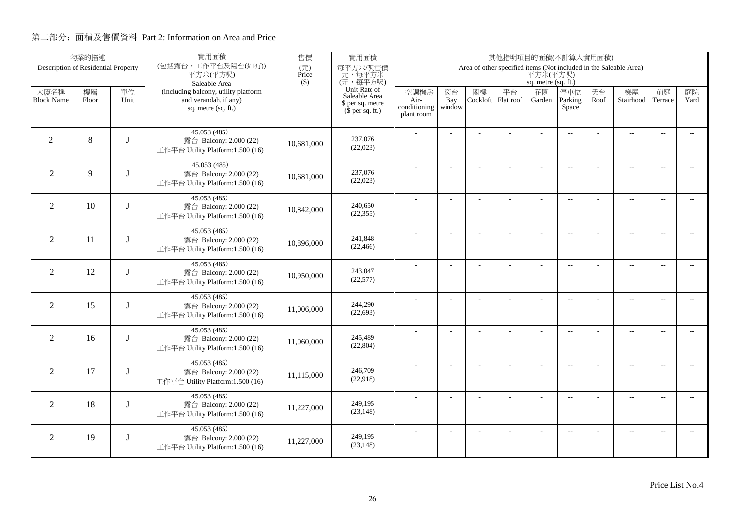| 物業的描述                     |                                     |             | 實用面積                                                       | 售價           | 實用面積                              | 其他指明項目的面積(不計算入實用面積)<br>Area of other specified items (Not included in the Saleable Area) |                          |                |           |                          |                          |            |                          |                          |                             |
|---------------------------|-------------------------------------|-------------|------------------------------------------------------------|--------------|-----------------------------------|------------------------------------------------------------------------------------------|--------------------------|----------------|-----------|--------------------------|--------------------------|------------|--------------------------|--------------------------|-----------------------------|
|                           | Description of Residential Property |             | (包括露台,工作平台及陽台(如有))<br>平方米(平方呎)                             | (元)<br>Price | 每平方米/呎售價<br>元,每平方米                |                                                                                          |                          |                |           | 平方米(平方呎)                 |                          |            |                          |                          |                             |
|                           |                                     |             | Saleable Area<br>(including balcony, utility platform      | $($ \$)      | (元,每平方呎)<br>Unit Rate of          |                                                                                          |                          |                | 平台        | sq. metre (sq. ft.)      |                          |            |                          |                          |                             |
| 大廈名稱<br><b>Block Name</b> | 樓層<br>Floor                         | 單位<br>Unit  | and verandah, if any)                                      |              | Saleable Area<br>\$ per sq. metre | 空調機房<br>Air-                                                                             | 窗台<br>Bay                | 閣樓<br>Cockloft | Flat roof | 花園<br>Garden             | 停車位<br>Parking           | 天台<br>Roof | 梯屋<br>Stairhood          | 前庭<br>Terrace            | 庭院<br>Yard                  |
|                           |                                     |             | sq. metre (sq. ft.)                                        |              | $(\bar{\S}$ per sq. ft.)          | conditioning<br>plant room                                                               | window                   |                |           |                          | Space                    |            |                          |                          |                             |
|                           |                                     |             |                                                            |              |                                   |                                                                                          |                          |                |           |                          |                          |            |                          |                          |                             |
| 2                         | 8                                   | $\mathbf I$ | 45.053 (485)<br>露台 Balcony: 2.000 (22)                     |              | 237,076                           |                                                                                          |                          |                |           |                          | $\overline{\phantom{a}}$ |            | $\overline{a}$           | $\overline{\phantom{a}}$ |                             |
|                           |                                     |             | 工作平台 Utility Platform:1.500 (16)                           | 10,681,000   | (22,023)                          |                                                                                          |                          |                |           |                          |                          |            |                          |                          |                             |
|                           |                                     |             | 45.053 (485)                                               |              |                                   |                                                                                          |                          |                | ÷.        | ÷                        | $\overline{\phantom{a}}$ |            | $\overline{a}$           | $\sim$                   | $\sim$                      |
| $\overline{2}$            | 9                                   |             | 露台 Balcony: 2.000 (22)<br>工作平台 Utility Platform:1.500 (16) | 10,681,000   | 237,076<br>(22,023)               |                                                                                          |                          |                |           |                          |                          |            |                          |                          |                             |
|                           |                                     |             |                                                            |              |                                   |                                                                                          |                          |                |           |                          |                          |            |                          |                          |                             |
| $\overline{2}$            | 10                                  |             | 45.053 (485)<br>露台 Balcony: 2.000 (22)                     | 10,842,000   | 240,650                           |                                                                                          | J.                       |                |           | L,                       | $\overline{\phantom{a}}$ |            | $\overline{\phantom{a}}$ | $\sim$                   | $\overline{a}$              |
|                           |                                     |             | 工作平台 Utility Platform:1.500 (16)                           |              | (22, 355)                         |                                                                                          |                          |                |           |                          |                          |            |                          |                          |                             |
|                           |                                     |             | 45.053 (485)                                               |              |                                   |                                                                                          |                          |                |           | L,                       | $\overline{\phantom{a}}$ |            | $\overline{\phantom{a}}$ | $\overline{\phantom{a}}$ | $\overline{\phantom{a}}$    |
| $\overline{2}$            | 11                                  |             | 露台 Balcony: 2.000 (22)<br>工作平台 Utility Platform:1.500 (16) | 10,896,000   | 241,848<br>(22, 466)              |                                                                                          |                          |                |           |                          |                          |            |                          |                          |                             |
|                           |                                     |             |                                                            |              |                                   |                                                                                          |                          |                |           |                          |                          |            |                          |                          |                             |
| 2                         | 12                                  | I           | 45.053 (485)<br>露台 Balcony: 2.000 (22)                     | 10,950,000   | 243,047                           |                                                                                          |                          |                |           | ÷.                       | $\sim$                   |            | $\overline{a}$           | $\sim$                   | $\sim$                      |
|                           |                                     |             | 工作平台 Utility Platform:1.500 (16)                           |              | (22,577)                          |                                                                                          |                          |                |           |                          |                          |            |                          |                          |                             |
|                           |                                     |             | 45.053(485)                                                |              | 244,290                           |                                                                                          | $\overline{\phantom{a}}$ |                |           | ÷,                       | $\overline{\phantom{m}}$ |            | $\overline{\phantom{a}}$ | $\overline{\phantom{a}}$ | $- -$                       |
| $\overline{2}$            | 15                                  | I           | 露台 Balcony: 2.000 (22)<br>工作平台 Utility Platform:1.500 (16) | 11,006,000   | (22, 693)                         |                                                                                          |                          |                |           |                          |                          |            |                          |                          |                             |
|                           |                                     |             | 45.053 (485)                                               |              |                                   |                                                                                          | ÷.                       |                |           | L,                       | $\overline{\phantom{a}}$ |            | $\overline{a}$           | $\overline{\phantom{a}}$ | $- -$                       |
| $\overline{2}$            | 16                                  | I           | 露台 Balcony: 2.000 (22)                                     | 11,060,000   | 245,489                           |                                                                                          |                          |                |           |                          |                          |            |                          |                          |                             |
|                           |                                     |             | 工作平台 Utility Platform:1.500 (16)                           |              | (22, 804)                         |                                                                                          |                          |                |           |                          |                          |            |                          |                          |                             |
| 2                         | 17                                  | I           | 45.053(485)<br>露台 Balcony: 2.000 (22)                      |              | 246,709                           |                                                                                          | L,                       |                | L         | $\overline{\phantom{a}}$ | $\overline{a}$           |            | $\overline{\phantom{a}}$ | $\sim$                   | $\overline{a}$              |
|                           |                                     |             | 工作平台 Utility Platform:1.500 (16)                           | 11,115,000   | (22,918)                          |                                                                                          |                          |                |           |                          |                          |            |                          |                          |                             |
|                           |                                     |             | 45.053 (485)                                               |              |                                   |                                                                                          |                          |                | L,        |                          | $-$                      |            | $\overline{\phantom{a}}$ | $\sim$                   | $\overline{\phantom{a}}$    |
| $\overline{2}$            | 18                                  | I           | 露台 Balcony: 2.000 (22)                                     | 11,227,000   | 249,195<br>(23, 148)              |                                                                                          |                          |                |           |                          |                          |            |                          |                          |                             |
|                           |                                     |             | 工作平台 Utility Platform:1.500 (16)                           |              |                                   |                                                                                          |                          |                |           |                          |                          |            |                          |                          |                             |
| 2                         | 19                                  | J           | 45.053(485)<br>露台 Balcony: 2.000 (22)                      |              | 249,195                           |                                                                                          |                          |                |           |                          | $\overline{\phantom{m}}$ |            | $\overline{\phantom{a}}$ | $\sim$                   | $\mathcal{L}_{\mathcal{F}}$ |
|                           |                                     |             | 工作平台 Utility Platform:1.500 (16)                           | 11.227,000   | (23, 148)                         |                                                                                          |                          |                |           |                          |                          |            |                          |                          |                             |
|                           |                                     |             |                                                            |              |                                   |                                                                                          |                          |                |           |                          |                          |            |                          |                          |                             |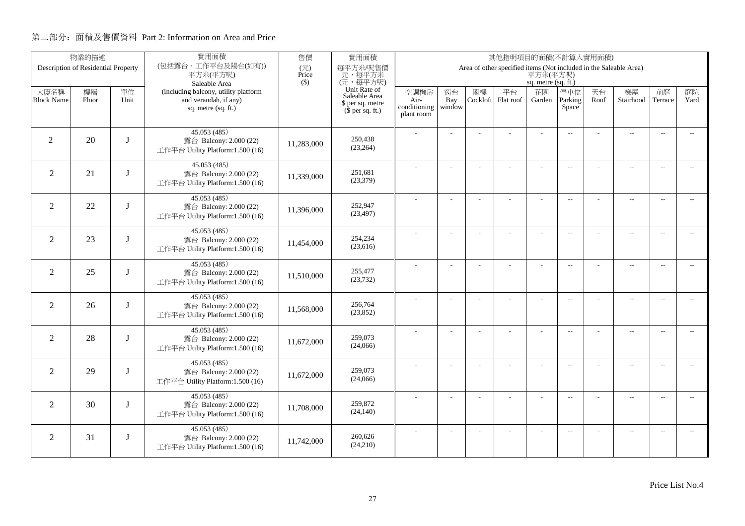| 物業的描述             |                                     |             | 實用面積                                                       | 售價           | 實用面積                              | 其他指明項目的面積(不計算入實用面積)<br>Area of other specified items (Not included in the Saleable Area) |                          |          |           |                           |                          |      |                          |                          |                             |
|-------------------|-------------------------------------|-------------|------------------------------------------------------------|--------------|-----------------------------------|------------------------------------------------------------------------------------------|--------------------------|----------|-----------|---------------------------|--------------------------|------|--------------------------|--------------------------|-----------------------------|
|                   | Description of Residential Property |             | (包括露台,工作平台及陽台(如有))<br>平方米(平方呎)                             | (元)<br>Price | 每平方米/呎售價<br>元,每平方米                |                                                                                          |                          |          |           | 平方米(平方呎)                  |                          |      |                          |                          |                             |
| 大廈名稱              | 樓層                                  | 單位          | Saleable Area<br>(including balcony, utility platform      | $($ \$)      | (元,每平方呎)<br>Unit Rate of          | 空調機房                                                                                     | 窗台                       | 閣樓       | 平台        | sq. metre (sq. ft.)<br>花園 | 停車位                      | 天台   | 梯屋                       | 前庭                       | 庭院                          |
| <b>Block Name</b> | Floor                               | Unit        | and verandah, if any)<br>sq. metre (sq. ft.)               |              | Saleable Area<br>\$ per sq. metre | Air-<br>conditioning                                                                     | Bay<br>window            | Cockloft | Flat roof | Garden                    | Parking<br>Space         | Roof | Stairhood                | Terrace                  | Yard                        |
|                   |                                     |             |                                                            |              | $(\bar{\S}$ per sq. ft.)          | plant room                                                                               |                          |          |           |                           |                          |      |                          |                          |                             |
|                   | 20                                  | $\mathbf I$ | 45.053 (485)                                               |              | 250,438                           |                                                                                          |                          |          |           |                           | $\overline{\phantom{a}}$ |      | $\overline{\phantom{a}}$ | $\overline{\phantom{a}}$ |                             |
| 2                 |                                     |             | 露台 Balcony: 2.000 (22)<br>工作平台 Utility Platform:1.500 (16) | 11,283,000   | (23, 264)                         |                                                                                          |                          |          |           |                           |                          |      |                          |                          |                             |
| $\overline{2}$    | 21                                  |             | 45.053 (485)<br>露台 Balcony: 2.000 (22)                     |              | 251,681                           |                                                                                          |                          |          | ÷.        | ÷                         | $\overline{\phantom{a}}$ |      | $\overline{\phantom{a}}$ | $\sim$                   | $\sim$                      |
|                   |                                     |             | 工作平台 Utility Platform:1.500 (16)                           | 11,339,000   | (23, 379)                         |                                                                                          |                          |          |           |                           |                          |      |                          |                          |                             |
| $\overline{2}$    | 22                                  |             | 45.053 (485)<br>露台 Balcony: 2.000 (22)                     |              | 252,947                           |                                                                                          |                          |          |           | L,                        | $\overline{\phantom{a}}$ |      | $\overline{\phantom{a}}$ | $\sim$                   | $\overline{a}$              |
|                   |                                     |             | 工作平台 Utility Platform:1.500 (16)                           | 11,396,000   | (23, 497)                         |                                                                                          |                          |          |           |                           |                          |      |                          |                          |                             |
| 2                 | 23                                  |             | 45.053 (485)<br>露台 Balcony: 2.000 (22)                     |              | 254,234                           |                                                                                          |                          |          |           | L,                        | $\overline{\phantom{a}}$ |      | $\overline{\phantom{a}}$ | $\overline{\phantom{a}}$ | $\overline{\phantom{a}}$    |
|                   |                                     |             | 工作平台 Utility Platform:1.500 (16)                           | 11,454,000   | (23,616)                          |                                                                                          |                          |          |           |                           |                          |      |                          |                          |                             |
| 2                 | 25                                  | I           | 45.053 (485)<br>露台 Balcony: 2.000 (22)                     |              | 255,477                           |                                                                                          |                          |          |           | ÷.                        | $\sim$ $\sim$            |      | $\overline{a}$           | $\sim$                   | $\sim$                      |
|                   |                                     |             | 工作平台 Utility Platform:1.500 (16)                           | 11,510,000   | (23, 732)                         |                                                                                          |                          |          |           |                           |                          |      |                          |                          |                             |
| $\overline{2}$    | 26                                  | I           | 45.053(485)<br>露台 Balcony: 2.000 (22)                      |              | 256,764                           |                                                                                          | $\overline{\phantom{a}}$ |          |           | ÷,                        | $\overline{\phantom{m}}$ |      | $\overline{\phantom{a}}$ | $\overline{\phantom{a}}$ | $- -$                       |
|                   |                                     |             | 工作平台 Utility Platform:1.500 (16)                           | 11,568,000   | (23, 852)                         |                                                                                          |                          |          |           |                           |                          |      |                          |                          |                             |
| $\overline{2}$    | 28                                  | I           | 45.053 (485)<br>露台 Balcony: 2.000 (22)                     |              | 259,073                           |                                                                                          | ÷.                       |          |           | L,                        | $\overline{\phantom{a}}$ |      | $\overline{a}$           | $\overline{\phantom{a}}$ | $- -$                       |
|                   |                                     |             | 工作平台 Utility Platform:1.500 (16)                           | 11,672,000   | (24,066)                          |                                                                                          |                          |          |           |                           |                          |      |                          |                          |                             |
| 2                 | 29                                  | $\mathbf I$ | 45.053(485)<br>露台 Balcony: 2.000 (22)                      |              | 259,073                           |                                                                                          | L,                       |          | L         | $\overline{\phantom{a}}$  | $\overline{a}$           |      | $\overline{\phantom{a}}$ | $\sim$                   | $\overline{a}$              |
|                   |                                     |             | 工作平台 Utility Platform:1.500 (16)                           | 11,672,000   | (24,066)                          |                                                                                          |                          |          |           |                           |                          |      |                          |                          |                             |
| $\overline{2}$    | 30                                  | I           | 45.053 (485)<br>露台 Balcony: 2.000 (22)                     |              | 259,872                           |                                                                                          |                          |          | L,        |                           | $-$                      |      | $\overline{\phantom{a}}$ | $\sim$                   | $\overline{a}$              |
|                   |                                     |             | 工作平台 Utility Platform:1.500 (16)                           | 11,708,000   | (24, 140)                         |                                                                                          |                          |          |           |                           |                          |      |                          |                          |                             |
| 2                 | 31                                  | J           | 45.053(485)<br>露台 Balcony: 2.000 (22)                      |              | 260,626                           |                                                                                          |                          |          |           |                           | $\overline{\phantom{m}}$ |      | $\overline{\phantom{a}}$ | $\sim$                   | $\mathcal{L}_{\mathcal{F}}$ |
|                   |                                     |             | 工作平台 Utility Platform:1.500 (16)                           | 11,742,000   | (24,210)                          |                                                                                          |                          |          |           |                           |                          |      |                          |                          |                             |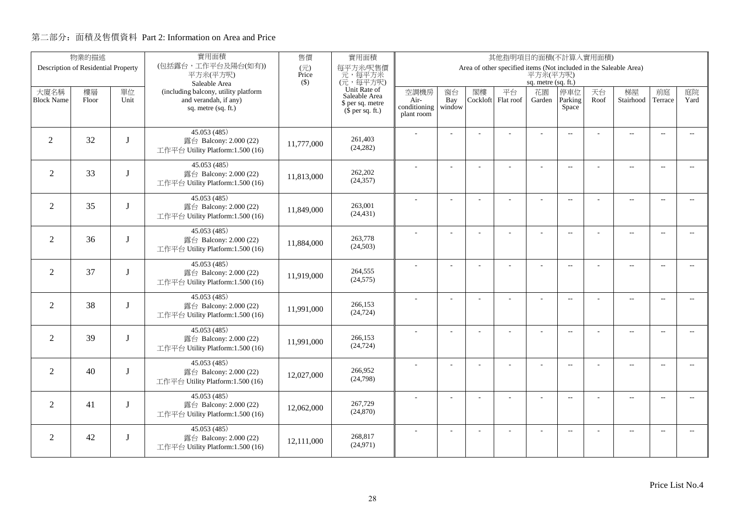|                           | 物業的描述                               |             | 實用面積                                                                                                  | 售價           | 實用面積                                                                                      | 其他指明項目的面積(不計算入實用面積)<br>Area of other specified items (Not included in the Saleable Area) |                          |                |                 |                                     |                          |            |                          |                          |                             |
|---------------------------|-------------------------------------|-------------|-------------------------------------------------------------------------------------------------------|--------------|-------------------------------------------------------------------------------------------|------------------------------------------------------------------------------------------|--------------------------|----------------|-----------------|-------------------------------------|--------------------------|------------|--------------------------|--------------------------|-----------------------------|
|                           | Description of Residential Property |             | (包括露台,工作平台及陽台(如有))<br>平方米(平方呎)                                                                        | (元)<br>Price | 每平方米/呎售價<br>元,每平方米                                                                        |                                                                                          |                          |                |                 | 平方米(平方呎)                            |                          |            |                          |                          |                             |
| 大廈名稱<br><b>Block Name</b> | 樓層<br>Floor                         | 單位<br>Unit  | Saleable Area<br>(including balcony, utility platform<br>and verandah, if any)<br>sq. metre (sq. ft.) | $($ \$)      | (元,每平方呎)<br>Unit Rate of<br>Saleable Area<br>\$ per sq. metre<br>$(\bar{\S}$ per sq. ft.) | 空調機房<br>Air-<br>conditioning<br>plant room                                               | 窗台<br>Bay<br>window      | 閣樓<br>Cockloft | 平台<br>Flat roof | sq. metre (sq. ft.)<br>花園<br>Garden | 停車位<br>Parking<br>Space  | 天台<br>Roof | 梯屋<br>Stairhood          | 前庭<br>Terrace            | 庭院<br>Yard                  |
| 2                         | 32                                  | $\mathbf I$ | 45.053 (485)<br>露台 Balcony: 2.000 (22)<br>工作平台 Utility Platform:1.500 (16)                            | 11,777,000   | 261.403<br>(24, 282)                                                                      |                                                                                          |                          |                |                 |                                     | $\overline{\phantom{a}}$ |            | $\overline{a}$           | $\overline{\phantom{a}}$ |                             |
| $\overline{2}$            | 33                                  |             | 45.053 (485)<br>露台 Balcony: 2.000 (22)<br>工作平台 Utility Platform:1.500 (16)                            | 11,813,000   | 262,202<br>(24, 357)                                                                      |                                                                                          |                          |                | ÷.              | ÷                                   | $\overline{\phantom{a}}$ |            | $\overline{\phantom{a}}$ | $\sim$                   | $\sim$                      |
| $\overline{2}$            | 35                                  |             | 45.053 (485)<br>露台 Balcony: 2.000 (22)<br>工作平台 Utility Platform:1.500 (16)                            | 11,849,000   | 263,001<br>(24, 431)                                                                      |                                                                                          |                          |                |                 | L,                                  | $\overline{\phantom{a}}$ |            | $\overline{\phantom{a}}$ | $\sim$                   | $\overline{a}$              |
| $\overline{2}$            | 36                                  |             | 45.053 (485)<br>露台 Balcony: 2.000 (22)<br>工作平台 Utility Platform:1.500 (16)                            | 11,884,000   | 263,778<br>(24,503)                                                                       |                                                                                          |                          |                |                 | L,                                  | $\overline{\phantom{a}}$ |            | $\overline{\phantom{a}}$ | $\overline{\phantom{a}}$ | $\overline{\phantom{a}}$    |
| 2                         | 37                                  | I           | 45.053 (485)<br>露台 Balcony: 2.000 (22)<br>工作平台 Utility Platform:1.500 (16)                            | 11,919,000   | 264,555<br>(24, 575)                                                                      |                                                                                          |                          |                |                 | ÷.                                  | $\sim$                   |            | $\overline{a}$           | $\sim$                   | $\sim$                      |
| $\overline{2}$            | 38                                  | I           | 45.053(485)<br>露台 Balcony: 2.000 (22)<br>工作平台 Utility Platform:1.500 (16)                             | 11,991,000   | 266,153<br>(24, 724)                                                                      |                                                                                          | $\overline{\phantom{a}}$ |                |                 | ÷,                                  | $\overline{\phantom{m}}$ |            | $\overline{\phantom{a}}$ | $\overline{\phantom{a}}$ | $- -$                       |
| $\overline{2}$            | 39                                  | I           | 45.053 (485)<br>露台 Balcony: 2.000 (22)<br>工作平台 Utility Platform:1.500 (16)                            | 11,991,000   | 266,153<br>(24, 724)                                                                      |                                                                                          | ÷.                       |                |                 | L,                                  | $\overline{\phantom{a}}$ |            | $\overline{a}$           | $\overline{\phantom{a}}$ | $- -$                       |
| 2                         | 40                                  | $\mathbf I$ | 45.053(485)<br>露台 Balcony: 2.000 (22)<br>工作平台 Utility Platform:1.500 (16)                             | 12,027,000   | 266,952<br>(24,798)                                                                       |                                                                                          | L,                       |                | L               | $\overline{\phantom{a}}$            | $\overline{a}$           |            | $\overline{\phantom{a}}$ | $\sim$                   | $\overline{a}$              |
| $\overline{2}$            | 41                                  | I           | 45.053 (485)<br>露台 Balcony: 2.000 (22)<br>工作平台 Utility Platform:1.500 (16)                            | 12,062,000   | 267,729<br>(24, 870)                                                                      |                                                                                          |                          |                | L,              |                                     | $-$                      |            | $\overline{\phantom{a}}$ | $\sim$                   | $\overline{a}$              |
| 2                         | 42                                  | J           | 45.053(485)<br>露台 Balcony: 2.000 (22)<br>工作平台 Utility Platform:1.500 (16)                             | 12.111.000   | 268,817<br>(24, 971)                                                                      |                                                                                          |                          |                |                 |                                     | $\overline{\phantom{m}}$ |            | $\overline{\phantom{a}}$ | $\sim$                   | $\mathcal{L}_{\mathcal{F}}$ |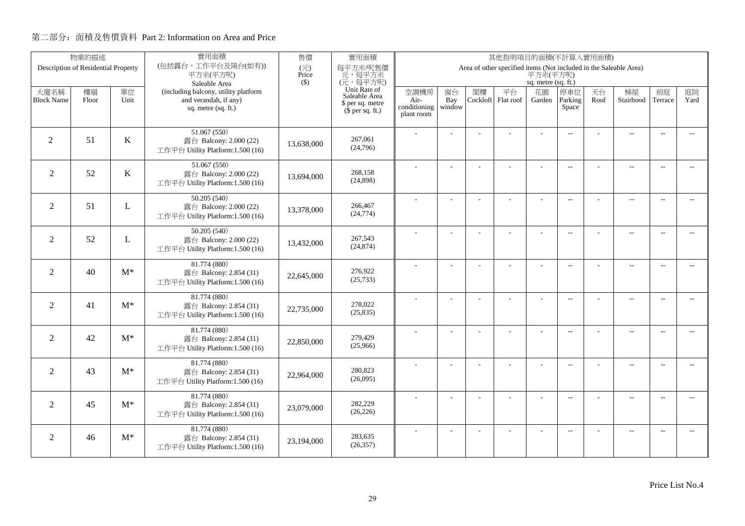| 物業的描述                     |                                     |            | 實用面積                                                          | 售價                                | 實用面積                                         | 其他指明項目的面積(不計算入實用面積)<br>Area of other specified items (Not included in the Saleable Area) |           |    |                          |                     |                          |            |                          |                          |                             |  |
|---------------------------|-------------------------------------|------------|---------------------------------------------------------------|-----------------------------------|----------------------------------------------|------------------------------------------------------------------------------------------|-----------|----|--------------------------|---------------------|--------------------------|------------|--------------------------|--------------------------|-----------------------------|--|
|                           | Description of Residential Property |            | (包括露台,工作平台及陽台(如有))<br>平方米(平方呎)                                | $(\overrightarrow{\pi})$<br>Price | 每平方米/呎售價<br>元,每平方米                           |                                                                                          |           |    |                          | 平方米(平方呎)            |                          |            |                          |                          |                             |  |
|                           |                                     |            | Saleable Area                                                 | $($ \$)                           | (元,每平方呎)                                     |                                                                                          |           |    |                          | sq. metre (sq. ft.) |                          |            |                          |                          |                             |  |
| 大廈名稱<br><b>Block Name</b> | 樓層                                  | 單位<br>Unit | (including balcony, utility platform<br>and verandah, if any) |                                   | Unit Rate of<br>Saleable Area                | 空調機房                                                                                     | 窗台<br>Bay | 閣樓 | 平台<br>Cockloft Flat roof | 花園                  | 停車位<br>Parking           | 天台<br>Roof | 梯屋<br>Stairhood          | 前庭<br>Terrace            | 庭院<br>Yard                  |  |
|                           | Floor                               |            | sq. metre (sq. ft.)                                           |                                   | \$ per sq. metre<br>$(\bar{\S}$ per sq. ft.) | Air-<br>conditioning                                                                     | window    |    |                          | Garden              | Space                    |            |                          |                          |                             |  |
|                           |                                     |            |                                                               |                                   |                                              | plant room                                                                               |           |    |                          |                     |                          |            |                          |                          |                             |  |
|                           |                                     |            | 51.067(550)                                                   |                                   |                                              |                                                                                          |           |    |                          |                     | $\overline{\phantom{a}}$ |            | $\overline{\phantom{a}}$ |                          |                             |  |
| $\overline{2}$            | 51                                  | K          | 露台 Balcony: 2.000 (22)<br>工作平台 Utility Platform:1.500 (16)    | 13.638,000                        | 267,061<br>(24,796)                          |                                                                                          |           |    |                          |                     |                          |            |                          |                          |                             |  |
|                           |                                     |            |                                                               |                                   |                                              |                                                                                          |           |    |                          |                     |                          |            |                          |                          |                             |  |
| 2                         | 52                                  | K          | 51.067(550)<br>露台 Balcony: 2.000 (22)                         |                                   | 268,158                                      |                                                                                          |           |    |                          |                     | $\overline{\phantom{a}}$ |            | $\overline{\phantom{a}}$ | $\sim$                   |                             |  |
|                           |                                     |            | 工作平台 Utility Platform:1.500 (16)                              | 13,694,000                        | (24,898)                                     |                                                                                          |           |    |                          |                     |                          |            |                          |                          |                             |  |
|                           |                                     |            | 50.205 (540)                                                  |                                   |                                              |                                                                                          | ÷,        |    | ÷.                       | ÷,                  | $\overline{a}$           |            | $\overline{a}$           | $\overline{\phantom{a}}$ | $-$                         |  |
| $\overline{2}$            | 51                                  | L          | 露台 Balcony: 2.000 (22)                                        | 13,378,000                        | 266,467<br>(24, 774)                         |                                                                                          |           |    |                          |                     |                          |            |                          |                          |                             |  |
|                           |                                     |            | 工作平台 Utility Platform:1.500 (16)                              |                                   |                                              |                                                                                          |           |    |                          |                     |                          |            |                          |                          |                             |  |
|                           | 52                                  |            | 50.205 (540)                                                  |                                   | 267,543                                      |                                                                                          |           |    |                          | L,                  | $\overline{\phantom{a}}$ |            | $\overline{\phantom{a}}$ | $\overline{\phantom{a}}$ | $\overline{\phantom{a}}$    |  |
| $\overline{2}$            |                                     | L          | 露台 Balcony: 2.000 (22)<br>工作平台 Utility Platform:1.500 (16)    | 13,432,000                        | (24, 874)                                    |                                                                                          |           |    |                          |                     |                          |            |                          |                          |                             |  |
|                           |                                     |            | 81.774 (880)                                                  |                                   |                                              |                                                                                          |           |    |                          |                     |                          |            |                          |                          |                             |  |
| 2                         | 40                                  | $M^*$      | 露台 Balcony: 2.854 (31)                                        | 22,645,000                        | 276,922                                      |                                                                                          |           |    |                          | $\overline{a}$      | $\overline{\phantom{a}}$ |            | $\overline{a}$           | $\overline{\phantom{a}}$ | $\overline{\phantom{a}}$    |  |
|                           |                                     |            | 工作平台 Utility Platform:1.500 (16)                              |                                   | (25,733)                                     |                                                                                          |           |    |                          |                     |                          |            |                          |                          |                             |  |
|                           |                                     |            | 81.774 (880)                                                  |                                   |                                              |                                                                                          |           |    |                          | ÷,                  | $\overline{a}$           |            | $\overline{a}$           | $\overline{\phantom{a}}$ | $\overline{\phantom{a}}$    |  |
| $\overline{2}$            | 41                                  | $M^*$      | 露台 Balcony: 2.854 (31)<br>工作平台 Utility Platform:1.500 (16)    | 22,735,000                        | 278,022<br>(25, 835)                         |                                                                                          |           |    |                          |                     |                          |            |                          |                          |                             |  |
|                           |                                     |            |                                                               |                                   |                                              |                                                                                          |           |    |                          |                     |                          |            |                          |                          |                             |  |
| $\overline{2}$            | 42                                  | $M^*$      | 81.774 (880)<br>露台 Balcony: 2.854 (31)                        |                                   | 279,429                                      |                                                                                          | L,        |    |                          | ÷,                  | $\overline{a}$           |            | $\overline{a}$           | $\overline{a}$           | $\overline{a}$              |  |
|                           |                                     |            | 工作平台 Utility Platform:1.500 (16)                              | 22,850,000                        | (25,966)                                     |                                                                                          |           |    |                          |                     |                          |            |                          |                          |                             |  |
|                           |                                     |            | 81.774 (880)                                                  |                                   |                                              |                                                                                          | ÷,        |    | L.                       | ÷,                  | $\sim$                   |            | $\overline{a}$           | $\sim$                   | $\overline{\phantom{a}}$    |  |
| $\overline{2}$            | 43                                  | $M^*$      | 露台 Balcony: 2.854 (31)                                        | 22,964,000                        | 280,823                                      |                                                                                          |           |    |                          |                     |                          |            |                          |                          |                             |  |
|                           |                                     |            | 工作平台 Utility Platform:1.500 (16)                              |                                   | (26,095)                                     |                                                                                          |           |    |                          |                     |                          |            |                          |                          |                             |  |
| $\overline{2}$            | 45                                  | $M^*$      | 81.774 (880)                                                  |                                   | 282,229                                      |                                                                                          | ÷.        |    | L.                       | ÷                   | $\sim$                   |            | $\overline{a}$           | $\sim$                   | $\overline{\phantom{a}}$    |  |
|                           |                                     |            | 露台 Balcony: 2.854 (31)<br>工作平台 Utility Platform:1.500 (16)    | 23,079,000                        | (26, 226)                                    |                                                                                          |           |    |                          |                     |                          |            |                          |                          |                             |  |
|                           |                                     |            | 81.774 (880)                                                  |                                   |                                              |                                                                                          |           |    |                          |                     |                          |            |                          |                          |                             |  |
| 2                         | 46                                  | $M^*$      | 露台 Balcony: 2.854 (31)                                        | 23,194,000                        | 283,635                                      |                                                                                          |           |    |                          |                     | $\sim$ $\sim$            |            | $\overline{\phantom{a}}$ | $\sim$                   | $\mathcal{L}_{\mathcal{F}}$ |  |
|                           |                                     |            | 工作平台 Utility Platform:1.500 (16)                              |                                   | (26, 357)                                    |                                                                                          |           |    |                          |                     |                          |            |                          |                          |                             |  |
|                           |                                     |            |                                                               |                                   |                                              |                                                                                          |           |    |                          |                     |                          |            |                          |                          |                             |  |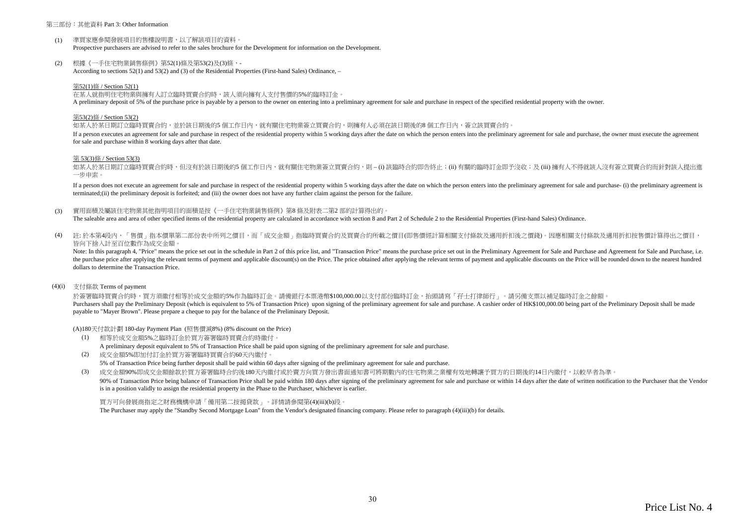#### 第三部份:其他資料 Part 3: Other Information

- $(1)$ 準買家應參閱發展項目的售樓說明書,以了解該項目的資料。 Prospective purchasers are advised to refer to the sales brochure for the Development for information on the Development.
- (2) 根據《一手住宅物業銷售條例》第52(1)條及第53(2)及(3)條,- According to sections 52(1) and 53(2) and (3) of the Residential Properties (First-hand Sales) Ordinance, –

#### 第52(1)條 / Section 52(1)

在某人就指明住宅物業與擁有人訂立臨時買賣合約時,該人須向擁有人支付售價的5%的臨時訂金。

A preliminary deposit of 5% of the purchase price is payable by a person to the owner on entering into a preliminary agreement for sale and purchase in respect of the specified residential property with the owner.

#### 第53(2)條 / Section 53(2)

如某人於某日期訂立臨時買賣合約,並於該日期後的5 個工作日內,就有關住宅物業簽立買賣合約,則擁有人必須在該日期後的8 個工作日内,簽立該買賣合約。

If a person executes an agreement for sale and purchase in respect of the residential property within 5 working days after the date on which the person enters into the preliminary agreement for sale and purchase, the owner for sale and purchase within 8 working days after that date.

#### 第 53(3)條 / Section 53(3)

如某人於某日期訂立臨時買賣合約時,但沒有於該日期後的5 個工作日内,就有關住宅物業簽立買賣合約,則 – (i) 該臨時合約即告終止;(ii) 有關的臨時訂金即予沒收;及 (iii) 擁有人不得就該人沒有簽立買賣合約而針對該人提出進 一步申索。

If a person does not execute an agreement for sale and purchase in respect of the residential property within 5 working days after the date on which the person enters into the preliminary agreement for sale and purchase- ( terminated;(ii) the preliminary deposit is forfeited; and (iii) the owner does not have any further claim against the person for the failure.

(3) 實用面積及屬該住宅物業其他指明項目的面積是按《一手住宅物業銷售條例》第8 條及附表二第2 部的計算得出的。

The saleable area and area of other specified items of the residential property are calculated in accordance with section 8 and Part 2 of Schedule 2 to the Residential Properties (First-hand Sales) Ordinance.

 $(4)$ 註:於本第4段內,「售價」指本價單第二部份表中所列之價目,而「成交金額」指臨時買賣合約及買賣合約所載之價目(即售價經計算相關支付條款及適用折扣後之價錢)。因應相關支付條款及適用折扣按售價計算得出之價目, 皆向下捨入計至百位數作為成交金額。

Note: In this paragraph 4, "Price" means the price set out in the schedule in Part 2 of this price list, and "Transaction Price" means the purchase price set out in the Preliminary Agreement for Sale and Purchase and Agree the purchase price after applying the relevant terms of payment and applicable discount(s) on the Price. The price obtained after applying the relevant terms of payment and applicable discounts on the Price will be rounded dollars to determine the Transaction Price.

#### (4)(i) 支付條款 Terms of payment

於簽署臨時買賣合約時,買方須繳付相等於成交金額的5%作為臨時訂金。請備銀行本票港幣\$100,000.00以支付部份臨時訂金,抬頭請寫「孖士打律師行」。請另備支票以補足臨時訂金之餘額。 Purchasers shall nay the Preliminary Deposit (which is equivalent to 5% of Transaction Price) upon signing of the preliminary agreement for sale and purchase. A cashier order of HK\$100,000,00 heing part of the Preliminary payable to "Mayer Brown". Please prepare a cheque to pay for the balance of the Preliminary Deposit.

(A)180天付款計劃 180-day Payment Plan (照售價減8%) (8% discount on the Price)

- (1) 相等於成交金額5%之臨時訂金於買方簽署臨時買賣合約時繳付。 A preliminary deposit equivalent to 5% of Transaction Price shall be paid upon signing of the preliminary agreement for sale and purchase.
- (2) 成交金額5%即加付訂金於買方簽署臨時買賣合約60天內繳付。 5% of Transaction Price being further deposit shall be paid within 60 days after signing of the preliminary agreement for sale and purchase.

(3) 成交金額90%即成交金額餘款於買方簽署臨時合約後180天內繳付或於賣方向買方發出書面通知書可將期數內的住宅物業之業權有效地轉讓予買方的日期後的14日內繳付,以較早者為準。 90% of Transaction Price being balance of Transaction Price shall be paid within 180 days after signing of the preliminary agreement for sale and purchase or within 14 days after the date of written notification to the Pur is in a position validly to assign the residential property in the Phase to the Purchaser, whichever is earlier.

買方可向發展商指定之財務機構申請「備用第二按揭貸款」。詳情請參閱第(4)(iii)(b)段。 The Purchaser may apply the "Standby Second Mortgage Loan" from the Vendor's designated financing company. Please refer to paragraph (4)(iii)(b) for details.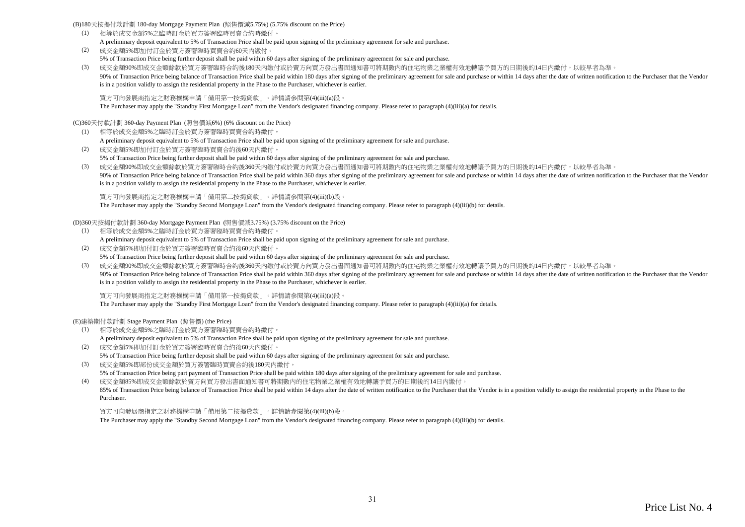(B)180天按揭付款計劃 180-day Mortgage Payment Plan (照售價減5.75%) (5.75% discount on the Price)

- (1) 相等於成交金額5%之臨時訂金於買方簽署臨時買賣合約時繳付。 A preliminary deposit equivalent to 5% of Transaction Price shall be paid upon signing of the preliminary agreement for sale and purchase.
- (2) 成交金額5%即加付訂金於買方簽署臨時買賣合約60天內繳付。 5% of Transaction Price being further deposit shall be paid within 60 days after signing of the preliminary agreement for sale and purchase.
- (3) 成交金額90%即成交金額餘款於買方簽署臨時合約後180天內繳付或於賣方向買方發出書面通知書可將期數內的住宅物業之業權有效地轉讓予買方的日期後的14日內繳付,以較早者為準。 90% of Transaction Price being balance of Transaction Price shall be paid within 180 days after signing of the preliminary agreement for sale and purchase or within 14 days after the date of written notification to the Pur is in a position validly to assign the residential property in the Phase to the Purchaser, whichever is earlier.

買方可向發展商指定之財務機構申請「備用第一按揭貸款」。詳情請參閱第(4)(iii)(a)段。

The Purchaser may apply the "Standby First Mortgage Loan" from the Vendor's designated financing company. Please refer to paragraph (4)(iii)(a) for details.

(C)360天付款計劃 360-day Payment Plan (照售價減6%) (6% discount on the Price)

- (1) 相等於成交金額5%之臨時訂金於買方簽署臨時買賣合約時繳付。 A preliminary deposit equivalent to 5% of Transaction Price shall be paid upon signing of the preliminary agreement for sale and purchase.
- (2) 成交金額5%即加付訂金於買方簽署臨時買賣合約後60天內繳付。 5% of Transaction Price being further deposit shall be paid within 60 days after signing of the preliminary agreement for sale and purchase.
- (3) 成交金額90%即成交金額餘款於買方簽署臨時合約後360天內繳付或於賣方向買方發出書面通知書可將期數內的住宅物業之業權有效地轉讓予買方的日期後的14日內繳付,以較早者為準。 90% of Transaction Price being balance of Transaction Price shall be paid within 360 days after signing of the preliminary agreement for sale and purchase or within 14 days after the date of written notification to the Pur is in a position validly to assign the residential property in the Phase to the Purchaser, whichever is earlier.

買方可向發展商指定之財務機構申請「備用第二按揭貸款」。詳情請參閱第(4)(iii)(b)段。

The Purchaser may apply the "Standby Second Mortgage Loan" from the Vendor's designated financing company. Please refer to paragraph (4)(iii)(b) for details.

(D)360天按揭付款計劃 360-day Mortgage Payment Plan (照售價減3.75%) (3.75% discount on the Price)

- (1) 相等於成交金額5%之臨時訂金於買方簽署臨時買賣合約時繳付。 A preliminary deposit equivalent to 5% of Transaction Price shall be paid upon signing of the preliminary agreement for sale and purchase.
- (2) 成交金額5%即加付訂金於買方簽署臨時買賣合約後60天內繳付。 5% of Transaction Price being further deposit shall be paid within 60 days after signing of the preliminary agreement for sale and purchase.
- (3) 成交金額90%即成交金額餘款於買方簽署臨時合約後360天內繳付或於賣方向買方發出書面通知書可將期數內的住宅物業之業權有效地轉讓予買方的日期後的14日內繳付,以較早者為準。 90% of Transaction Price being balance of Transaction Price shall be paid within 360 days after signing of the preliminary agreement for sale and purchase or within 14 days after the date of written notification to the Pur is in a position validly to assign the residential property in the Phase to the Purchaser, whichever is earlier.

買方可向發展商指定之財務機構申請「備用第一按揭貸款」。詳情請參閱第(4)(iii)(a)段。

The Purchaser may apply the "Standby First Mortgage Loan" from the Vendor's designated financing company. Please refer to paragraph (4)(iii)(a) for details.

(E)建築期付款計劃 Stage Payment Plan (照售價) (the Price)

- (1) 相等於成交金額5%之臨時訂金於買方簽署臨時買賣合約時繳付。 A preliminary deposit equivalent to 5% of Transaction Price shall be paid upon signing of the preliminary agreement for sale and purchase.
- (2) 成交金額5%即加付訂金於買方簽署臨時買賣合約後60天內繳付。 5% of Transaction Price being further deposit shall be paid within 60 days after signing of the preliminary agreement for sale and purchase.
- (3) 成交金額5%即部份成交金額於買方簽署臨時買賣合約後180天內繳付。 5% of Transaction Price being part payment of Transaction Price shall be paid within 180 days after signing of the preliminary agreement for sale and purchase.

(4) 成交金額85%即成交金額餘款於賣方向買方發出書面通知書可將期數內的住宅物業之業權有效地轉讓予買方的日期後的14日內繳付。 85% of Transaction Price being balance of Transaction Price shall be paid within 14 days after the date of written notification to the Purchaser that the Vendor is in a position validly to assign the residential property i Purchaser.

買方可向發展商指定之財務機構申請「備用第二按揭貸款」。詳情請參閱第(4)(iii)(b)段。

The Purchaser may apply the "Standby Second Mortgage Loan" from the Vendor's designated financing company. Please refer to paragraph (4)(iii)(b) for details.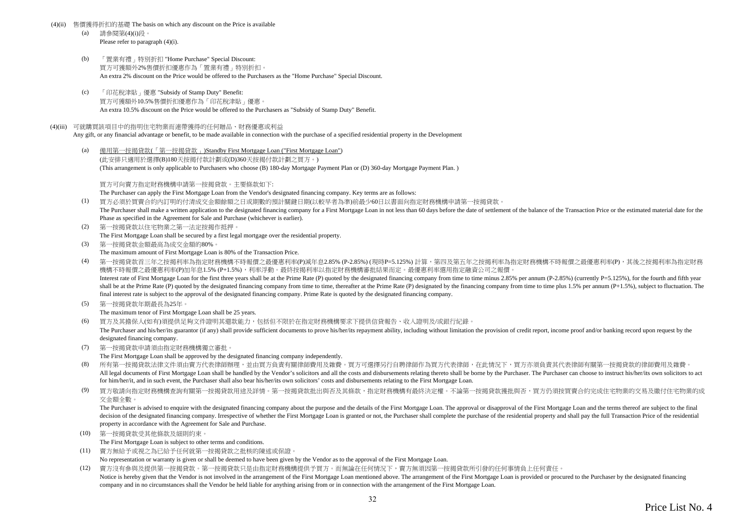#### (4)(ii) 售價獲得折扣的基礎 The basis on which any discount on the Price is available

- (a) 請參閱第(4)(i)段。 Please refer to paragraph (4)(i).
- (b) 「置業有禮」特別折扣 "Home Purchase" Special Discount: 買方可獲額外2%售價折扣優惠作為「置業有禮」特別折扣。 An extra 2% discount on the Price would be offered to the Purchasers as the "Home Purchase" Special Discount.
- (c) 「印花稅津貼」優惠 "Subsidy of Stamp Duty" Benefit: 買方可獲額外10.5%售價折扣優惠作為「印花稅津貼」優惠。 An extra 10.5% discount on the Price would be offered to the Purchasers as "Subsidy of Stamp Duty" Benefit.

#### (4)(iii) 可就購買該項目中的指明住宅物業而連帶獲得的任何贈品、財務優惠或利益

Any gift, or any financial advantage or benefit, to be made available in connection with the purchase of a specified residential property in the Development

(a) 備用第一按揭貸款(「第一按揭貸款」)Standby First Mortgage Loan ("First Mortgage Loan") (此安排只適用於選擇(B)180天按揭付款計劃或(D)360天按揭付款計劃之買方。) (This arrangement is only applicable to Purchasers who choose (B) 180-day Mortgage Payment Plan or (D) 360-day Mortgage Payment Plan. )

買方可向賣方指定財務機構申請第一按揭貸款。主要條款如下:

The Purchaser can apply the First Mortgage Loan from the Vendor's designated financing company. Key terms are as follows:

- (1) 買方必須於買賣合約內訂明的付清成交金額餘額之日或期數的預計關鍵日期(以較早者為準)前最少60日以書面向指定財務機構申請第一按揭貸款。 The Purchaser shall make a written application to the designated financing company for a First Mortgage Loan in not less than 60 days before the date of settlement of the balance of the Transaction Price or the estimated m Phase as specified in the Agreement for Sale and Purchase (whichever is earlier).
- (2) 第一按揭貸款以住宅物業之第一法定按揭作抵押。 The First Mortgage Loan shall be secured by a first legal mortgage over the residential property.
- (3) 第一按揭貸款金額最高為成交金額的80%。 The maximum amount of First Mortgage Loan is 80% of the Transaction Price.
- (4) 第一按揭貸款首三年之按揭利率為指定財務機構不時報價之最優惠利率(P)減年息2.85% (P-2.85%) (現時P=5.125%) 計算,第四及第五年之按揭利率為指定財務機構不時報價之最優惠利率(P),其後之按揭利率為指定財務 機構不時報價之最優惠利率(P)加年息1.5% (P+1.5%),利率浮動。最終按揭利率以指定財務機構審批結果而定。最優惠利率選用指定融資公司之報價。 Interest rate of First Mortgage Loan for the first three years shall be at the Prime Rate (P) quoted by the designated financing company from time to time minus 2.85% per annum (P-2.85%) (currently P=5.125%), for the fourt shall be at the Prime Rate (P) quoted by the designated financing company from time to time, thereafter at the Prime Rate (P) designated by the financing company from time to time plus 1.5% per annum (P+1.5%), subject to f final interest rate is subject to the approval of the designated financing company. Prime Rate is quoted by the designated financing company.
- (5) 第一按揭貸款年期最長為25年。

The maximum tenor of First Mortgage Loan shall be 25 years.

(6) 買方及其擔保人(如有)須提供足夠文件證明其還款能力,包括但不限於在指定財務機構要求下提供信貸報告、收入證明及/或銀行紀錄。

The Purchaser and his/her/its guarantor (if any) shall provide sufficient documents to prove his/her/its repayment ability, including without limitation the provision of credit report, income proof and/or banking record up designated financing company.

(7) 第一按揭貸款申請須由指定財務機構獨立審批。

The First Mortgage Loan shall be approved by the designated financing company independently.

- (8) 所有第一按揭貸款法律文件須由賣方代表律師辦理,並由買方負責有關律師費用及雜費。買方可選擇另行自聘律師作為買方代表律師,在此情況下,買方亦須負責其代表律師有關第一按揭貸款的律師費用及雜費。 All legal documents of First Mortgage Loan shall be handled by the Vendor's solicitors and all the costs and disbursements relating thereto shall be borne by the Purchaser. The Purchaser can choose to instruct his/her/its for him/her/it, and in such event, the Purchaser shall also bear his/her/its own solicitors' costs and disbursements relating to the First Mortgage Loan.
- (9) 買方敬請向指定財務機構查詢有關第一按揭貸款用途及詳情。第一按揭貸款批出與否及其條款,指定財務機構有最終決定權。不論第一按揭貸款獲批與否,買方仍須按買賣合約完成住宅物業的交易及繳付住宅物業的成 交金額全數。

The Purchaser is advised to enquire with the designated financing company about the purpose and the details of the First Mortgage Loan. The approval or disapproval of the First Mortgage Loan and the terms thereof are subje decision of the designated financing company. Irrespective of whether the First Mortgage Loan is granted or not, the Purchaser shall complete the purchase of the residential property and shall pay the full Transaction Pric property in accordance with the Agreement for Sale and Purchase.

(10) 第一按揭貸款受其他條款及細則約束。

The First Mortgage Loan is subject to other terms and conditions.

- (11) 賣方無給予或視之為已給予任何就第一按揭貸款之批核的陳述或保證。
	- No representation or warranty is given or shall be deemed to have been given by the Vendor as to the approval of the First Mortgage Loan.
- (12) 賣方沒有參與及提供第一按揭貸款。第一按揭貸款只是由指定財務機構提供予買方。而無論在任何情況下,賣方無須因第一按揭貸款所引發的任何事情負上任何責任。 Notice is hereby given that the Vendor is not involved in the arrangement of the First Mortgage Loan mentioned above. The arrangement of the First Mortgage Loan is provided or procured to the Purchaser by the designated fi company and in no circumstances shall the Vendor be held liable for anything arising from or in connection with the arrangement of the First Mortgage Loan.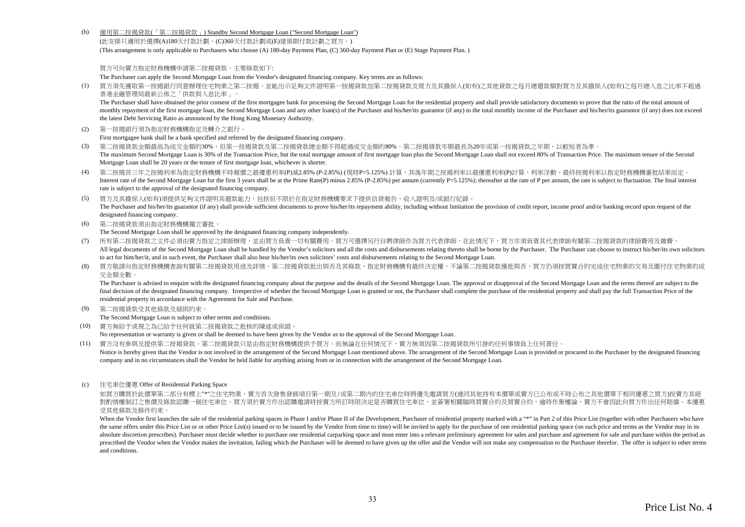(b) 備用第二按揭貸款(「第二按揭貸款」) Standby Second Mortgage Loan ("Second Mortgage Loan")

(此安排只適用於選擇(A)180天付款計劃、(C)360天付款計劃或(E)建築期付款計劃之買方。) (This arrangement is only applicable to Purchasers who choose (A) 180-day Payment Plan, (C) 360-day Payment Plan or (E) Stage Payment Plan. )

買方可向賣方指定財務機構申請第二按揭貸款。主要條款如下:

The Purchaser can apply the Second Mortgage Loan from the Vendor's designated financing company. Key terms are as follows:

(1) 買方須先獲取第一按揭銀行同意辦理住宅物業之第二按揭,並能出示足夠文件證明第一按揭貸款加第二按揭貸款及買方及其擔保人(如有)之其他貸款之每月總還款額對買方及其擔保人(如有)之每月總入息之比率不超過 香港金融管理局最新公佈之「供款與入息比率」。

The Purchaser shall have obtained the prior consent of the first mortgagee bank for processing the Second Mortgage Loan for the residential property and shall provide satisfactory documents to prove that the ratio of the t monthly repayment of the first mortgage loan, the Second Mortgage Loan and any other loan(s) of the Purchaser and his/her/its guarantor (if any) to the total monthly income of the Purchaser and his/her/its guarantor (if an the latest Debt Servicing Ratio as announced by the Hong Kong Monetary Authority.

(2) 第一按揭銀行須為指定財務機構指定及轉介之銀行。

First mortgagee bank shall be a bank specified and referred by the designated financing company.

- (3) 第二按揭貸款金額最高為成交金額的30%,但第一按揭貸款及第二按揭貸款總金額不得超過成交金額的80%。第二按揭貸款年期最長為20年或第一按揭貸款之年期,以較短者為準。 The maximum Second Mortgage Loan is 30% of the Transaction Price, but the total mortgage amount of first mortgage loan plus the Second Mortgage Loan shall not exceed 80% of Transaction Price. The maximum tenure of the Seco Mortgage Loan shall be 20 years or the tenure of first mortgage loan, whichever is shorter.
- (4) 第二按揭首三年之按揭利率為指定財務機構不時報價之最優惠利率(P)減2.85% (P-2.85%) (現時P=5.125%) 計算,其後年期之按揭利率以最優惠利率(P)計算,利率浮動。最終按揭利率以指定財務機構審批結果而定。 Interest rate of the Second Mortgage Loan for the first 3 years shall be at the Prime Rate(P) minus 2.85% (P-2.85%) per annum (currently P=5.125%); thereafter at the rate of P per annum, the rate is subject to fluctuation. rate is subject to the approval of the designated financing company.
- (5) 買方及其擔保人(如有)須提供足夠文件證明其還款能力,包括但不限於在指定財務機構要求下提供信貸報告、收入證明及/或銀行紀錄。 The Purchaser and his/her/its guarantor (if any) shall provide sufficient documents to prove his/her/its repayment ability, including without limitation the provision of credit report, income proof and/or banking record up designated financing company.
- (6) 第二按揭貸款須由指定財務機構獨立審批。

The Second Mortgage Loan shall be approved by the designated financing company independently.

- (7) 所有第二按揭貸款之文件必須由賣方指定之律師辦理,並由買方負責一切有關費用。買方可選擇另行自聘律師作為買方代表律師,在此情況下,買方亦須負責其代表律師有關第二按揭貸款的律師費用及雜費。 All legal documents of the Second Mortgage Loan shall be handled by the Vendor's solicitors and all the costs and disbursements relating thereto shall be borne by the Purchaser. The Purchaser can choose to instruct his/her to act for him/her/it, and in such event, the Purchaser shall also bear his/her/its own solicitors' costs and disbursements relating to the Second Mortgage Loan.
- (8) 買方敬請向指定財務機構查詢有關第二按揭貸款用途及詳情。第二按揭貸款批出與否及其條款,指定財務機構有最終決定權。不論第二按揭貸款獲批與否,買方仍須按買賣合約完成住宅物業的交易及繳付住宅物業的成 交金額全數。

The Purchaser is advised to enquire with the designated financing company about the purpose and the details of the Second Mortgage Loan. The approval or disapproval of the Second Mortgage Loan and the terms thereof are sub final decision of the designated financing company. Irrespective of whether the Second Mortgage Loan is granted or not, the Purchaser shall complete the purchase of the residential property and shall pay the full Transacti residential property in accordance with the Agreement for Sale and Purchase.

(9) 第二按揭貸款受其他條款及細則約束。

The Second Mortgage Loan is subject to other terms and conditions.

(10) 賣方無給予或視之為已給予任何就第二按揭貸款之批核的陳述或保證。

No representation or warranty is given or shall be deemed to have been given by the Vendor as to the approval of the Second Mortgage Loan.

- (11) 賣方沒有參與及提供第二按揭貸款。第二按揭貸款只是由指定財務機構提供予買方。而無論在任何情況下,賣方無須因第二按揭貸款所引發的任何事情負上任何責任。
- Notice is hereby given that the Vendor is not involved in the arrangement of the Second Mortgage Loan mentioned above. The arrangement of the Second Mortgage Loan is provided or procured to the Purchaser by the designated company and in no circumstances shall the Vendor be held liable for anything arising from or in connection with the arrangement of the Second Mortgage Loan.
- (c) 住宅車位優惠 Offer of Residential Parking Space

如買方購買於此價單第二部分有標上"\*"之住宅物業,賣方首次發售發展項目第一期及/或第二期內的住宅車位時將優先激請買方(連同其他持有本價單或賣方已公布或不時公布之其他價單下相同優惠之買方)按賣方其絕 對酌情權制訂之售價及條款認購一個住宅車位。買方須於賣方作出認購邀請時按賣方所訂時限決定是否購買住宅車位,並簽署相關臨時買賣合約及買賣合約,逾時作棄權論,賣方不會因此向買方作出任何賠償。本優惠 受其他條款及條件約束。

When the Vendor first launches the sale of the residential parking spaces in Phase I and/or Phase II of the Development, Purchaser of residential property marked with a "\*" in Part 2 of this Price List (together with other the same offers under this Price List or or other Price List(s) issued or to be issued by the Vendor from time to time) will be invited to apply for the purchase of one residential parking space (on such price and terms as absolute discretion prescribes). Purchaser must decide whether to purchase one residential carparking space and must enter into a relevant preliminary agreement for sales and purchase and agreement for sale and purchase wi prescribed the Vendor when the Vendor makes the invitation failing which the Purchaser will be deemed to have given un the offer and the Vendor will not make any compensation to the Purchaser therefor. The offer is subject and conditions.